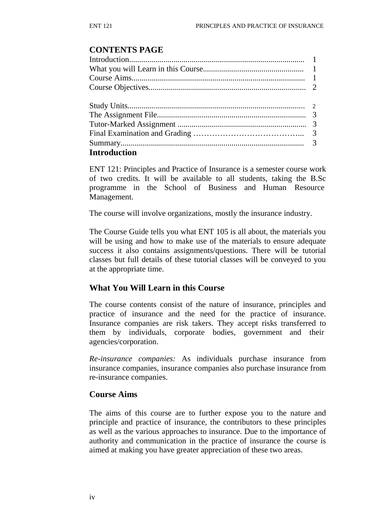## **CONTENTS PAGE**

| <b>Introduction</b> |  |
|---------------------|--|

ENT 121: Principles and Practice of Insurance is a semester course work of two credits. It will be available to all students, taking the B.Sc programme in the School of Business and Human Resource Management.

The course will involve organizations, mostly the insurance industry.

The Course Guide tells you what ENT 105 is all about, the materials you will be using and how to make use of the materials to ensure adequate success it also contains assignments/questions. There will be tutorial classes but full details of these tutorial classes will be conveyed to you at the appropriate time.

## **What You Will Learn in this Course**

The course contents consist of the nature of insurance, principles and practice of insurance and the need for the practice of insurance. Insurance companies are risk takers. They accept risks transferred to them by individuals, corporate bodies, government and their agencies/corporation.

*Re-insurance companies:* As individuals purchase insurance from insurance companies, insurance companies also purchase insurance from re-insurance companies.

## **Course Aims**

The aims of this course are to further expose you to the nature and principle and practice of insurance, the contributors to these principles as well as the various approaches to insurance. Due to the importance of authority and communication in the practice of insurance the course is aimed at making you have greater appreciation of these two areas.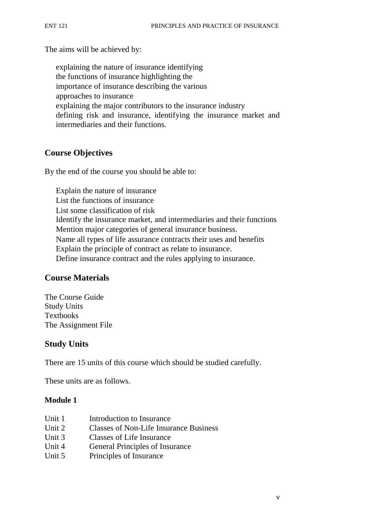The aims will be achieved by:

explaining the nature of insurance identifying the functions of insurance highlighting the importance of insurance describing the various approaches to insurance explaining the major contributors to the insurance industry defining risk and insurance, identifying the insurance market and intermediaries and their functions.

## **Course Objectives**

By the end of the course you should be able to:

Explain the nature of insurance List the functions of insurance List some classification of risk Identify the insurance market, and intermediaries and their functions Mention major categories of general insurance business. Name all types of life assurance contracts their uses and benefits Explain the principle of contract as relate to insurance. Define insurance contract and the rules applying to insurance.

## **Course Materials**

The Course Guide Study Units Textbooks The Assignment File

## **Study Units**

There are 15 units of this course which should be studied carefully.

These units are as follows.

#### **Module 1**

| Unit 1 | Introduction to Insurance                     |
|--------|-----------------------------------------------|
| Unit 2 | <b>Classes of Non-Life Insurance Business</b> |
| Unit 3 | Classes of Life Insurance                     |
| Unit 4 | General Principles of Insurance               |
| Unit 5 | Principles of Insurance                       |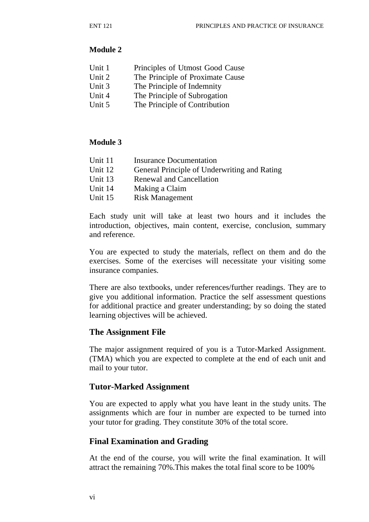## **Module 2**

| Unit 1 | Principles of Utmost Good Cause |
|--------|---------------------------------|
|--------|---------------------------------|

- Unit 2 The Principle of Proximate Cause
- Unit 3 The Principle of Indemnity
- Unit 4 The Principle of Subrogation
- Unit 5 The Principle of Contribution

## **Module 3**

| Unit 11 | Insurance Documentation                      |
|---------|----------------------------------------------|
| Unit 12 | General Principle of Underwriting and Rating |
| Unit 13 | Renewal and Cancellation                     |
| Unit 14 | Making a Claim                               |
| Unit 15 | <b>Risk Management</b>                       |
|         |                                              |

Each study unit will take at least two hours and it includes the introduction, objectives, main content, exercise, conclusion, summary and reference.

You are expected to study the materials, reflect on them and do the exercises. Some of the exercises will necessitate your visiting some insurance companies.

There are also textbooks, under references/further readings. They are to give you additional information. Practice the self assessment questions for additional practice and greater understanding; by so doing the stated learning objectives will be achieved.

## **The Assignment File**

The major assignment required of you is a Tutor-Marked Assignment. (TMA) which you are expected to complete at the end of each unit and mail to your tutor.

## **Tutor-Marked Assignment**

You are expected to apply what you have leant in the study units. The assignments which are four in number are expected to be turned into your tutor for grading. They constitute 30% of the total score.

## **Final Examination and Grading**

At the end of the course, you will write the final examination. It will attract the remaining 70%.This makes the total final score to be 100%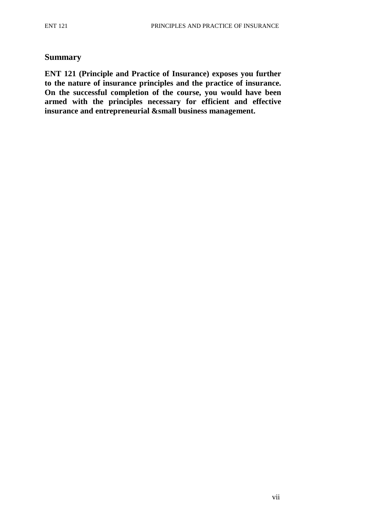### **Summary**

**ENT 121 (Principle and Practice of Insurance) exposes you further to the nature of insurance principles and the practice of insurance. On the successful completion of the course, you would have been armed with the principles necessary for efficient and effective insurance and entrepreneurial &small business management.**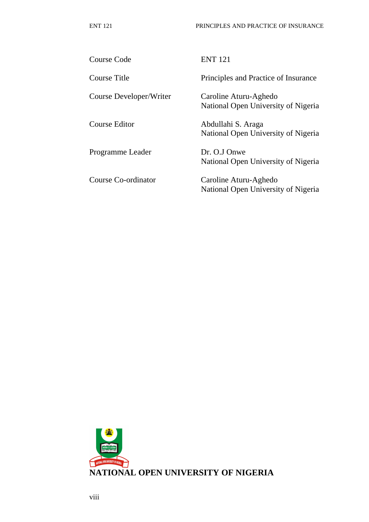| Course Code             | <b>ENT 121</b>                                               |
|-------------------------|--------------------------------------------------------------|
| Course Title            | Principles and Practice of Insurance                         |
| Course Developer/Writer | Caroline Aturu-Aghedo<br>National Open University of Nigeria |
| Course Editor           | Abdullahi S. Araga<br>National Open University of Nigeria    |
| Programme Leader        | Dr. O.J Onwe<br>National Open University of Nigeria          |
| Course Co-ordinator     | Caroline Aturu-Aghedo<br>National Open University of Nigeria |

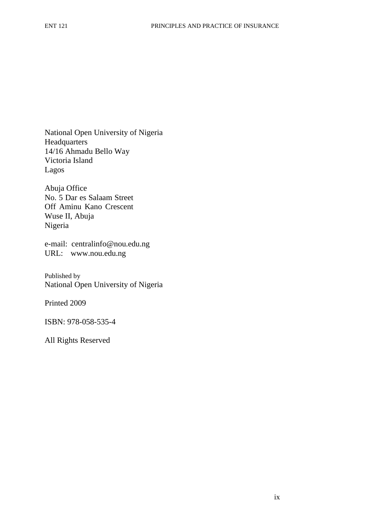National Open University of Nigeria Headquarters 14/16 Ahmadu Bello Way Victoria Island Lagos

Abuja Office No. 5 Dar es Salaam Street Off Aminu Kano Crescent Wuse II, Abuja Nigeria

e-mail: centralinfo@nou.edu.ng URL: www.nou.edu.ng

Published by National Open University of Nigeria

Printed 2009

ISBN: 978-058-535-4

All Rights Reserved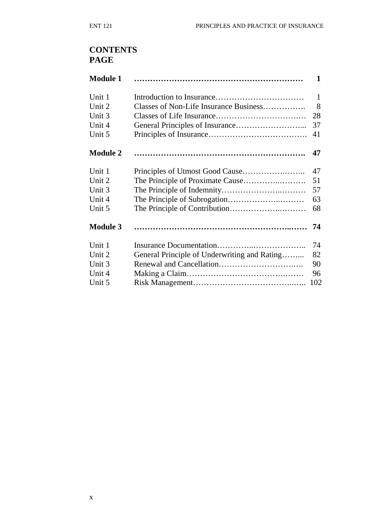# **CONTENTS PAGE**

| <b>Module 1</b> |                                              | 1            |
|-----------------|----------------------------------------------|--------------|
| Unit 1          |                                              | $\mathbf{1}$ |
| Unit 2          | Classes of Non-Life Insurance Business       | 8            |
| Unit 3          |                                              | 28           |
| Unit 4          |                                              | 37           |
| Unit 5          |                                              | 41           |
| <b>Module 2</b> |                                              | 47           |
| Unit 1          |                                              | 47           |
| Unit 2          |                                              | 51           |
| Unit 3          |                                              | 57           |
| Unit 4          |                                              | 63           |
| Unit 5          |                                              | 68           |
| <b>Module 3</b> |                                              | 74           |
| Unit 1          |                                              | 74           |
| Unit 2          | General Principle of Underwriting and Rating | 82           |
| Unit 3          |                                              | 90           |
| Unit 4          |                                              | 96           |
| Unit 5          |                                              | 102          |
|                 |                                              |              |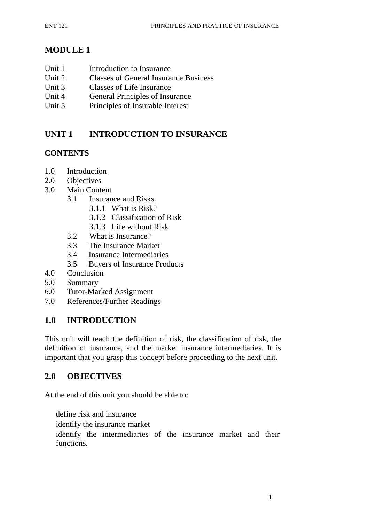# **MODULE 1**

- Unit 1 **Introduction to Insurance**
- Unit 2 Classes of General Insurance Business
- Unit 3 Classes of Life Insurance
- Unit 4 General Principles of Insurance
- Unit 5 Principles of Insurable Interest

# **UNIT 1 INTRODUCTION TO INSURANCE**

## **CONTENTS**

- 1.0 Introduction
- 2.0 Objectives
- 3.0 Main Content
	- 3.1 Insurance and Risks
		- 3.1.1 What is Risk?
		- 3.1.2 Classification of Risk
		- 3.1.3 Life without Risk
	- 3.2 What is Insurance?
	- 3.3 The Insurance Market
	- 3.4 Insurance Intermediaries
	- 3.5 Buyers of Insurance Products
- 4.0 Conclusion
- 5.0 Summary
- 6.0 Tutor-Marked Assignment
- 7.0 References/Further Readings

## **1.0 INTRODUCTION**

This unit will teach the definition of risk, the classification of risk, the definition of insurance, and the market insurance intermediaries. It is important that you grasp this concept before proceeding to the next unit.

## **2.0 OBJECTIVES**

At the end of this unit you should be able to:

define risk and insurance identify the insurance market identify the intermediaries of the insurance market and their functions.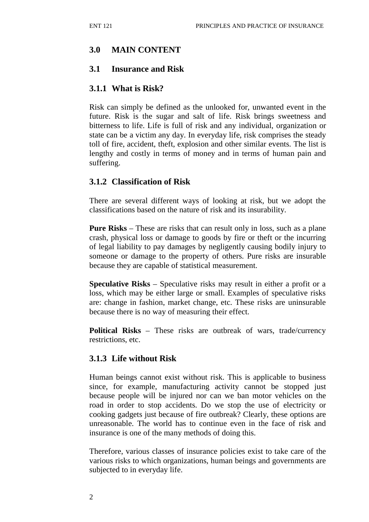## **3.0 MAIN CONTENT**

## **3.1 Insurance and Risk**

## **3.1.1 What is Risk?**

Risk can simply be defined as the unlooked for, unwanted event in the future. Risk is the sugar and salt of life. Risk brings sweetness and bitterness to life. Life is full of risk and any individual, organization or state can be a victim any day. In everyday life, risk comprises the steady toll of fire, accident, theft, explosion and other similar events. The list is lengthy and costly in terms of money and in terms of human pain and suffering.

## **3.1.2 Classification of Risk**

There are several different ways of looking at risk, but we adopt the classifications based on the nature of risk and its insurability.

**Pure Risks** – These are risks that can result only in loss, such as a plane crash, physical loss or damage to goods by fire or theft or the incurring of legal liability to pay damages by negligently causing bodily injury to someone or damage to the property of others. Pure risks are insurable because they are capable of statistical measurement.

**Speculative Risks** – Speculative risks may result in either a profit or a loss, which may be either large or small. Examples of speculative risks are: change in fashion, market change, etc. These risks are uninsurable because there is no way of measuring their effect.

**Political Risks** – These risks are outbreak of wars, trade/currency restrictions, etc.

## **3.1.3 Life without Risk**

Human beings cannot exist without risk. This is applicable to business since, for example, manufacturing activity cannot be stopped just because people will be injured nor can we ban motor vehicles on the road in order to stop accidents. Do we stop the use of electricity or cooking gadgets just because of fire outbreak? Clearly, these options are unreasonable. The world has to continue even in the face of risk and insurance is one of the many methods of doing this.

Therefore, various classes of insurance policies exist to take care of the various risks to which organizations, human beings and governments are subjected to in everyday life.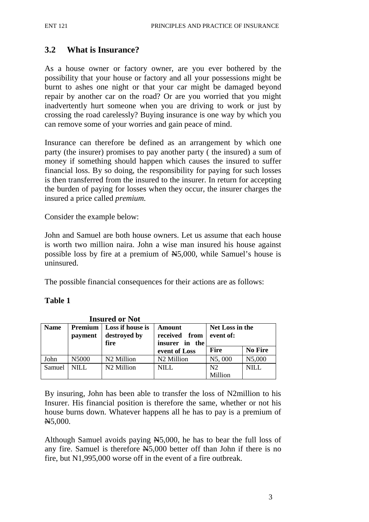## **3.2 What is Insurance?**

As a house owner or factory owner, are you ever bothered by the possibility that your house or factory and all your possessions might be burnt to ashes one night or that your car might be damaged beyond repair by another car on the road? Or are you worried that you might inadvertently hurt someone when you are driving to work or just by crossing the road carelessly? Buying insurance is one way by which you can remove some of your worries and gain peace of mind.

Insurance can therefore be defined as an arrangement by which one party (the insurer) promises to pay another party ( the insured) a sum of money if something should happen which causes the insured to suffer financial loss. By so doing, the responsibility for paying for such losses is then transferred from the insured to the insurer. In return for accepting the burden of paying for losses when they occur, the insurer charges the insured a price called *premium.*

Consider the example below:

John and Samuel are both house owners. Let us assume that each house is worth two million naira. John a wise man insured his house against possible loss by fire at a premium of N5,000, while Samuel's house is uninsured.

The possible financial consequences for their actions are as follows:

#### **Table 1**

| Insured or Not |                    |                                          |                                                 |                              |                |
|----------------|--------------------|------------------------------------------|-------------------------------------------------|------------------------------|----------------|
| <b>Name</b>    | Premium<br>payment | Loss if house is<br>destroyed by<br>fire | Amount<br>received<br>from<br>in the<br>insurer | Net Loss in the<br>event of: |                |
|                |                    |                                          | event of Loss                                   | <b>Fire</b>                  | <b>No Fire</b> |
| John           | N5000              | N <sub>2</sub> Million                   | N <sub>2</sub> Million                          | N5,000                       | N5,000         |
| Samuel         | <b>NILL</b>        | N <sub>2</sub> Million                   | <b>NILL</b>                                     | N <sub>2</sub>               | NIL            |
|                |                    |                                          |                                                 | Million                      |                |

**Insured or Not**

By insuring, John has been able to transfer the loss of N2million to his Insurer. His financial position is therefore the same, whether or not his house burns down. Whatever happens all he has to pay is a premium of N5,000.

Although Samuel avoids paying N5,000, he has to bear the full loss of any fire. Samuel is therefore  $\text{A}5,000$  better off than John if there is no fire, but N1,995,000 worse off in the event of a fire outbreak.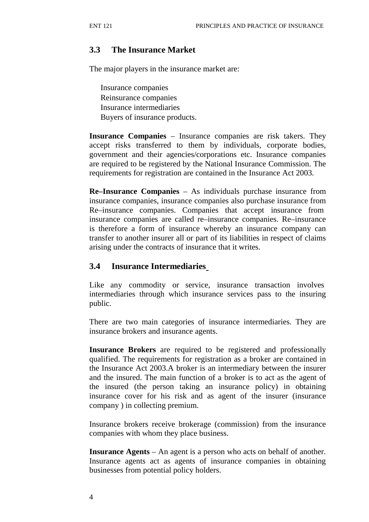## **3.3 The Insurance Market**

The major players in the insurance market are:

Insurance companies Reinsurance companies Insurance intermediaries Buyers of insurance products.

**Insurance Companies** – Insurance companies are risk takers. They accept risks transferred to them by individuals, corporate bodies, government and their agencies/corporations etc. Insurance companies are required to be registered by the National Insurance Commission. The requirements for registration are contained in the Insurance Act 2003.

**Re–Insurance Companies** – As individuals purchase insurance from insurance companies, insurance companies also purchase insurance from Re–insurance companies. Companies that accept insurance from insurance companies are called re–insurance companies. Re–insurance is therefore a form of insurance whereby an insurance company can transfer to another insurer all or part of its liabilities in respect of claims arising under the contracts of insurance that it writes.

## **3.4 Insurance Intermediaries**

Like any commodity or service, insurance transaction involves intermediaries through which insurance services pass to the insuring public.

There are two main categories of insurance intermediaries. They are insurance brokers and insurance agents.

**Insurance Brokers** are required to be registered and professionally qualified. The requirements for registration as a broker are contained in the Insurance Act 2003.A broker is an intermediary between the insurer and the insured. The main function of a broker is to act as the agent of the insured (the person taking an insurance policy) in obtaining insurance cover for his risk and as agent of the insurer (insurance company ) in collecting premium.

Insurance brokers receive brokerage (commission) from the insurance companies with whom they place business.

**Insurance Agents** – An agent is a person who acts on behalf of another. Insurance agents act as agents of insurance companies in obtaining businesses from potential policy holders.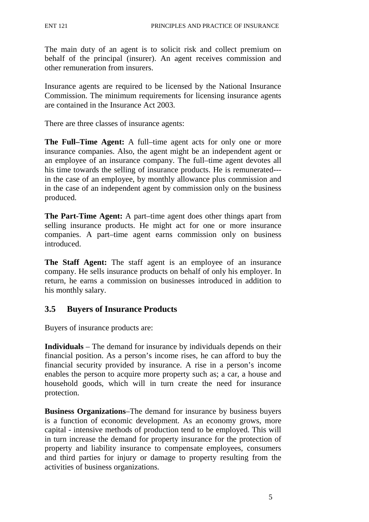The main duty of an agent is to solicit risk and collect premium on behalf of the principal (insurer). An agent receives commission and other remuneration from insurers.

Insurance agents are required to be licensed by the National Insurance Commission. The minimum requirements for licensing insurance agents are contained in the Insurance Act 2003.

There are three classes of insurance agents:

**The Full–Time Agent:** A full–time agent acts for only one or more insurance companies. Also, the agent might be an independent agent or an employee of an insurance company. The full–time agent devotes all his time towards the selling of insurance products. He is remunerated-- in the case of an employee, by monthly allowance plus commission and in the case of an independent agent by commission only on the business produced.

**The Part-Time Agent:** A part–time agent does other things apart from selling insurance products. He might act for one or more insurance companies. A part–time agent earns commission only on business introduced.

**The Staff Agent:** The staff agent is an employee of an insurance company. He sells insurance products on behalf of only his employer. In return, he earns a commission on businesses introduced in addition to his monthly salary.

#### **3.5 Buyers of Insurance Products**

Buyers of insurance products are:

**Individuals** – The demand for insurance by individuals depends on their financial position. As a person's income rises, he can afford to buy the financial security provided by insurance. A rise in a person's income enables the person to acquire more property such as; a car, a house and household goods, which will in turn create the need for insurance protection.

**Business Organizations**–The demand for insurance by business buyers is a function of economic development. As an economy grows, more capital - intensive methods of production tend to be employed. This will in turn increase the demand for property insurance for the protection of property and liability insurance to compensate employees, consumers and third parties for injury or damage to property resulting from the activities of business organizations.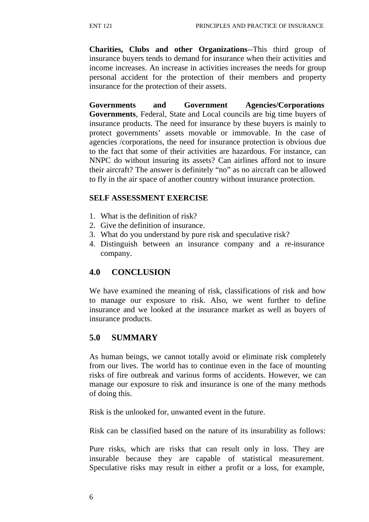**Charities, Clubs and other Organizations**--This third group of insurance buyers tends to demand for insurance when their activities and income increases. An increase in activities increases the needs for group personal accident for the protection of their members and property insurance for the protection of their assets.

**Governments and Government Agencies/Corporations Governments**, Federal, State and Local councils are big time buyers of insurance products. The need for insurance by these buyers is mainly to protect governments' assets movable or immovable. In the case of agencies /corporations, the need for insurance protection is obvious due to the fact that some of their activities are hazardous. For instance, can NNPC do without insuring its assets? Can airlines afford not to insure their aircraft? The answer is definitely "no" as no aircraft can be allowed to fly in the air space of another country without insurance protection.

#### **SELF ASSESSMENT EXERCISE**

- 1. What is the definition of risk?
- 2. Give the definition of insurance.
- 3. What do you understand by pure risk and speculative risk?
- 4. Distinguish between an insurance company and a re-insurance company.

## **4.0 CONCLUSION**

We have examined the meaning of risk, classifications of risk and how to manage our exposure to risk. Also, we went further to define insurance and we looked at the insurance market as well as buyers of insurance products.

## **5.0 SUMMARY**

As human beings, we cannot totally avoid or eliminate risk completely from our lives. The world has to continue even in the face of mounting risks of fire outbreak and various forms of accidents. However, we can manage our exposure to risk and insurance is one of the many methods of doing this.

Risk is the unlooked for, unwanted event in the future.

Risk can be classified based on the nature of its insurability as follows:

Pure risks, which are risks that can result only in loss. They are insurable because they are capable of statistical measurement. Speculative risks may result in either a profit or a loss, for example,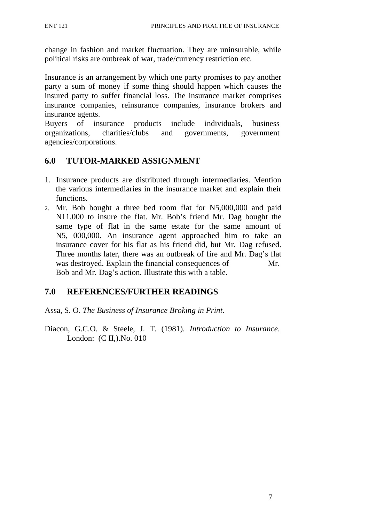change in fashion and market fluctuation. They are uninsurable, while political risks are outbreak of war, trade/currency restriction etc.

Insurance is an arrangement by which one party promises to pay another party a sum of money if some thing should happen which causes the insured party to suffer financial loss. The insurance market comprises insurance companies, reinsurance companies, insurance brokers and insurance agents.

Buyers of insurance products include individuals, business organizations, charities/clubs and governments, government agencies/corporations.

## **6.0 TUTOR-MARKED ASSIGNMENT**

- 1. Insurance products are distributed through intermediaries. Mention the various intermediaries in the insurance market and explain their functions.
- 2. Mr. Bob bought a three bed room flat for N5,000,000 and paid N11,000 to insure the flat. Mr. Bob's friend Mr. Dag bought the same type of flat in the same estate for the same amount of N5, 000,000. An insurance agent approached him to take an insurance cover for his flat as his friend did, but Mr. Dag refused. Three months later, there was an outbreak of fire and Mr. Dag's flat was destroyed. Explain the financial consequences of Mr. Bob and Mr. Dag's action. Illustrate this with a table.

## **7.0 REFERENCES/FURTHER READINGS**

Assa, S. O. *The Business of Insurance Broking in Print*.

Diacon, G.C.O. & Steele, J. T. (1981). *Introduction to Insurance*. London: (C II,).No. 010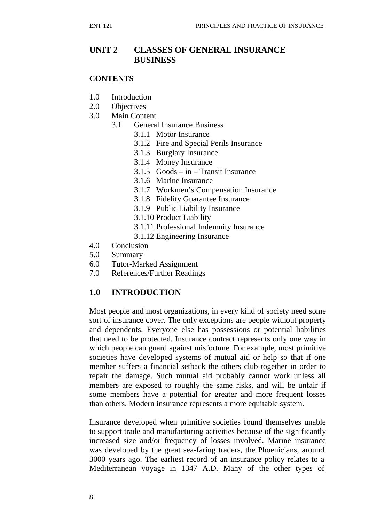## **UNIT 2 CLASSES OF GENERAL INSURANCE BUSINESS**

#### **CONTENTS**

- 1.0 Introduction
- 2.0 Objectives
- 3.0 Main Content
	- 3.1 General Insurance Business
		- 3.1.1 Motor Insurance
		- 3.1.2 Fire and Special Perils Insurance
		- 3.1.3 Burglary Insurance
		- 3.1.4 Money Insurance
		- 3.1.5 Goods in Transit Insurance
		- 3.1.6 Marine Insurance
		- 3.1.7 Workmen's Compensation Insurance
		- 3.1.8 Fidelity Guarantee Insurance
		- 3.1.9 Public Liability Insurance
		- 3.1.10 Product Liability
		- 3.1.11 Professional Indemnity Insurance
		- 3.1.12 Engineering Insurance
- 4.0 Conclusion
- 5.0 Summary
- 6.0 Tutor-Marked Assignment
- 7.0 References/Further Readings

## **1.0 INTRODUCTION**

Most people and most organizations, in every kind of society need some sort of insurance cover. The only exceptions are people without property and dependents. Everyone else has possessions or potential liabilities that need to be protected. Insurance contract represents only one way in which people can guard against misfortune. For example, most primitive societies have developed systems of mutual aid or help so that if one member suffers a financial setback the others club together in order to repair the damage. Such mutual aid probably cannot work unless all members are exposed to roughly the same risks, and will be unfair if some members have a potential for greater and more frequent losses than others. Modern insurance represents a more equitable system.

Insurance developed when primitive societies found themselves unable to support trade and manufacturing activities because of the significantly increased size and/or frequency of losses involved. Marine insurance was developed by the great sea-faring traders, the Phoenicians, around 3000 years ago. The earliest record of an insurance policy relates to a Mediterranean voyage in 1347 A.D. Many of the other types of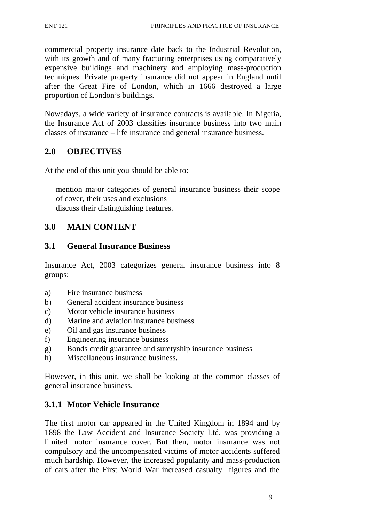commercial property insurance date back to the Industrial Revolution, with its growth and of many fracturing enterprises using comparatively expensive buildings and machinery and employing mass-production techniques. Private property insurance did not appear in England until after the Great Fire of London, which in 1666 destroyed a large proportion of London's buildings.

Nowadays, a wide variety of insurance contracts is available. In Nigeria, the Insurance Act of 2003 classifies insurance business into two main classes of insurance – life insurance and general insurance business.

## **2.0 OBJECTIVES**

At the end of this unit you should be able to:

mention major categories of general insurance business their scope of cover, their uses and exclusions discuss their distinguishing features.

## **3.0 MAIN CONTENT**

## **3.1 General Insurance Business**

Insurance Act, 2003 categorizes general insurance business into 8 groups:

- a) Fire insurance business
- b) General accident insurance business
- c) Motor vehicle insurance business
- d) Marine and aviation insurance business
- e) Oil and gas insurance business
- f) Engineering insurance business
- g) Bonds credit guarantee and suretyship insurance business
- h) Miscellaneous insurance business.

However, in this unit, we shall be looking at the common classes of general insurance business.

## **3.1.1 Motor Vehicle Insurance**

The first motor car appeared in the United Kingdom in 1894 and by 1898 the Law Accident and Insurance Society Ltd. was providing a limited motor insurance cover. But then, motor insurance was not compulsory and the uncompensated victims of motor accidents suffered much hardship. However, the increased popularity and mass-production of cars after the First World War increased casualty figures and the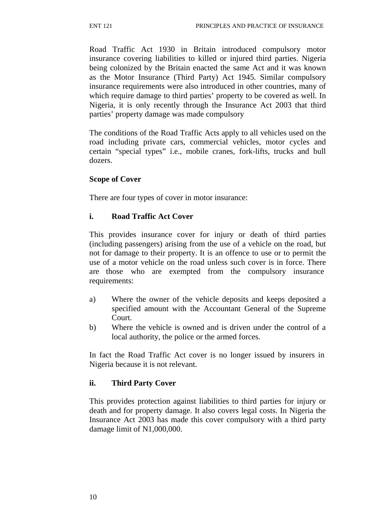Road Traffic Act 1930 in Britain introduced compulsory motor insurance covering liabilities to killed or injured third parties. Nigeria being colonized by the Britain enacted the same Act and it was known as the Motor Insurance (Third Party) Act 1945. Similar compulsory insurance requirements were also introduced in other countries, many of which require damage to third parties' property to be covered as well. In Nigeria, it is only recently through the Insurance Act 2003 that third parties' property damage was made compulsory

The conditions of the Road Traffic Acts apply to all vehicles used on the road including private cars, commercial vehicles, motor cycles and certain "special types" i.e., mobile cranes, fork-lifts, trucks and bull dozers.

#### **Scope of Cover**

There are four types of cover in motor insurance:

#### **i. Road Traffic Act Cover**

This provides insurance cover for injury or death of third parties (including passengers) arising from the use of a vehicle on the road, but not for damage to their property. It is an offence to use or to permit the use of a motor vehicle on the road unless such cover is in force. There are those who are exempted from the compulsory insurance requirements:

- a) Where the owner of the vehicle deposits and keeps deposited a specified amount with the Accountant General of the Supreme Court.
- b) Where the vehicle is owned and is driven under the control of a local authority, the police or the armed forces.

In fact the Road Traffic Act cover is no longer issued by insurers in Nigeria because it is not relevant.

## **ii. Third Party Cover**

This provides protection against liabilities to third parties for injury or death and for property damage. It also covers legal costs. In Nigeria the Insurance Act 2003 has made this cover compulsory with a third party damage limit of N1,000,000.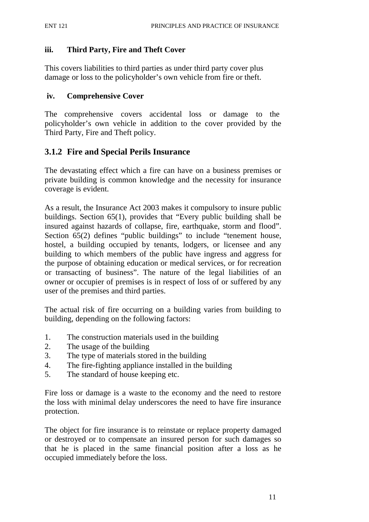#### **iii. Third Party, Fire and Theft Cover**

This covers liabilities to third parties as under third party cover plus damage or loss to the policyholder's own vehicle from fire or theft.

#### **iv. Comprehensive Cover**

The comprehensive covers accidental loss or damage to the policyholder's own vehicle in addition to the cover provided by the Third Party, Fire and Theft policy.

## **3.1.2 Fire and Special Perils Insurance**

The devastating effect which a fire can have on a business premises or private building is common knowledge and the necessity for insurance coverage is evident.

As a result, the Insurance Act 2003 makes it compulsory to insure public buildings. Section 65(1), provides that "Every public building shall be insured against hazards of collapse, fire, earthquake, storm and flood". Section 65(2) defines "public buildings" to include "tenement house, hostel, a building occupied by tenants, lodgers, or licensee and any building to which members of the public have ingress and aggress for the purpose of obtaining education or medical services, or for recreation or transacting of business". The nature of the legal liabilities of an owner or occupier of premises is in respect of loss of or suffered by any user of the premises and third parties.

The actual risk of fire occurring on a building varies from building to building, depending on the following factors:

- 1. The construction materials used in the building
- 2. The usage of the building
- 3. The type of materials stored in the building
- 4. The fire-fighting appliance installed in the building
- 5. The standard of house keeping etc.

Fire loss or damage is a waste to the economy and the need to restore the loss with minimal delay underscores the need to have fire insurance protection.

The object for fire insurance is to reinstate or replace property damaged or destroyed or to compensate an insured person for such damages so that he is placed in the same financial position after a loss as he occupied immediately before the loss.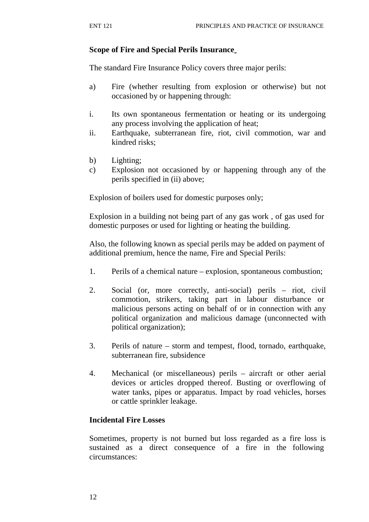## **Scope of Fire and Special Perils Insurance**

The standard Fire Insurance Policy covers three major perils:

- a) Fire (whether resulting from explosion or otherwise) but not occasioned by or happening through:
- i. Its own spontaneous fermentation or heating or its undergoing any process involving the application of heat;
- ii. Earthquake, subterranean fire, riot, civil commotion, war and kindred risks;
- b) Lighting;
- c) Explosion not occasioned by or happening through any of the perils specified in (ii) above;

Explosion of boilers used for domestic purposes only;

Explosion in a building not being part of any gas work , of gas used for domestic purposes or used for lighting or heating the building.

Also, the following known as special perils may be added on payment of additional premium, hence the name, Fire and Special Perils:

- 1. Perils of a chemical nature explosion, spontaneous combustion;
- 2. Social (or, more correctly, anti-social) perils riot, civil commotion, strikers, taking part in labour disturbance or malicious persons acting on behalf of or in connection with any political organization and malicious damage (unconnected with political organization);
- 3. Perils of nature storm and tempest, flood, tornado, earthquake, subterranean fire, subsidence
- 4. Mechanical (or miscellaneous) perils aircraft or other aerial devices or articles dropped thereof. Busting or overflowing of water tanks, pipes or apparatus. Impact by road vehicles, horses or cattle sprinkler leakage.

## **Incidental Fire Losses**

Sometimes, property is not burned but loss regarded as a fire loss is sustained as a direct consequence of a fire in the following circumstances: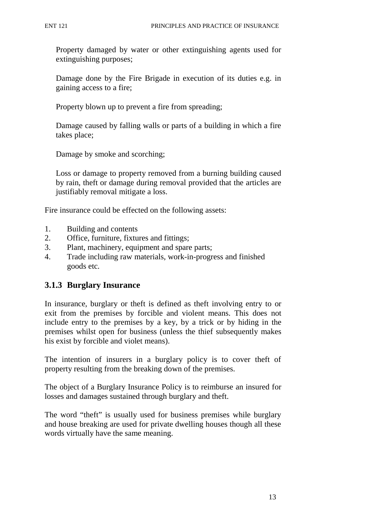Property damaged by water or other extinguishing agents used for extinguishing purposes;

Damage done by the Fire Brigade in execution of its duties e.g. in gaining access to a fire;

Property blown up to prevent a fire from spreading;

Damage caused by falling walls or parts of a building in which a fire takes place;

Damage by smoke and scorching;

Loss or damage to property removed from a burning building caused by rain, theft or damage during removal provided that the articles are justifiably removal mitigate a loss.

Fire insurance could be effected on the following assets:

- 1. Building and contents
- 2. Office, furniture, fixtures and fittings;
- 3. Plant, machinery, equipment and spare parts;
- 4. Trade including raw materials, work-in-progress and finished goods etc.

## **3.1.3 Burglary Insurance**

In insurance, burglary or theft is defined as theft involving entry to or exit from the premises by forcible and violent means. This does not include entry to the premises by a key, by a trick or by hiding in the premises whilst open for business (unless the thief subsequently makes his exist by forcible and violet means).

The intention of insurers in a burglary policy is to cover theft of property resulting from the breaking down of the premises.

The object of a Burglary Insurance Policy is to reimburse an insured for losses and damages sustained through burglary and theft.

The word "theft" is usually used for business premises while burglary and house breaking are used for private dwelling houses though all these words virtually have the same meaning.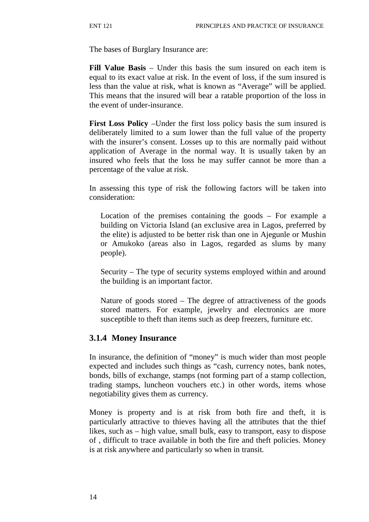The bases of Burglary Insurance are:

**Fill Value Basis** – Under this basis the sum insured on each item is equal to its exact value at risk. In the event of loss, if the sum insured is less than the value at risk, what is known as "Average" will be applied. This means that the insured will bear a ratable proportion of the loss in the event of under-insurance.

**First Loss Policy** –Under the first loss policy basis the sum insured is deliberately limited to a sum lower than the full value of the property with the insurer's consent. Losses up to this are normally paid without application of Average in the normal way. It is usually taken by an insured who feels that the loss he may suffer cannot be more than a percentage of the value at risk.

In assessing this type of risk the following factors will be taken into consideration:

Location of the premises containing the goods – For example a building on Victoria Island (an exclusive area in Lagos, preferred by the elite) is adjusted to be better risk than one in Ajegunle or Mushin or Amukoko (areas also in Lagos, regarded as slums by many people).

Security – The type of security systems employed within and around the building is an important factor.

Nature of goods stored – The degree of attractiveness of the goods stored matters. For example, jewelry and electronics are more susceptible to theft than items such as deep freezers, furniture etc.

#### **3.1.4 Money Insurance**

In insurance, the definition of "money" is much wider than most people expected and includes such things as "cash, currency notes, bank notes, bonds, bills of exchange, stamps (not forming part of a stamp collection, trading stamps, luncheon vouchers etc.) in other words, items whose negotiability gives them as currency.

Money is property and is at risk from both fire and theft, it is particularly attractive to thieves having all the attributes that the thief likes, such as – high value, small bulk, easy to transport, easy to dispose of , difficult to trace available in both the fire and theft policies. Money is at risk anywhere and particularly so when in transit.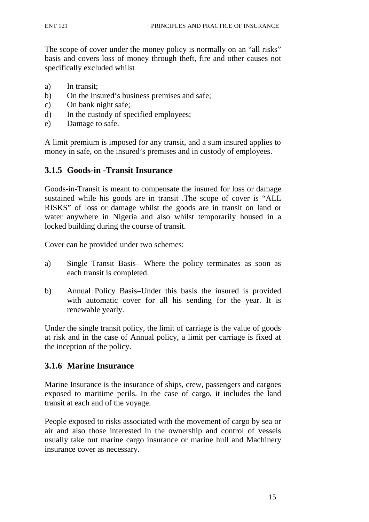The scope of cover under the money policy is normally on an "all risks" basis and covers loss of money through theft, fire and other causes not specifically excluded whilst

- a) In transit;
- b) On the insured's business premises and safe;
- c) On bank night safe;
- d) In the custody of specified employees;
- e) Damage to safe.

A limit premium is imposed for any transit, and a sum insured applies to money in safe, on the insured's premises and in custody of employees.

#### **3.1.5 Goods-in -Transit Insurance**

Goods-in-Transit is meant to compensate the insured for loss or damage sustained while his goods are in transit .The scope of cover is "ALL RISKS" of loss or damage whilst the goods are in transit on land or water anywhere in Nigeria and also whilst temporarily housed in a locked building during the course of transit.

Cover can be provided under two schemes:

- a) Single Transit Basis– Where the policy terminates as soon as each transit is completed.
- b) Annual Policy Basis–Under this basis the insured is provided with automatic cover for all his sending for the year. It is renewable yearly.

Under the single transit policy, the limit of carriage is the value of goods at risk and in the case of Annual policy, a limit per carriage is fixed at the inception of the policy.

## **3.1.6 Marine Insurance**

Marine Insurance is the insurance of ships, crew, passengers and cargoes exposed to maritime perils. In the case of cargo, it includes the land transit at each and of the voyage.

People exposed to risks associated with the movement of cargo by sea or air and also those interested in the ownership and control of vessels usually take out marine cargo insurance or marine hull and Machinery insurance cover as necessary.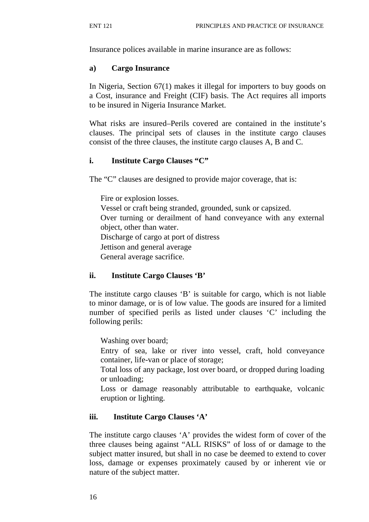Insurance polices available in marine insurance are as follows:

#### **a) Cargo Insurance**

In Nigeria, Section 67(1) makes it illegal for importers to buy goods on a Cost, insurance and Freight (CIF) basis. The Act requires all imports to be insured in Nigeria Insurance Market.

What risks are insured–Perils covered are contained in the institute's clauses. The principal sets of clauses in the institute cargo clauses consist of the three clauses, the institute cargo clauses A, B and C.

## **i. Institute Cargo Clauses "C"**

The "C" clauses are designed to provide major coverage, that is:

Fire or explosion losses. Vessel or craft being stranded, grounded, sunk or capsized. Over turning or derailment of hand conveyance with any external object, other than water. Discharge of cargo at port of distress Jettison and general average General average sacrifice.

## **ii. Institute Cargo Clauses 'B'**

The institute cargo clauses 'B' is suitable for cargo, which is not liable to minor damage, or is of low value. The goods are insured for a limited number of specified perils as listed under clauses 'C' including the following perils:

Washing over board;

Entry of sea, lake or river into vessel, craft, hold conveyance container, life-van or place of storage;

Total loss of any package, lost over board, or dropped during loading or unloading;

Loss or damage reasonably attributable to earthquake, volcanic eruption or lighting.

## **iii. Institute Cargo Clauses 'A'**

The institute cargo clauses 'A' provides the widest form of cover of the three clauses being against "ALL RISKS" of loss of or damage to the subject matter insured, but shall in no case be deemed to extend to cover loss, damage or expenses proximately caused by or inherent vie or nature of the subject matter.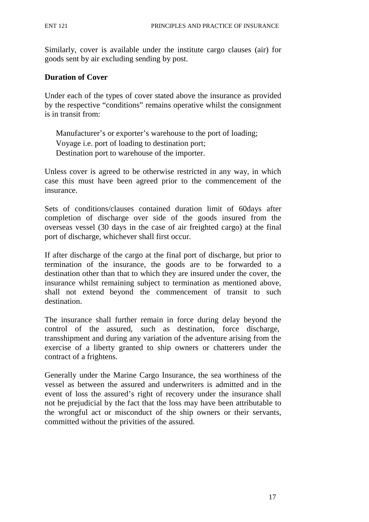Similarly, cover is available under the institute cargo clauses (air) for goods sent by air excluding sending by post.

#### **Duration of Cover**

Under each of the types of cover stated above the insurance as provided by the respective "conditions" remains operative whilst the consignment is in transit from:

Manufacturer's or exporter's warehouse to the port of loading; Voyage i.e. port of loading to destination port; Destination port to warehouse of the importer.

Unless cover is agreed to be otherwise restricted in any way, in which case this must have been agreed prior to the commencement of the insurance.

Sets of conditions/clauses contained duration limit of 60days after completion of discharge over side of the goods insured from the overseas vessel (30 days in the case of air freighted cargo) at the final port of discharge, whichever shall first occur.

If after discharge of the cargo at the final port of discharge, but prior to termination of the insurance, the goods are to be forwarded to a destination other than that to which they are insured under the cover, the insurance whilst remaining subject to termination as mentioned above, shall not extend beyond the commencement of transit to such destination.

The insurance shall further remain in force during delay beyond the control of the assured, such as destination, force discharge, transshipment and during any variation of the adventure arising from the exercise of a liberty granted to ship owners or chatterers under the contract of a frightens.

Generally under the Marine Cargo Insurance, the sea worthiness of the vessel as between the assured and underwriters is admitted and in the event of loss the assured's right of recovery under the insurance shall not be prejudicial by the fact that the loss may have been attributable to the wrongful act or misconduct of the ship owners or their servants, committed without the privities of the assured.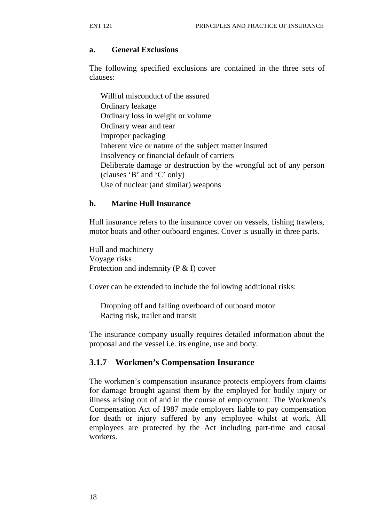#### **a. General Exclusions**

The following specified exclusions are contained in the three sets of clauses:

Willful misconduct of the assured Ordinary leakage Ordinary loss in weight or volume Ordinary wear and tear Improper packaging Inherent vice or nature of the subject matter insured Insolvency or financial default of carriers Deliberate damage or destruction by the wrongful act of any person (clauses 'B' and 'C' only) Use of nuclear (and similar) weapons

#### **b. Marine Hull Insurance**

Hull insurance refers to the insurance cover on vessels, fishing trawlers, motor boats and other outboard engines. Cover is usually in three parts.

Hull and machinery Voyage risks Protection and indemnity (P & I) cover

Cover can be extended to include the following additional risks:

Dropping off and falling overboard of outboard motor Racing risk, trailer and transit

The insurance company usually requires detailed information about the proposal and the vessel i.e. its engine, use and body.

#### **3.1.7 Workmen's Compensation Insurance**

The workmen's compensation insurance protects employers from claims for damage brought against them by the employed for bodily injury or illness arising out of and in the course of employment. The Workmen's Compensation Act of 1987 made employers liable to pay compensation for death or injury suffered by any employee whilst at work. All employees are protected by the Act including part-time and causal workers.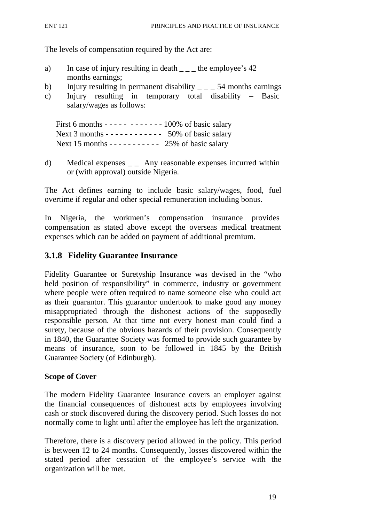The levels of compensation required by the Act are:

- a) In case of injury resulting in death  $\qquad$  the employee's 42 months earnings;
- b) Injury resulting in permanent disability  $\angle$   $\angle$  = 54 months earnings
- c) Injury resulting in temporary total disability Basic salary/wages as follows:

First 6 months - - - - - - - - - - - - 100% of basic salary Next 3 months - - - - - - - - - - - - 50% of basic salary Next 15 months -  $-$  -  $-$  -  $-$  -  $25\%$  of basic salary

d) Medical expenses  $\mathcal{L}$  Any reasonable expenses incurred within or (with approval) outside Nigeria.

The Act defines earning to include basic salary/wages, food, fuel overtime if regular and other special remuneration including bonus.

In Nigeria, the workmen's compensation insurance provides compensation as stated above except the overseas medical treatment expenses which can be added on payment of additional premium.

## **3.1.8 Fidelity Guarantee Insurance**

Fidelity Guarantee or Suretyship Insurance was devised in the "who held position of responsibility" in commerce, industry or government where people were often required to name someone else who could act as their guarantor. This guarantor undertook to make good any money misappropriated through the dishonest actions of the supposedly responsible person. At that time not every honest man could find a surety, because of the obvious hazards of their provision. Consequently in 1840, the Guarantee Society was formed to provide such guarantee by means of insurance, soon to be followed in 1845 by the British Guarantee Society (of Edinburgh).

#### **Scope of Cover**

The modern Fidelity Guarantee Insurance covers an employer against the financial consequences of dishonest acts by employees involving cash or stock discovered during the discovery period. Such losses do not normally come to light until after the employee has left the organization.

Therefore, there is a discovery period allowed in the policy. This period is between 12 to 24 months. Consequently, losses discovered within the stated period after cessation of the employee's service with the organization will be met.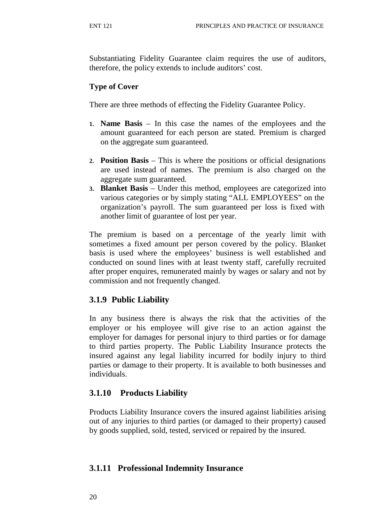Substantiating Fidelity Guarantee claim requires the use of auditors, therefore, the policy extends to include auditors' cost.

#### **Type of Cover**

There are three methods of effecting the Fidelity Guarantee Policy.

- **1. Name Basis**  In this case the names of the employees and the amount guaranteed for each person are stated. Premium is charged on the aggregate sum guaranteed.
- **2. Position Basis**  This is where the positions or official designations are used instead of names. The premium is also charged on the aggregate sum guaranteed.
- **3. Blanket Basis**  Under this method, employees are categorized into various categories or by simply stating "ALL EMPLOYEES" on the organization's payroll. The sum guaranteed per loss is fixed with another limit of guarantee of lost per year.

The premium is based on a percentage of the yearly limit with sometimes a fixed amount per person covered by the policy. Blanket basis is used where the employees' business is well established and conducted on sound lines with at least twenty staff, carefully recruited after proper enquires, remunerated mainly by wages or salary and not by commission and not frequently changed.

## **3.1.9 Public Liability**

In any business there is always the risk that the activities of the employer or his employee will give rise to an action against the employer for damages for personal injury to third parties or for damage to third parties property. The Public Liability Insurance protects the insured against any legal liability incurred for bodily injury to third parties or damage to their property. It is available to both businesses and individuals.

## **3.1.10 Products Liability**

Products Liability Insurance covers the insured against liabilities arising out of any injuries to third parties (or damaged to their property) caused by goods supplied, sold, tested, serviced or repaired by the insured.

## **3.1.11 Professional Indemnity Insurance**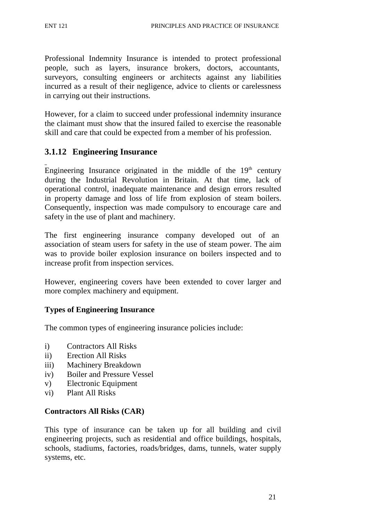Professional Indemnity Insurance is intended to protect professional people, such as layers, insurance brokers, doctors, accountants, surveyors, consulting engineers or architects against any liabilities incurred as a result of their negligence, advice to clients or carelessness in carrying out their instructions.

However, for a claim to succeed under professional indemnity insurance the claimant must show that the insured failed to exercise the reasonable skill and care that could be expected from a member of his profession.

## **3.1.12 Engineering Insurance**

Engineering Insurance originated in the middle of the  $19<sup>th</sup>$  century during the Industrial Revolution in Britain. At that time, lack of operational control, inadequate maintenance and design errors resulted in property damage and loss of life from explosion of steam boilers. Consequently, inspection was made compulsory to encourage care and safety in the use of plant and machinery.

The first engineering insurance company developed out of an association of steam users for safety in the use of steam power. The aim was to provide boiler explosion insurance on boilers inspected and to increase profit from inspection services.

However, engineering covers have been extended to cover larger and more complex machinery and equipment.

## **Types of Engineering Insurance**

The common types of engineering insurance policies include:

- i) Contractors All Risks
- ii) Erection All Risks
- iii) Machinery Breakdown
- iv) Boiler and Pressure Vessel
- v) Electronic Equipment
- vi) Plant All Risks

#### **Contractors All Risks (CAR)**

This type of insurance can be taken up for all building and civil engineering projects, such as residential and office buildings, hospitals, schools, stadiums, factories, roads/bridges, dams, tunnels, water supply systems, etc.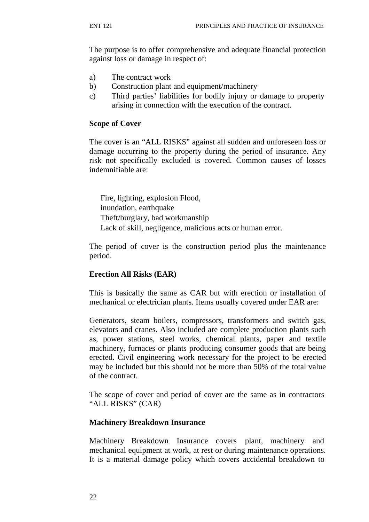The purpose is to offer comprehensive and adequate financial protection against loss or damage in respect of:

- a) The contract work
- b) Construction plant and equipment/machinery
- c) Third parties' liabilities for bodily injury or damage to property arising in connection with the execution of the contract.

#### **Scope of Cover**

The cover is an "ALL RISKS" against all sudden and unforeseen loss or damage occurring to the property during the period of insurance. Any risk not specifically excluded is covered. Common causes of losses indemnifiable are:

Fire, lighting, explosion Flood, inundation, earthquake Theft/burglary, bad workmanship Lack of skill, negligence, malicious acts or human error.

The period of cover is the construction period plus the maintenance period.

#### **Erection All Risks (EAR)**

This is basically the same as CAR but with erection or installation of mechanical or electrician plants. Items usually covered under EAR are:

Generators, steam boilers, compressors, transformers and switch gas, elevators and cranes. Also included are complete production plants such as, power stations, steel works, chemical plants, paper and textile machinery, furnaces or plants producing consumer goods that are being erected. Civil engineering work necessary for the project to be erected may be included but this should not be more than 50% of the total value of the contract.

The scope of cover and period of cover are the same as in contractors "ALL RISKS" (CAR)

#### **Machinery Breakdown Insurance**

Machinery Breakdown Insurance covers plant, machinery and mechanical equipment at work, at rest or during maintenance operations. It is a material damage policy which covers accidental breakdown to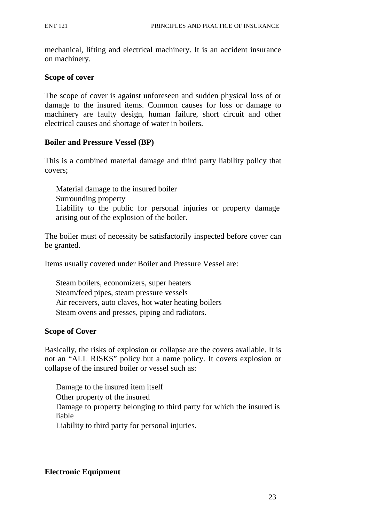mechanical, lifting and electrical machinery. It is an accident insurance on machinery.

#### **Scope of cover**

The scope of cover is against unforeseen and sudden physical loss of or damage to the insured items. Common causes for loss or damage to machinery are faulty design, human failure, short circuit and other electrical causes and shortage of water in boilers.

#### **Boiler and Pressure Vessel (BP)**

This is a combined material damage and third party liability policy that covers;

Material damage to the insured boiler Surrounding property Liability to the public for personal injuries or property damage arising out of the explosion of the boiler.

The boiler must of necessity be satisfactorily inspected before cover can be granted.

Items usually covered under Boiler and Pressure Vessel are:

Steam boilers, economizers, super heaters Steam/feed pipes, steam pressure vessels Air receivers, auto claves, hot water heating boilers Steam ovens and presses, piping and radiators.

#### **Scope of Cover**

Basically, the risks of explosion or collapse are the covers available. It is not an "ALL RISKS" policy but a name policy. It covers explosion or collapse of the insured boiler or vessel such as:

Damage to the insured item itself Other property of the insured Damage to property belonging to third party for which the insured is liable Liability to third party for personal injuries.

## **Electronic Equipment**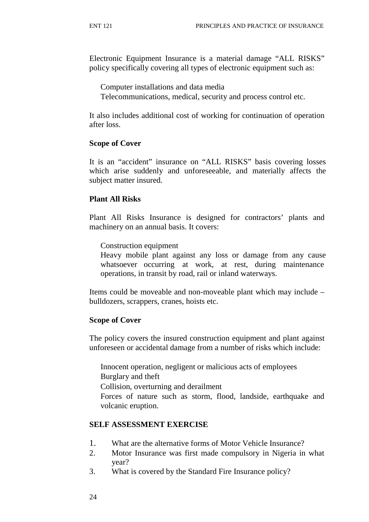Electronic Equipment Insurance is a material damage "ALL RISKS" policy specifically covering all types of electronic equipment such as:

Computer installations and data media

Telecommunications, medical, security and process control etc.

It also includes additional cost of working for continuation of operation after loss.

#### **Scope of Cover**

It is an "accident" insurance on "ALL RISKS" basis covering losses which arise suddenly and unforeseeable, and materially affects the subject matter insured.

#### **Plant All Risks**

Plant All Risks Insurance is designed for contractors' plants and machinery on an annual basis. It covers:

Construction equipment

Heavy mobile plant against any loss or damage from any cause whatsoever occurring at work, at rest, during maintenance operations, in transit by road, rail or inland waterways.

Items could be moveable and non-moveable plant which may include – bulldozers, scrappers, cranes, hoists etc.

## **Scope of Cover**

The policy covers the insured construction equipment and plant against unforeseen or accidental damage from a number of risks which include:

Innocent operation, negligent or malicious acts of employees Burglary and theft

Collision, overturning and derailment

Forces of nature such as storm, flood, landside, earthquake and volcanic eruption.

## **SELF ASSESSMENT EXERCISE**

- 1. What are the alternative forms of Motor Vehicle Insurance?
- 2. Motor Insurance was first made compulsory in Nigeria in what year?
- 3. What is covered by the Standard Fire Insurance policy?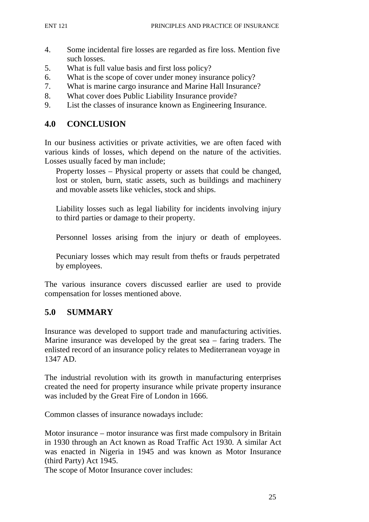- 4. Some incidental fire losses are regarded as fire loss. Mention five such losses.
- 5. What is full value basis and first loss policy?
- 6. What is the scope of cover under money insurance policy?
- 7. What is marine cargo insurance and Marine Hall Insurance?
- 8. What cover does Public Liability Insurance provide?
- 9. List the classes of insurance known as Engineering Insurance.

### **4.0 CONCLUSION**

In our business activities or private activities, we are often faced with various kinds of losses, which depend on the nature of the activities. Losses usually faced by man include;

Property losses – Physical property or assets that could be changed, lost or stolen, burn, static assets, such as buildings and machinery and movable assets like vehicles, stock and ships.

Liability losses such as legal liability for incidents involving injury to third parties or damage to their property.

Personnel losses arising from the injury or death of employees.

Pecuniary losses which may result from thefts or frauds perpetrated by employees.

The various insurance covers discussed earlier are used to provide compensation for losses mentioned above.

## **5.0 SUMMARY**

Insurance was developed to support trade and manufacturing activities. Marine insurance was developed by the great sea – faring traders. The enlisted record of an insurance policy relates to Mediterranean voyage in 1347 AD.

The industrial revolution with its growth in manufacturing enterprises created the need for property insurance while private property insurance was included by the Great Fire of London in 1666.

Common classes of insurance nowadays include:

Motor insurance – motor insurance was first made compulsory in Britain in 1930 through an Act known as Road Traffic Act 1930. A similar Act was enacted in Nigeria in 1945 and was known as Motor Insurance (third Party) Act 1945.

The scope of Motor Insurance cover includes: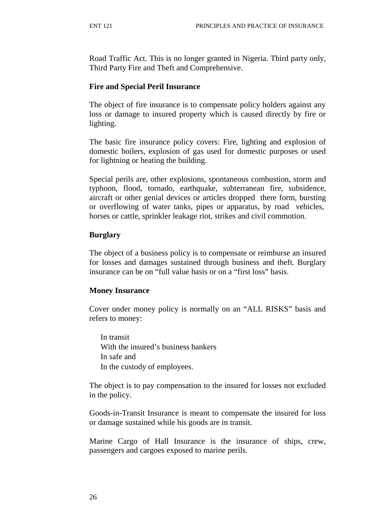Road Traffic Act. This is no longer granted in Nigeria. Third party only, Third Party Fire and Theft and Comprehensive.

#### **Fire and Special Peril Insurance**

The object of fire insurance is to compensate policy holders against any loss or damage to insured property which is caused directly by fire or lighting.

The basic fire insurance policy covers: Fire, lighting and explosion of domestic boilers, explosion of gas used for domestic purposes or used for lightning or heating the building.

Special perils are, other explosions, spontaneous combustion, storm and typhoon, flood, tornado, earthquake, subterranean fire, subsidence, aircraft or other genial devices or articles dropped there form, bursting or overflowing of water tanks, pipes or apparatus, by road vehicles, horses or cattle, sprinkler leakage riot, strikes and civil commotion.

#### **Burglary**

The object of a business policy is to compensate or reimburse an insured for losses and damages sustained through business and theft. Burglary insurance can be on "full value basis or on a "first loss" basis.

#### **Money Insurance**

Cover under money policy is normally on an "ALL RISKS" basis and refers to money:

In transit With the insured's business bankers In safe and In the custody of employees.

The object is to pay compensation to the insured for losses not excluded in the policy.

Goods-in-Transit Insurance is meant to compensate the insured for loss or damage sustained while his goods are in transit.

Marine Cargo of Hall Insurance is the insurance of ships, crew, passengers and cargoes exposed to marine perils.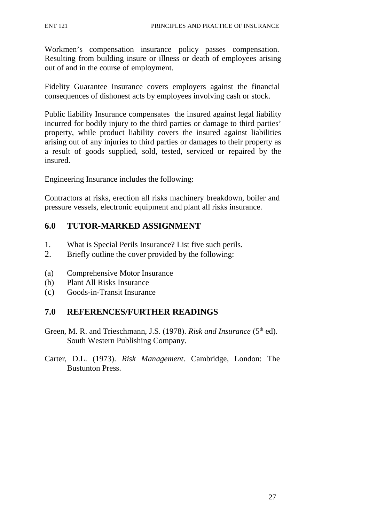Workmen's compensation insurance policy passes compensation. Resulting from building insure or illness or death of employees arising out of and in the course of employment.

Fidelity Guarantee Insurance covers employers against the financial consequences of dishonest acts by employees involving cash or stock.

Public liability Insurance compensates the insured against legal liability incurred for bodily injury to the third parties or damage to third parties' property, while product liability covers the insured against liabilities arising out of any injuries to third parties or damages to their property as a result of goods supplied, sold, tested, serviced or repaired by the insured.

Engineering Insurance includes the following:

Contractors at risks, erection all risks machinery breakdown, boiler and pressure vessels, electronic equipment and plant all risks insurance.

## **6.0 TUTOR-MARKED ASSIGNMENT**

- 1. What is Special Perils Insurance? List five such perils.
- 2. Briefly outline the cover provided by the following:
- (a) Comprehensive Motor Insurance
- (b) Plant All Risks Insurance
- (c) Goods-in-Transit Insurance

## **7.0 REFERENCES/FURTHER READINGS**

- Green, M. R. and Trieschmann, J.S. (1978). *Risk and Insurance* (5<sup>th</sup> ed). South Western Publishing Company.
- Carter, D.L. (1973). *Risk Management*. Cambridge, London: The Bustunton Press.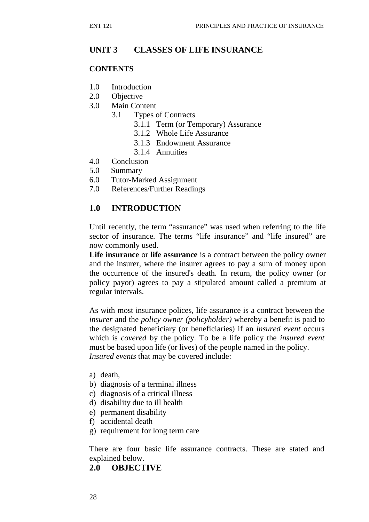## **UNIT 3 CLASSES OF LIFE INSURANCE**

#### **CONTENTS**

- 1.0 Introduction
- 2.0 Objective
- 3.0 Main Content
	- 3.1 Types of Contracts
		- 3.1.1 Term (or Temporary) Assurance
		- 3.1.2 Whole Life Assurance
		- 3.1.3 Endowment Assurance
		- 3.1.4 Annuities
- 4.0 Conclusion
- 5.0 Summary
- 6.0 Tutor-Marked Assignment
- 7.0 References/Further Readings

## **1.0 INTRODUCTION**

Until recently, the term "assurance" was used when referring to the life sector of insurance. The terms "life insurance" and "life insured" are now commonly used.

**Life insurance** or **life assurance** is a contract between the policy owner and the insurer, where the insurer agrees to pay a sum of money upon the occurrence of the insured's death. In return, the policy owner (or policy payor) agrees to pay a stipulated amount called a premium at regular intervals.

As with most insurance polices, life assurance is a contract between the *insurer* and the *policy owner (policyholder)* whereby a benefit is paid to the designated beneficiary (or beneficiaries) if an *insured event* occurs which is *covered* by the policy. To be a life policy the *insured event*  must be based upon life (or lives) of the people named in the policy. *Insured events* that may be covered include:

- a) death,
- b) diagnosis of a terminal illness
- c) diagnosis of a critical illness
- d) disability due to ill health
- e) permanent disability
- f) accidental death
- g) requirement for long term care

There are four basic life assurance contracts. These are stated and explained below.

## **2.0 OBJECTIVE**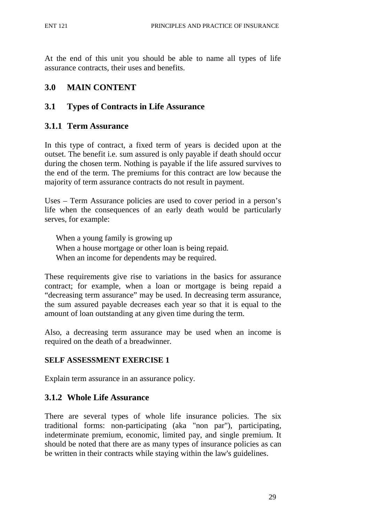At the end of this unit you should be able to name all types of life assurance contracts, their uses and benefits.

## **3.0 MAIN CONTENT**

## **3.1 Types of Contracts in Life Assurance**

## **3.1.1 Term Assurance**

In this type of contract, a fixed term of years is decided upon at the outset. The benefit i.e. sum assured is only payable if death should occur during the chosen term. Nothing is payable if the life assured survives to the end of the term. The premiums for this contract are low because the majority of term assurance contracts do not result in payment.

Uses – Term Assurance policies are used to cover period in a person's life when the consequences of an early death would be particularly serves, for example:

When a young family is growing up When a house mortgage or other loan is being repaid. When an income for dependents may be required.

These requirements give rise to variations in the basics for assurance contract; for example, when a loan or mortgage is being repaid a "decreasing term assurance" may be used. In decreasing term assurance, the sum assured payable decreases each year so that it is equal to the amount of loan outstanding at any given time during the term.

Also, a decreasing term assurance may be used when an income is required on the death of a breadwinner.

## **SELF ASSESSMENT EXERCISE 1**

Explain term assurance in an assurance policy.

## **3.1.2 Whole Life Assurance**

There are several types of whole life insurance policies. The six traditional forms: non-participating (aka "non par"), participating, indeterminate premium, economic, limited pay, and single premium. It should be noted that there are as many types of insurance policies as can be written in their contracts while staying within the law's guidelines.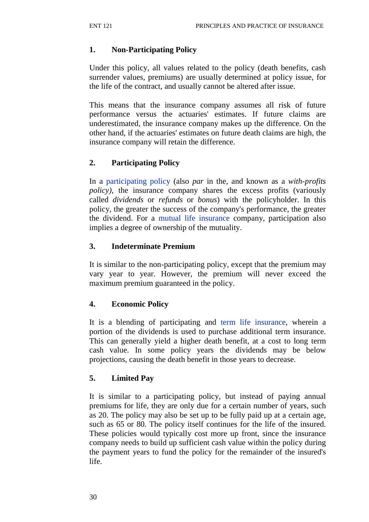## **1. Non-Participating Policy**

Under this policy, all values related to the policy (death benefits, cash surrender values, premiums) are usually determined at policy issue, for the life of the contract, and usually cannot be altered after issue.

This means that the insurance company assumes all risk of future performance versus the actuaries' estimates. If future claims are underestimated, the insurance company makes up the difference. On the other hand, if the actuaries' estimates on future death claims are high, the insurance company will retain the difference.

# **2. Participating Policy**

In a participating policy (also *par* in the, and known as a *with-profits policy)*, the insurance company shares the excess profits (variously called *dividends* or *refunds* or *bonus*) with the policyholder. In this policy, the greater the success of the company's performance, the greater the dividend. For a mutual life insurance company, participation also implies a degree of ownership of the mutuality.

# **3. Indeterminate Premium**

It is similar to the non-participating policy, except that the premium may vary year to year. However, the premium will never exceed the maximum premium guaranteed in the policy.

# **4. Economic Policy**

It is a blending of participating and term life insurance, wherein a portion of the dividends is used to purchase additional term insurance. This can generally yield a higher death benefit, at a cost to long term cash value. In some policy years the dividends may be below projections, causing the death benefit in those years to decrease.

## **5. Limited Pay**

It is similar to a participating policy, but instead of paying annual premiums for life, they are only due for a certain number of years, such as 20. The policy may also be set up to be fully paid up at a certain age, such as 65 or 80. The policy itself continues for the life of the insured. These policies would typically cost more up front, since the insurance company needs to build up sufficient cash value within the policy during the payment years to fund the policy for the remainder of the insured's life.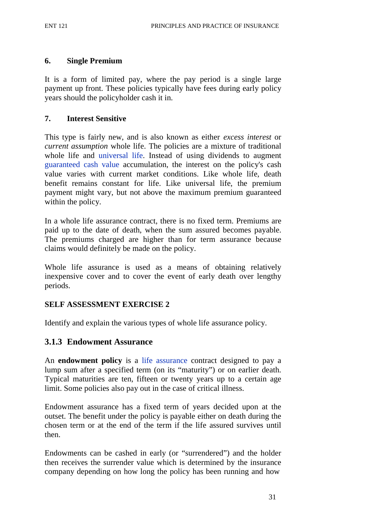#### **6. Single Premium**

It is a form of limited pay, where the pay period is a single large payment up front. These policies typically have fees during early policy years should the policyholder cash it in.

#### **7. Interest Sensitive**

This type is fairly new, and is also known as either *excess interest* or *current assumption* whole life. The policies are a mixture of traditional whole life and universal life. Instead of using dividends to augment guaranteed cash value accumulation, the interest on the policy's cash value varies with current market conditions. Like whole life, death benefit remains constant for life. Like universal life, the premium payment might vary, but not above the maximum premium guaranteed within the policy.

In a whole life assurance contract, there is no fixed term. Premiums are paid up to the date of death, when the sum assured becomes payable. The premiums charged are higher than for term assurance because claims would definitely be made on the policy.

Whole life assurance is used as a means of obtaining relatively inexpensive cover and to cover the event of early death over lengthy periods.

#### **SELF ASSESSMENT EXERCISE 2**

Identify and explain the various types of whole life assurance policy.

#### **3.1.3 Endowment Assurance**

An **endowment policy** is a life assurance contract designed to pay a lump sum after a specified term (on its "maturity") or on earlier death. Typical maturities are ten, fifteen or twenty years up to a certain age limit. Some policies also pay out in the case of critical illness.

Endowment assurance has a fixed term of years decided upon at the outset. The benefit under the policy is payable either on death during the chosen term or at the end of the term if the life assured survives until then.

Endowments can be cashed in early (or "surrendered") and the holder then receives the surrender value which is determined by the insurance company depending on how long the policy has been running and how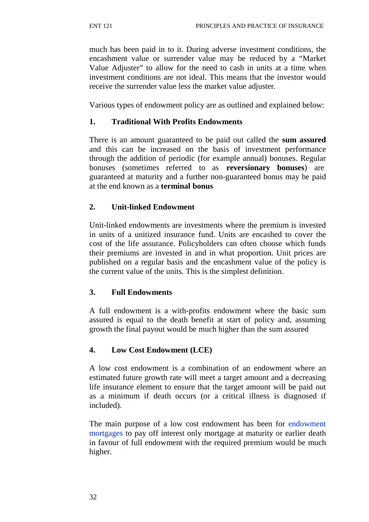much has been paid in to it. During adverse investment conditions, the encashment value or surrender value may be reduced by a "Market Value Adjuster" to allow for the need to cash in units at a time when investment conditions are not ideal. This means that the investor would receive the surrender value less the market value adjuster.

Various types of endowment policy are as outlined and explained below:

## **1. Traditional With Profits Endowments**

There is an amount guaranteed to be paid out called the **sum assured**  and this can be increased on the basis of investment performance through the addition of periodic (for example annual) bonuses. Regular bonuses (sometimes referred to as **reversionary bonuses**) are guaranteed at maturity and a further non-guaranteed bonus may be paid at the end known as a **terminal bonus**

## **2. Unit-linked Endowment**

Unit-linked endowments are investments where the premium is invested in units of a unitized insurance fund. Units are encashed to cover the cost of the life assurance. Policyholders can often choose which funds their premiums are invested in and in what proportion. Unit prices are published on a regular basis and the encashment value of the policy is the current value of the units. This is the simplest definition.

## **3. Full Endowments**

A full endowment is a with-profits endowment where the basic sum assured is equal to the death benefit at start of policy and, assuming growth the final payout would be much higher than the sum assured

## **4. Low Cost Endowment (LCE)**

A low cost endowment is a combination of an endowment where an estimated future growth rate will meet a target amount and a decreasing life insurance element to ensure that the target amount will be paid out as a minimum if death occurs (or a critical illness is diagnosed if included).

The main purpose of a low cost endowment has been for endowment mortgages to pay off interest only mortgage at maturity or earlier death in favour of full endowment with the required premium would be much higher.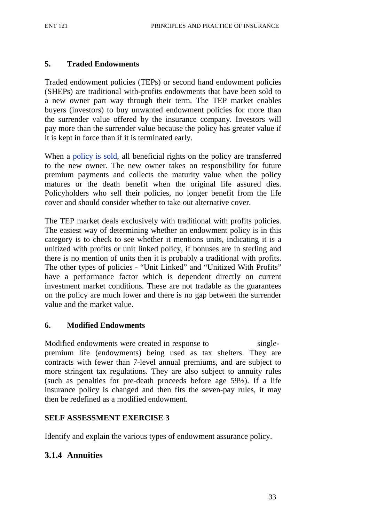#### **5. Traded Endowments**

Traded endowment policies (TEPs) or second hand endowment policies (SHEPs) are traditional with-profits endowments that have been sold to a new owner part way through their term. The TEP market enables buyers (investors) to buy unwanted endowment policies for more than the surrender value offered by the insurance company. Investors will pay more than the surrender value because the policy has greater value if it is kept in force than if it is terminated early.

When a policy is sold, all beneficial rights on the policy are transferred to the new owner. The new owner takes on responsibility for future premium payments and collects the maturity value when the policy matures or the death benefit when the original life assured dies. Policyholders who sell their policies, no longer benefit from the life cover and should consider whether to take out alternative cover.

The TEP market deals exclusively with traditional with profits policies. The easiest way of determining whether an endowment policy is in this category is to check to see whether it mentions units, indicating it is a unitized with profits or unit linked policy, if bonuses are in sterling and there is no mention of units then it is probably a traditional with profits. The other types of policies - "Unit Linked" and "Unitized With Profits" have a performance factor which is dependent directly on current investment market conditions. These are not tradable as the guarantees on the policy are much lower and there is no gap between the surrender value and the market value.

#### **6. Modified Endowments**

Modified endowments were created in response to singlepremium life (endowments) being used as tax shelters. They are contracts with fewer than 7-level annual premiums, and are subject to more stringent tax regulations. They are also subject to annuity rules (such as penalties for pre-death proceeds before age 59½). If a life insurance policy is changed and then fits the seven-pay rules, it may then be redefined as a modified endowment.

#### **SELF ASSESSMENT EXERCISE 3**

Identify and explain the various types of endowment assurance policy.

## **3.1.4 Annuities**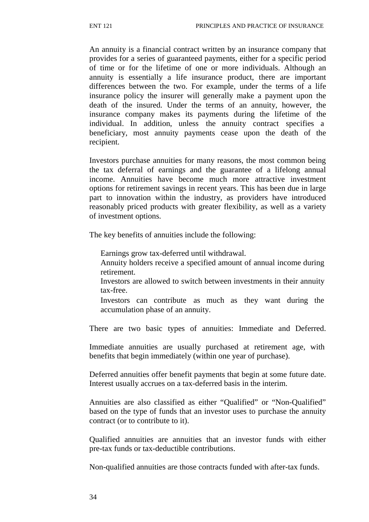An annuity is a financial contract written by an insurance company that provides for a series of guaranteed payments, either for a specific period of time or for the lifetime of one or more individuals. Although an annuity is essentially a life insurance product, there are important differences between the two. For example, under the terms of a life insurance policy the insurer will generally make a payment upon the death of the insured. Under the terms of an annuity, however, the insurance company makes its payments during the lifetime of the individual. In addition, unless the annuity contract specifies a beneficiary, most annuity payments cease upon the death of the recipient.

Investors purchase annuities for many reasons, the most common being the tax deferral of earnings and the guarantee of a lifelong annual income. Annuities have become much more attractive investment options for retirement savings in recent years. This has been due in large part to innovation within the industry, as providers have introduced reasonably priced products with greater flexibility, as well as a variety of investment options.

The key benefits of annuities include the following:

Earnings grow tax-deferred until withdrawal.

Annuity holders receive a specified amount of annual income during retirement.

Investors are allowed to switch between investments in their annuity tax-free.

Investors can contribute as much as they want during the accumulation phase of an annuity.

There are two basic types of annuities: Immediate and Deferred.

Immediate annuities are usually purchased at retirement age, with benefits that begin immediately (within one year of purchase).

Deferred annuities offer benefit payments that begin at some future date. Interest usually accrues on a tax-deferred basis in the interim.

Annuities are also classified as either "Qualified" or "Non-Qualified" based on the type of funds that an investor uses to purchase the annuity contract (or to contribute to it).

Qualified annuities are annuities that an investor funds with either pre-tax funds or tax-deductible contributions.

Non-qualified annuities are those contracts funded with after-tax funds.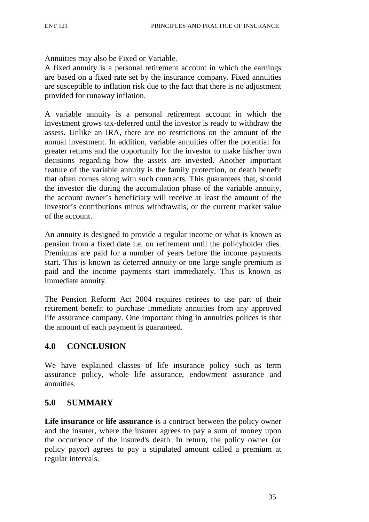Annuities may also be Fixed or Variable*.*

A fixed annuity is a personal retirement account in which the earnings are based on a fixed rate set by the insurance company. Fixed annuities are susceptible to inflation risk due to the fact that there is no adjustment provided for runaway inflation.

A variable annuity is a personal retirement account in which the investment grows tax-deferred until the investor is ready to withdraw the assets. Unlike an IRA, there are no restrictions on the amount of the annual investment. In addition, variable annuities offer the potential for greater returns and the opportunity for the investor to make his/her own decisions regarding how the assets are invested. Another important feature of the variable annuity is the family protection, or death benefit that often comes along with such contracts. This guarantees that, should the investor die during the accumulation phase of the variable annuity, the account owner's beneficiary will receive at least the amount of the investor's contributions minus withdrawals, or the current market value of the account.

An annuity is designed to provide a regular income or what is known as pension from a fixed date i.e. on retirement until the policyholder dies. Premiums are paid for a number of years before the income payments start. This is known as deterred annuity or one large single premium is paid and the income payments start immediately. This is known as immediate annuity.

The Pension Reform Act 2004 requires retirees to use part of their retirement benefit to purchase immediate annuities from any approved life assurance company. One important thing in annuities polices is that the amount of each payment is guaranteed.

#### **4.0 CONCLUSION**

We have explained classes of life insurance policy such as term assurance policy, whole life assurance, endowment assurance and annuities.

#### **5.0 SUMMARY**

**Life insurance** or **life assurance** is a contract between the policy owner and the insurer, where the insurer agrees to pay a sum of money upon the occurrence of the insured's death. In return, the policy owner (or policy payor) agrees to pay a stipulated amount called a premium at regular intervals.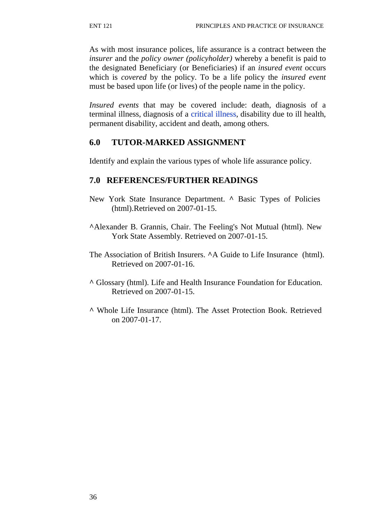As with most insurance polices, life assurance is a contract between the *insurer* and the *policy owner (policyholder)* whereby a benefit is paid to the designated Beneficiary (or Beneficiaries) if an *insured event* occurs which is *covered* by the policy. To be a life policy the *insured event*  must be based upon life (or lives) of the people name in the policy.

*Insured events* that may be covered include: death, diagnosis of a terminal illness, diagnosis of a critical illness, disability due to ill health, permanent disability, accident and death, among others.

## **6.0 TUTOR-MARKED ASSIGNMENT**

Identify and explain the various types of whole life assurance policy.

### **7.0 REFERENCES/FURTHER READINGS**

- New York State Insurance Department. **^** Basic Types of Policies (html).Retrieved on 2007-01-15.
- **^**Alexander B. Grannis, Chair. The Feeling's Not Mutual (html). New York State Assembly. Retrieved on 2007-01-15.
- The Association of British Insurers. **^**A Guide to Life Insurance (html). Retrieved on 2007-01-16.
- **^** Glossary (html). Life and Health Insurance Foundation for Education. Retrieved on 2007-01-15.
- **^** Whole Life Insurance (html). The Asset Protection Book. Retrieved on 2007-01-17.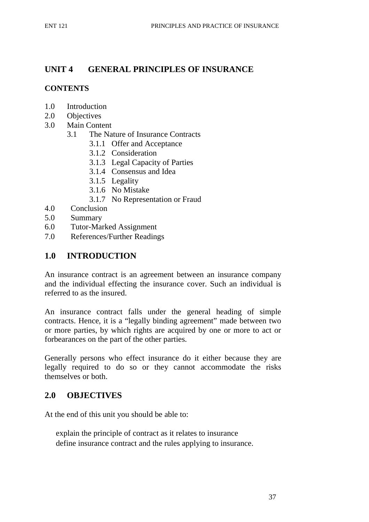# **UNIT 4 GENERAL PRINCIPLES OF INSURANCE**

### **CONTENTS**

- 1.0 Introduction
- 2.0 Objectives
- 3.0 Main Content
	- 3.1 The Nature of Insurance Contracts
		- 3.1.1 Offer and Acceptance
		- 3.1.2 Consideration
		- 3.1.3 Legal Capacity of Parties
		- 3.1.4 Consensus and Idea
		- 3.1.5 Legality
		- 3.1.6 No Mistake
		- 3.1.7 No Representation or Fraud
- 4.0 Conclusion
- 5.0 Summary
- 6.0 Tutor-Marked Assignment
- 7.0 References/Further Readings

# **1.0 INTRODUCTION**

An insurance contract is an agreement between an insurance company and the individual effecting the insurance cover. Such an individual is referred to as the insured.

An insurance contract falls under the general heading of simple contracts. Hence, it is a "legally binding agreement" made between two or more parties, by which rights are acquired by one or more to act or forbearances on the part of the other parties.

Generally persons who effect insurance do it either because they are legally required to do so or they cannot accommodate the risks themselves or both.

# **2.0 OBJECTIVES**

At the end of this unit you should be able to:

explain the principle of contract as it relates to insurance define insurance contract and the rules applying to insurance.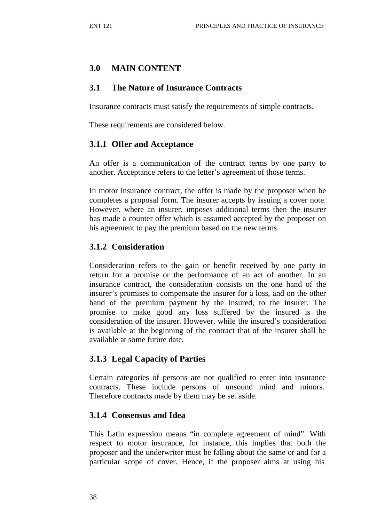## **3.0 MAIN CONTENT**

#### **3.1 The Nature of Insurance Contracts**

Insurance contracts must satisfy the requirements of simple contracts.

These requirements are considered below.

#### **3.1.1 Offer and Acceptance**

An offer is a communication of the contract terms by one party to another. Acceptance refers to the letter's agreement of those terms.

In motor insurance contract, the offer is made by the proposer when he completes a proposal form. The insurer accepts by issuing a cover note. However, where an insurer, imposes additional terms then the insurer has made a counter offer which is assumed accepted by the proposer on his agreement to pay the premium based on the new terms.

### **3.1.2 Consideration**

Consideration refers to the gain or benefit received by one party in return for a promise or the performance of an act of another. In an insurance contract, the consideration consists on the one hand of the insurer's promises to compensate the insurer for a loss, and on the other hand of the premium payment by the insured, to the insurer. The promise to make good any loss suffered by the insured is the consideration of the insurer. However, while the insured's consideration is available at the beginning of the contract that of the insurer shall be available at some future date.

## **3.1.3 Legal Capacity of Parties**

Certain categories of persons are not qualified to enter into insurance contracts. These include persons of unsound mind and minors. Therefore contracts made by them may be set aside.

#### **3.1.4 Consensus and Idea**

This Latin expression means "in complete agreement of mind". With respect to motor insurance, for instance, this implies that both the proposer and the underwriter must be falling about the same or and for a particular scope of cover. Hence, if the proposer aims at using his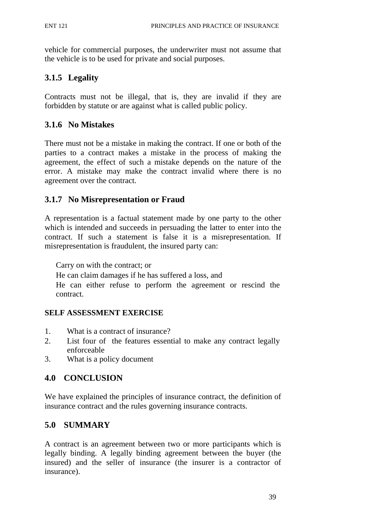vehicle for commercial purposes, the underwriter must not assume that the vehicle is to be used for private and social purposes.

# **3.1.5 Legality**

Contracts must not be illegal, that is, they are invalid if they are forbidden by statute or are against what is called public policy.

## **3.1.6 No Mistakes**

There must not be a mistake in making the contract. If one or both of the parties to a contract makes a mistake in the process of making the agreement, the effect of such a mistake depends on the nature of the error. A mistake may make the contract invalid where there is no agreement over the contract.

## **3.1.7 No Misrepresentation or Fraud**

A representation is a factual statement made by one party to the other which is intended and succeeds in persuading the latter to enter into the contract. If such a statement is false it is a misrepresentation. If misrepresentation is fraudulent, the insured party can:

Carry on with the contract; or

He can claim damages if he has suffered a loss, and

He can either refuse to perform the agreement or rescind the contract.

#### **SELF ASSESSMENT EXERCISE**

- 1. What is a contract of insurance?
- 2. List four of the features essential to make any contract legally enforceable
- 3. What is a policy document

#### **4.0 CONCLUSION**

We have explained the principles of insurance contract, the definition of insurance contract and the rules governing insurance contracts.

## **5.0 SUMMARY**

A contract is an agreement between two or more participants which is legally binding. A legally binding agreement between the buyer (the insured) and the seller of insurance (the insurer is a contractor of insurance).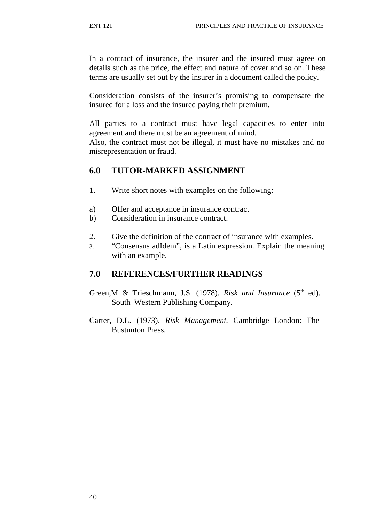In a contract of insurance, the insurer and the insured must agree on details such as the price, the effect and nature of cover and so on. These terms are usually set out by the insurer in a document called the policy.

Consideration consists of the insurer's promising to compensate the insured for a loss and the insured paying their premium.

All parties to a contract must have legal capacities to enter into agreement and there must be an agreement of mind.

Also, the contract must not be illegal, it must have no mistakes and no misrepresentation or fraud.

#### **6.0 TUTOR-MARKED ASSIGNMENT**

- 1. Write short notes with examples on the following:
- a) Offer and acceptance in insurance contract
- b) Consideration in insurance contract.
- 2. Give the definition of the contract of insurance with examples.
- 3. "Consensus adIdem", is a Latin expression. Explain the meaning with an example.

#### **7.0 REFERENCES/FURTHER READINGS**

- Green, M & Trieschmann, J.S. (1978). *Risk and Insurance* (5<sup>th</sup> ed). South Western Publishing Company.
- Carter, D.L. (1973). *Risk Management.* Cambridge London: The Bustunton Press.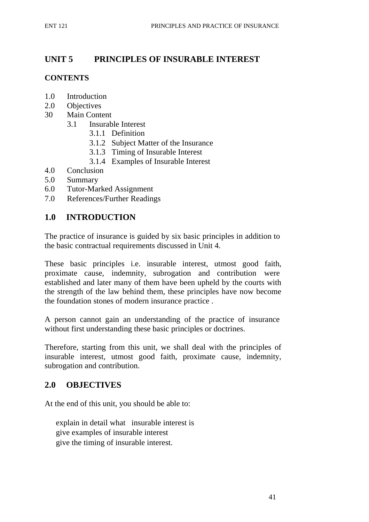# **UNIT 5 PRINCIPLES OF INSURABLE INTEREST**

#### **CONTENTS**

- 1.0 Introduction
- 2.0 Objectives
- 30 Main Content
	- 3.1 Insurable Interest
		- 3.1.1 Definition
		- 3.1.2 Subject Matter of the Insurance
		- 3.1.3 Timing of Insurable Interest
		- 3.1.4 Examples of Insurable Interest
- 4.0 Conclusion
- 5.0 Summary
- 6.0 Tutor-Marked Assignment
- 7.0 References/Further Readings

## **1.0 INTRODUCTION**

The practice of insurance is guided by six basic principles in addition to the basic contractual requirements discussed in Unit 4.

These basic principles i.e. insurable interest, utmost good faith, proximate cause, indemnity, subrogation and contribution were established and later many of them have been upheld by the courts with the strength of the law behind them, these principles have now become the foundation stones of modern insurance practice .

A person cannot gain an understanding of the practice of insurance without first understanding these basic principles or doctrines.

Therefore, starting from this unit, we shall deal with the principles of insurable interest, utmost good faith, proximate cause, indemnity, subrogation and contribution.

## **2.0 OBJECTIVES**

At the end of this unit, you should be able to:

explain in detail what insurable interest is give examples of insurable interest give the timing of insurable interest.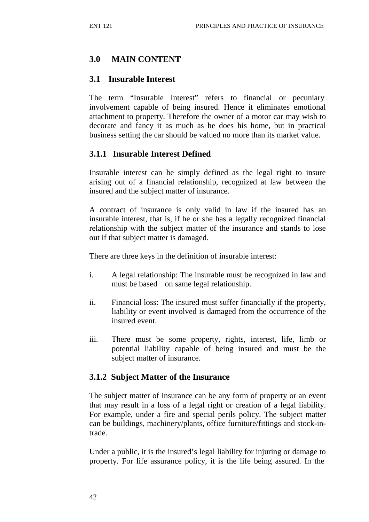## **3.0 MAIN CONTENT**

### **3.1 Insurable Interest**

The term "Insurable Interest" refers to financial or pecuniary involvement capable of being insured. Hence it eliminates emotional attachment to property. Therefore the owner of a motor car may wish to decorate and fancy it as much as he does his home, but in practical business setting the car should be valued no more than its market value.

### **3.1.1 Insurable Interest Defined**

Insurable interest can be simply defined as the legal right to insure arising out of a financial relationship, recognized at law between the insured and the subject matter of insurance.

A contract of insurance is only valid in law if the insured has an insurable interest, that is, if he or she has a legally recognized financial relationship with the subject matter of the insurance and stands to lose out if that subject matter is damaged.

There are three keys in the definition of insurable interest:

- i. A legal relationship: The insurable must be recognized in law and must be based on same legal relationship.
- ii. Financial loss: The insured must suffer financially if the property, liability or event involved is damaged from the occurrence of the insured event.
- iii. There must be some property, rights, interest, life, limb or potential liability capable of being insured and must be the subject matter of insurance.

#### **3.1.2 Subject Matter of the Insurance**

The subject matter of insurance can be any form of property or an event that may result in a loss of a legal right or creation of a legal liability. For example, under a fire and special perils policy. The subject matter can be buildings, machinery/plants, office furniture/fittings and stock-intrade.

Under a public, it is the insured's legal liability for injuring or damage to property. For life assurance policy, it is the life being assured. In the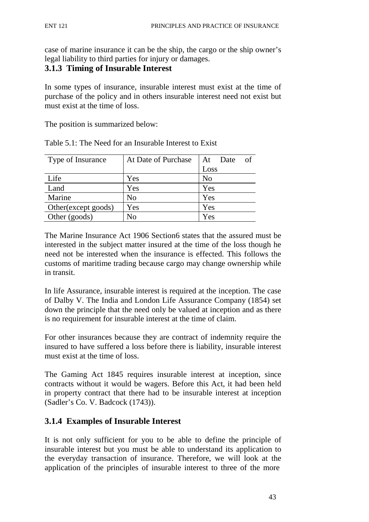case of marine insurance it can be the ship, the cargo or the ship owner's legal liability to third parties for injury or damages.

### **3.1.3 Timing of Insurable Interest**

In some types of insurance, insurable interest must exist at the time of purchase of the policy and in others insurable interest need not exist but must exist at the time of loss.

The position is summarized below:

| Type of Insurance    | At Date of Purchase | At Date<br>of  |
|----------------------|---------------------|----------------|
|                      |                     | Loss           |
| Life                 | Yes                 | N <sub>o</sub> |
| Land                 | Yes                 | Yes            |
| Marine               | N <sub>0</sub>      | Yes            |
| Other (except goods) | Yes                 | Yes            |
| Other (goods)        | N <sub>0</sub>      | Yes            |

Table 5.1: The Need for an Insurable Interest to Exist

The Marine Insurance Act 1906 Section6 states that the assured must be interested in the subject matter insured at the time of the loss though he need not be interested when the insurance is effected. This follows the customs of maritime trading because cargo may change ownership while in transit.

In life Assurance, insurable interest is required at the inception. The case of Dalby V. The India and London Life Assurance Company (1854) set down the principle that the need only be valued at inception and as there is no requirement for insurable interest at the time of claim.

For other insurances because they are contract of indemnity require the insured to have suffered a loss before there is liability, insurable interest must exist at the time of loss.

The Gaming Act 1845 requires insurable interest at inception, since contracts without it would be wagers. Before this Act, it had been held in property contract that there had to be insurable interest at inception (Sadler's Co. V. Badcock (1743)).

## **3.1.4 Examples of Insurable Interest**

It is not only sufficient for you to be able to define the principle of insurable interest but you must be able to understand its application to the everyday transaction of insurance. Therefore, we will look at the application of the principles of insurable interest to three of the more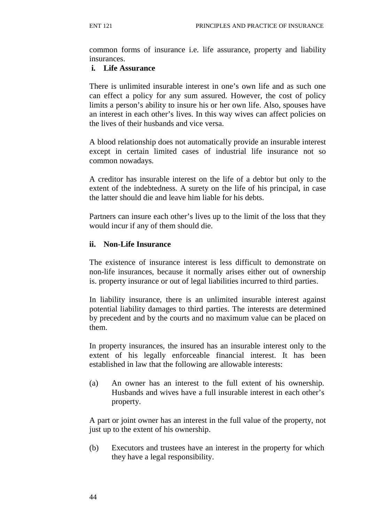common forms of insurance i.e. life assurance, property and liability insurances.

#### **i. Life Assurance**

There is unlimited insurable interest in one's own life and as such one can effect a policy for any sum assured. However, the cost of policy limits a person's ability to insure his or her own life. Also, spouses have an interest in each other's lives. In this way wives can affect policies on the lives of their husbands and vice versa.

A blood relationship does not automatically provide an insurable interest except in certain limited cases of industrial life insurance not so common nowadays.

A creditor has insurable interest on the life of a debtor but only to the extent of the indebtedness. A surety on the life of his principal, in case the latter should die and leave him liable for his debts.

Partners can insure each other's lives up to the limit of the loss that they would incur if any of them should die.

#### **ii. Non-Life Insurance**

The existence of insurance interest is less difficult to demonstrate on non-life insurances, because it normally arises either out of ownership is. property insurance or out of legal liabilities incurred to third parties.

In liability insurance, there is an unlimited insurable interest against potential liability damages to third parties. The interests are determined by precedent and by the courts and no maximum value can be placed on them.

In property insurances, the insured has an insurable interest only to the extent of his legally enforceable financial interest. It has been established in law that the following are allowable interests:

(a) An owner has an interest to the full extent of his ownership. Husbands and wives have a full insurable interest in each other's property.

A part or joint owner has an interest in the full value of the property, not just up to the extent of his ownership.

(b) Executors and trustees have an interest in the property for which they have a legal responsibility.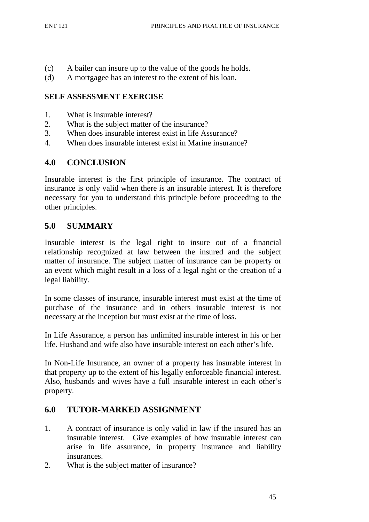- (c) A bailer can insure up to the value of the goods he holds.
- (d) A mortgagee has an interest to the extent of his loan.

### **SELF ASSESSMENT EXERCISE**

- 1. What is insurable interest?
- 2. What is the subject matter of the insurance?
- 3. When does insurable interest exist in life Assurance?
- 4. When does insurable interest exist in Marine insurance?

## **4.0 CONCLUSION**

Insurable interest is the first principle of insurance. The contract of insurance is only valid when there is an insurable interest. It is therefore necessary for you to understand this principle before proceeding to the other principles.

# **5.0 SUMMARY**

Insurable interest is the legal right to insure out of a financial relationship recognized at law between the insured and the subject matter of insurance. The subject matter of insurance can be property or an event which might result in a loss of a legal right or the creation of a legal liability.

In some classes of insurance, insurable interest must exist at the time of purchase of the insurance and in others insurable interest is not necessary at the inception but must exist at the time of loss.

In Life Assurance, a person has unlimited insurable interest in his or her life. Husband and wife also have insurable interest on each other's life.

In Non-Life Insurance, an owner of a property has insurable interest in that property up to the extent of his legally enforceable financial interest. Also, husbands and wives have a full insurable interest in each other's property.

## **6.0 TUTOR-MARKED ASSIGNMENT**

- 1. A contract of insurance is only valid in law if the insured has an insurable interest. Give examples of how insurable interest can arise in life assurance, in property insurance and liability insurances.
- 2. What is the subject matter of insurance?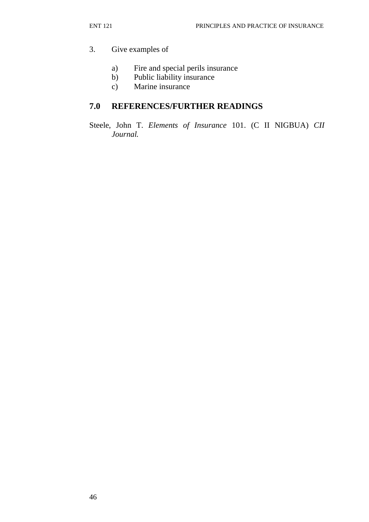### 3. Give examples of

- a) Fire and special perils insurance
- b) Public liability insurance
- c) Marine insurance

## **7.0 REFERENCES/FURTHER READINGS**

Steele, John T. *Elements of Insurance* 101. (C II NIGBUA) *CII Journal.*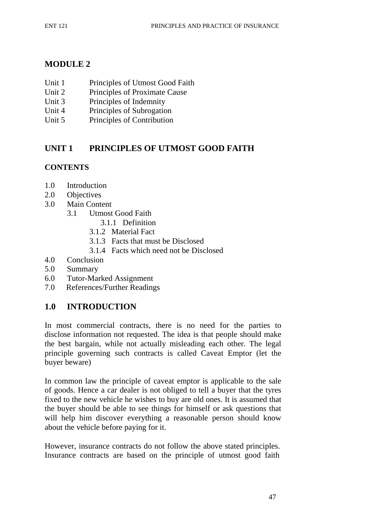# **MODULE 2**

- Unit 1 Principles of Utmost Good Faith
- Unit 2 Principles of Proximate Cause
- Unit 3 Principles of Indemnity
- Unit 4 Principles of Subrogation
- Unit 5 Principles of Contribution

# **UNIT 1 PRINCIPLES OF UTMOST GOOD FAITH**

### **CONTENTS**

- 1.0 Introduction
- 2.0 Objectives
- 3.0 Main Content
	- 3.1 Utmost Good Faith
		- 3.1.1 Definition
		- 3.1.2 Material Fact
		- 3.1.3 Facts that must be Disclosed
		- 3.1.4 Facts which need not be Disclosed
- 4.0 Conclusion
- 5.0 Summary
- 6.0 Tutor-Marked Assignment
- 7.0 References/Further Readings

## **1.0 INTRODUCTION**

In most commercial contracts, there is no need for the parties to disclose information not requested. The idea is that people should make the best bargain, while not actually misleading each other. The legal principle governing such contracts is called Caveat Emptor (let the buyer beware)

In common law the principle of caveat emptor is applicable to the sale of goods. Hence a car dealer is not obliged to tell a buyer that the tyres fixed to the new vehicle he wishes to buy are old ones. It is assumed that the buyer should be able to see things for himself or ask questions that will help him discover everything a reasonable person should know about the vehicle before paying for it.

However, insurance contracts do not follow the above stated principles. Insurance contracts are based on the principle of utmost good faith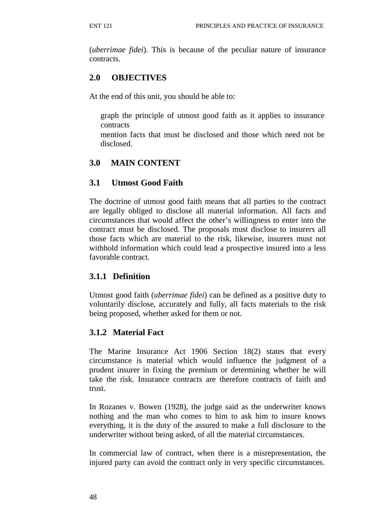(*uberrimae fidei*). This is because of the peculiar nature of insurance contracts.

# **2.0 OBJECTIVES**

At the end of this unit, you should be able to:

graph the principle of utmost good faith as it applies to insurance contracts

mention facts that must be disclosed and those which need not be disclosed.

# **3.0 MAIN CONTENT**

### **3.1 Utmost Good Faith**

The doctrine of utmost good faith means that all parties to the contract are legally obliged to disclose all material information. All facts and circumstances that would affect the other's willingness to enter into the contract must be disclosed. The proposals must disclose to insurers all those facts which are material to the risk, likewise, insurers must not withhold information which could lead a prospective insured into a less favorable contract.

## **3.1.1 Definition**

Utmost good faith (*uberrimae fidei*) can be defined as a positive duty to voluntarily disclose, accurately and fully, all facts materials to the risk being proposed, whether asked for them or not.

## **3.1.2 Material Fact**

The Marine Insurance Act 1906 Section 18(2) states that every circumstance is material which would influence the judgment of a prudent insurer in fixing the premium or determining whether he will take the risk. Insurance contracts are therefore contracts of faith and trust.

In Rozanes v. Bowen (1928), the judge said as the underwriter knows nothing and the man who comes to him to ask him to insure knows everything, it is the duty of the assured to make a full disclosure to the underwriter without being asked, of all the material circumstances.

In commercial law of contract, when there is a misrepresentation, the injured party can avoid the contract only in very specific circumstances.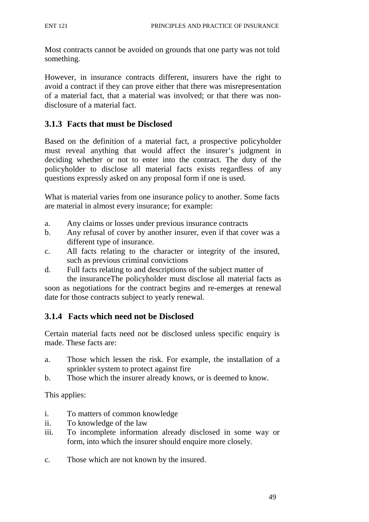Most contracts cannot be avoided on grounds that one party was not told something.

However, in insurance contracts different, insurers have the right to avoid a contract if they can prove either that there was misrepresentation of a material fact, that a material was involved; or that there was nondisclosure of a material fact.

## **3.1.3 Facts that must be Disclosed**

Based on the definition of a material fact, a prospective policyholder must reveal anything that would affect the insurer's judgment in deciding whether or not to enter into the contract. The duty of the policyholder to disclose all material facts exists regardless of any questions expressly asked on any proposal form if one is used.

What is material varies from one insurance policy to another. Some facts are material in almost every insurance; for example:

- a. Any claims or losses under previous insurance contracts
- b. Any refusal of cover by another insurer, even if that cover was a different type of insurance.
- c. All facts relating to the character or integrity of the insured, such as previous criminal convictions
- d. Full facts relating to and descriptions of the subject matter of the insuranceThe policyholder must disclose all material facts as

soon as negotiations for the contract begins and re-emerges at renewal date for those contracts subject to yearly renewal.

## **3.1.4 Facts which need not be Disclosed**

Certain material facts need not be disclosed unless specific enquiry is made. These facts are:

- a. Those which lessen the risk. For example, the installation of a sprinkler system to protect against fire
- b. Those which the insurer already knows, or is deemed to know.

This applies:

- i. To matters of common knowledge
- ii. To knowledge of the law
- iii. To incomplete information already disclosed in some way or form, into which the insurer should enquire more closely.
- c. Those which are not known by the insured.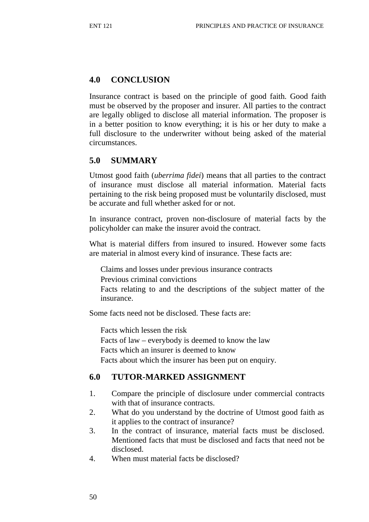## **4.0 CONCLUSION**

Insurance contract is based on the principle of good faith. Good faith must be observed by the proposer and insurer. All parties to the contract are legally obliged to disclose all material information. The proposer is in a better position to know everything; it is his or her duty to make a full disclosure to the underwriter without being asked of the material circumstances.

## **5.0 SUMMARY**

Utmost good faith (*uberrima fidei*) means that all parties to the contract of insurance must disclose all material information. Material facts pertaining to the risk being proposed must be voluntarily disclosed, must be accurate and full whether asked for or not.

In insurance contract, proven non-disclosure of material facts by the policyholder can make the insurer avoid the contract.

What is material differs from insured to insured. However some facts are material in almost every kind of insurance. These facts are:

Claims and losses under previous insurance contracts Previous criminal convictions

Facts relating to and the descriptions of the subject matter of the insurance.

Some facts need not be disclosed. These facts are:

Facts which lessen the risk Facts of law – everybody is deemed to know the law Facts which an insurer is deemed to know Facts about which the insurer has been put on enquiry.

### **6.0 TUTOR-MARKED ASSIGNMENT**

- 1. Compare the principle of disclosure under commercial contracts with that of insurance contracts.
- 2. What do you understand by the doctrine of Utmost good faith as it applies to the contract of insurance?
- 3. In the contract of insurance, material facts must be disclosed. Mentioned facts that must be disclosed and facts that need not be disclosed.
- 4. When must material facts be disclosed?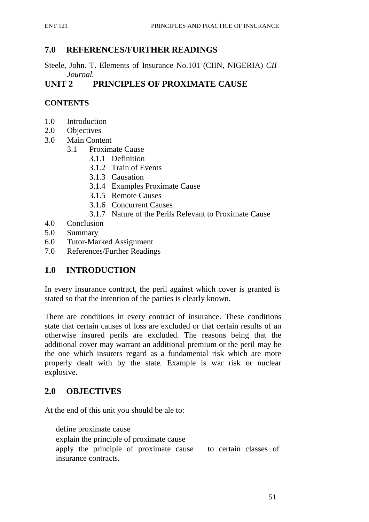## **7.0 REFERENCES/FURTHER READINGS**

Steele, John. T. Elements of Insurance No.101 (CIIN, NIGERIA) *CII Journal.*

# **UNIT 2 PRINCIPLES OF PROXIMATE CAUSE**

### **CONTENTS**

- 1.0 Introduction
- 2.0 Objectives
- 3.0 Main Content
	- 3.1 Proximate Cause
		- 3.1.1 Definition
		- 3.1.2 Train of Events
		- 3.1.3 Causation
		- 3.1.4 Examples Proximate Cause
		- 3.1.5 Remote Causes
		- 3.1.6 Concurrent Causes
		- 3.1.7 Nature of the Perils Relevant to Proximate Cause
- 4.0 Conclusion
- 5.0 Summary
- 6.0 Tutor-Marked Assignment
- 7.0 References/Further Readings

## **1.0 INTRODUCTION**

In every insurance contract, the peril against which cover is granted is stated so that the intention of the parties is clearly known.

There are conditions in every contract of insurance. These conditions state that certain causes of loss are excluded or that certain results of an otherwise insured perils are excluded. The reasons being that the additional cover may warrant an additional premium or the peril may be the one which insurers regard as a fundamental risk which are more properly dealt with by the state. Example is war risk or nuclear explosive.

#### **2.0 OBJECTIVES**

At the end of this unit you should be ale to:

define proximate cause

explain the principle of proximate cause

apply the principle of proximate cause to certain classes of insurance contracts.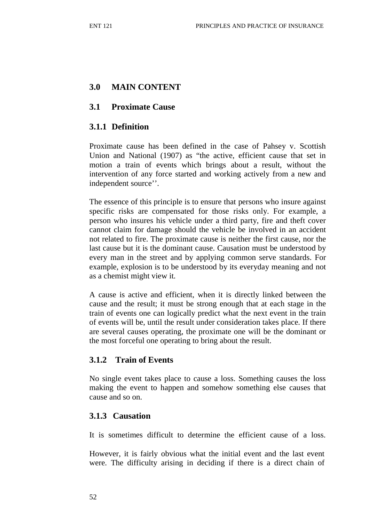# **3.0 MAIN CONTENT**

#### **3.1 Proximate Cause**

## **3.1.1 Definition**

Proximate cause has been defined in the case of Pahsey v. Scottish Union and National (1907) as "the active, efficient cause that set in motion a train of events which brings about a result, without the intervention of any force started and working actively from a new and independent source''.

The essence of this principle is to ensure that persons who insure against specific risks are compensated for those risks only. For example, a person who insures his vehicle under a third party, fire and theft cover cannot claim for damage should the vehicle be involved in an accident not related to fire. The proximate cause is neither the first cause, nor the last cause but it is the dominant cause. Causation must be understood by every man in the street and by applying common serve standards. For example, explosion is to be understood by its everyday meaning and not as a chemist might view it.

A cause is active and efficient, when it is directly linked between the cause and the result; it must be strong enough that at each stage in the train of events one can logically predict what the next event in the train of events will be, until the result under consideration takes place. If there are several causes operating, the proximate one will be the dominant or the most forceful one operating to bring about the result.

## **3.1.2 Train of Events**

No single event takes place to cause a loss. Something causes the loss making the event to happen and somehow something else causes that cause and so on.

#### **3.1.3 Causation**

It is sometimes difficult to determine the efficient cause of a loss.

However, it is fairly obvious what the initial event and the last event were. The difficulty arising in deciding if there is a direct chain of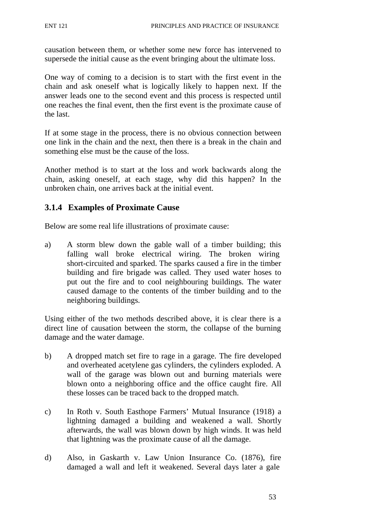causation between them, or whether some new force has intervened to supersede the initial cause as the event bringing about the ultimate loss.

One way of coming to a decision is to start with the first event in the chain and ask oneself what is logically likely to happen next. If the answer leads one to the second event and this process is respected until one reaches the final event, then the first event is the proximate cause of the last.

If at some stage in the process, there is no obvious connection between one link in the chain and the next, then there is a break in the chain and something else must be the cause of the loss.

Another method is to start at the loss and work backwards along the chain, asking oneself, at each stage, why did this happen? In the unbroken chain, one arrives back at the initial event.

### **3.1.4 Examples of Proximate Cause**

Below are some real life illustrations of proximate cause:

a) A storm blew down the gable wall of a timber building; this falling wall broke electrical wiring. The broken wiring short-circuited and sparked. The sparks caused a fire in the timber building and fire brigade was called. They used water hoses to put out the fire and to cool neighbouring buildings. The water caused damage to the contents of the timber building and to the neighboring buildings.

Using either of the two methods described above, it is clear there is a direct line of causation between the storm, the collapse of the burning damage and the water damage.

- b) A dropped match set fire to rage in a garage. The fire developed and overheated acetylene gas cylinders, the cylinders exploded. A wall of the garage was blown out and burning materials were blown onto a neighboring office and the office caught fire. All these losses can be traced back to the dropped match.
- c) In Roth v. South Easthope Farmers' Mutual Insurance (1918) a lightning damaged a building and weakened a wall. Shortly afterwards, the wall was blown down by high winds. It was held that lightning was the proximate cause of all the damage.
- d) Also, in Gaskarth v. Law Union Insurance Co. (1876), fire damaged a wall and left it weakened. Several days later a gale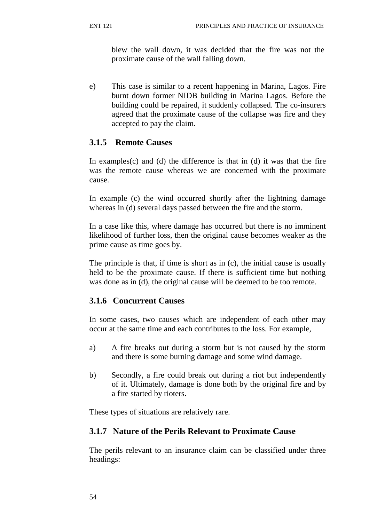blew the wall down, it was decided that the fire was not the proximate cause of the wall falling down.

e) This case is similar to a recent happening in Marina, Lagos. Fire burnt down former NIDB building in Marina Lagos. Before the building could be repaired, it suddenly collapsed. The co-insurers agreed that the proximate cause of the collapse was fire and they accepted to pay the claim.

# **3.1.5 Remote Causes**

In examples $(c)$  and  $(d)$  the difference is that in  $(d)$  it was that the fire was the remote cause whereas we are concerned with the proximate cause.

In example (c) the wind occurred shortly after the lightning damage whereas in (d) several days passed between the fire and the storm.

In a case like this, where damage has occurred but there is no imminent likelihood of further loss, then the original cause becomes weaker as the prime cause as time goes by.

The principle is that, if time is short as in (c), the initial cause is usually held to be the proximate cause. If there is sufficient time but nothing was done as in (d), the original cause will be deemed to be too remote.

## **3.1.6 Concurrent Causes**

In some cases, two causes which are independent of each other may occur at the same time and each contributes to the loss. For example,

- a) A fire breaks out during a storm but is not caused by the storm and there is some burning damage and some wind damage.
- b) Secondly, a fire could break out during a riot but independently of it. Ultimately, damage is done both by the original fire and by a fire started by rioters.

These types of situations are relatively rare.

## **3.1.7 Nature of the Perils Relevant to Proximate Cause**

The perils relevant to an insurance claim can be classified under three headings: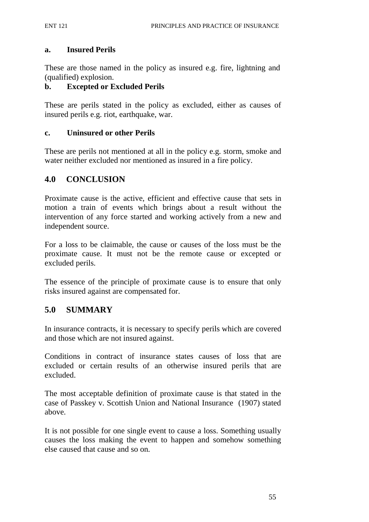#### **a. Insured Perils**

These are those named in the policy as insured e.g. fire, lightning and (qualified) explosion.

#### **b. Excepted or Excluded Perils**

These are perils stated in the policy as excluded, either as causes of insured perils e.g. riot, earthquake, war.

#### **c. Uninsured or other Perils**

These are perils not mentioned at all in the policy e.g. storm, smoke and water neither excluded nor mentioned as insured in a fire policy.

#### **4.0 CONCLUSION**

Proximate cause is the active, efficient and effective cause that sets in motion a train of events which brings about a result without the intervention of any force started and working actively from a new and independent source.

For a loss to be claimable, the cause or causes of the loss must be the proximate cause. It must not be the remote cause or excepted or excluded perils.

The essence of the principle of proximate cause is to ensure that only risks insured against are compensated for.

#### **5.0 SUMMARY**

In insurance contracts, it is necessary to specify perils which are covered and those which are not insured against.

Conditions in contract of insurance states causes of loss that are excluded or certain results of an otherwise insured perils that are excluded.

The most acceptable definition of proximate cause is that stated in the case of Passkey v. Scottish Union and National Insurance (1907) stated above.

It is not possible for one single event to cause a loss. Something usually causes the loss making the event to happen and somehow something else caused that cause and so on.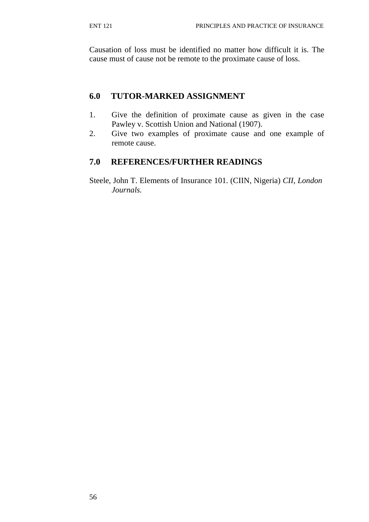Causation of loss must be identified no matter how difficult it is. The cause must of cause not be remote to the proximate cause of loss.

## **6.0 TUTOR-MARKED ASSIGNMENT**

- 1. Give the definition of proximate cause as given in the case Pawley v. Scottish Union and National (1907).
- 2. Give two examples of proximate cause and one example of remote cause.

## **7.0 REFERENCES/FURTHER READINGS**

Steele, John T. Elements of Insurance 101. (CIIN, Nigeria) *CII, London Journals.*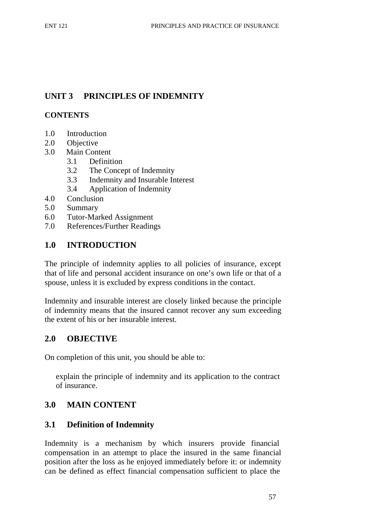# **UNIT 3 PRINCIPLES OF INDEMNITY**

### **CONTENTS**

- 1.0 Introduction
- 2.0 Objective
- 3.0 Main Content
	- 3.1 Definition
	- 3.2 The Concept of Indemnity
	- 3.3 Indemnity and Insurable Interest
	- 3.4 Application of Indemnity
- 4.0 Conclusion
- 5.0 Summary
- 6.0 Tutor-Marked Assignment
- 7.0 References/Further Readings

# **1.0 INTRODUCTION**

The principle of indemnity applies to all policies of insurance, except that of life and personal accident insurance on one's own life or that of a spouse, unless it is excluded by express conditions in the contact.

Indemnity and insurable interest are closely linked because the principle of indemnity means that the insured cannot recover any sum exceeding the extent of his or her insurable interest.

## **2.0 OBJECTIVE**

On completion of this unit, you should be able to:

explain the principle of indemnity and its application to the contract of insurance.

# **3.0 MAIN CONTENT**

## **3.1 Definition of Indemnity**

Indemnity is a mechanism by which insurers provide financial compensation in an attempt to place the insured in the same financial position after the loss as he enjoyed immediately before it: or indemnity can be defined as effect financial compensation sufficient to place the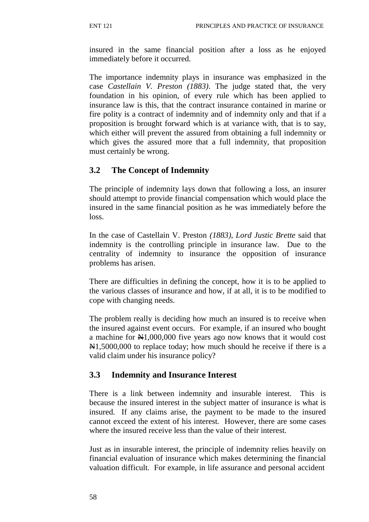insured in the same financial position after a loss as he enjoyed immediately before it occurred.

The importance indemnity plays in insurance was emphasized in the case *Castellain V. Preston (1883)*. The judge stated that, the very foundation in his opinion, of every rule which has been applied to insurance law is this, that the contract insurance contained in marine or fire polity is a contract of indemnity and of indemnity only and that if a proposition is brought forward which is at variance with, that is to say, which either will prevent the assured from obtaining a full indemnity or which gives the assured more that a full indemnity, that proposition must certainly be wrong.

# **3.2 The Concept of Indemnity**

The principle of indemnity lays down that following a loss, an insurer should attempt to provide financial compensation which would place the insured in the same financial position as he was immediately before the loss.

In the case of Castellain V. Preston *(1883), Lord Justic Brette* said that indemnity is the controlling principle in insurance law. Due to the centrality of indemnity to insurance the opposition of insurance problems has arisen.

There are difficulties in defining the concept, how it is to be applied to the various classes of insurance and how, if at all, it is to be modified to cope with changing needs.

The problem really is deciding how much an insured is to receive when the insured against event occurs. For example, if an insured who bought a machine for  $\frac{N1,000,000}{N}$  five years ago now knows that it would cost  $\text{N1},5000,000$  to replace today; how much should he receive if there is a valid claim under his insurance policy?

## **3.3 Indemnity and Insurance Interest**

There is a link between indemnity and insurable interest. This is because the insured interest in the subject matter of insurance is what is insured. If any claims arise, the payment to be made to the insured cannot exceed the extent of his interest. However, there are some cases where the insured receive less than the value of their interest.

Just as in insurable interest, the principle of indemnity relies heavily on financial evaluation of insurance which makes determining the financial valuation difficult. For example, in life assurance and personal accident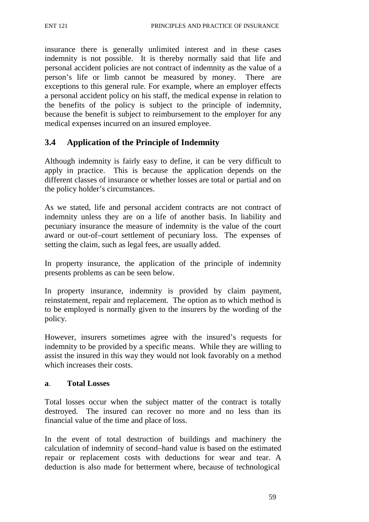insurance there is generally unlimited interest and in these cases indemnity is not possible. It is thereby normally said that life and personal accident policies are not contract of indemnity as the value of a person's life or limb cannot be measured by money. There are exceptions to this general rule. For example, where an employer effects a personal accident policy on his staff, the medical expense in relation to the benefits of the policy is subject to the principle of indemnity, because the benefit is subject to reimbursement to the employer for any medical expenses incurred on an insured employee.

### **3.4 Application of the Principle of Indemnity**

Although indemnity is fairly easy to define, it can be very difficult to apply in practice. This is because the application depends on the different classes of insurance or whether losses are total or partial and on the policy holder's circumstances.

As we stated, life and personal accident contracts are not contract of indemnity unless they are on a life of another basis. In liability and pecuniary insurance the measure of indemnity is the value of the court award or out-of–court settlement of pecuniary loss. The expenses of setting the claim, such as legal fees, are usually added.

In property insurance, the application of the principle of indemnity presents problems as can be seen below.

In property insurance, indemnity is provided by claim payment, reinstatement, repair and replacement. The option as to which method is to be employed is normally given to the insurers by the wording of the policy.

However, insurers sometimes agree with the insured's requests for indemnity to be provided by a specific means. While they are willing to assist the insured in this way they would not look favorably on a method which increases their costs.

#### **a**. **Total Losses**

Total losses occur when the subject matter of the contract is totally destroyed. The insured can recover no more and no less than its financial value of the time and place of loss.

In the event of total destruction of buildings and machinery the calculation of indemnity of second–hand value is based on the estimated repair or replacement costs with deductions for wear and tear. A deduction is also made for betterment where, because of technological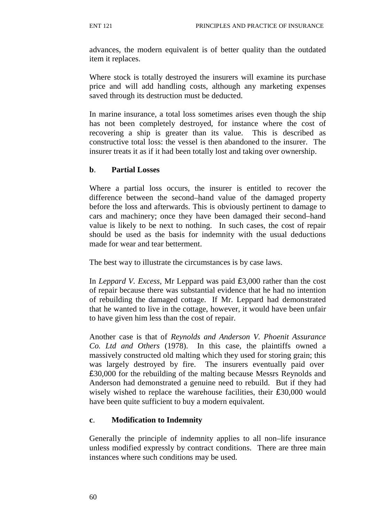advances, the modern equivalent is of better quality than the outdated item it replaces.

Where stock is totally destroyed the insurers will examine its purchase price and will add handling costs, although any marketing expenses saved through its destruction must be deducted.

In marine insurance, a total loss sometimes arises even though the ship has not been completely destroyed, for instance where the cost of recovering a ship is greater than its value. This is described as constructive total loss: the vessel is then abandoned to the insurer. The insurer treats it as if it had been totally lost and taking over ownership.

#### **b**. **Partial Losses**

Where a partial loss occurs, the insurer is entitled to recover the difference between the second–hand value of the damaged property before the loss and afterwards. This is obviously pertinent to damage to cars and machinery; once they have been damaged their second–hand value is likely to be next to nothing. In such cases, the cost of repair should be used as the basis for indemnity with the usual deductions made for wear and tear betterment.

The best way to illustrate the circumstances is by case laws.

In *Leppard V. Excess*, Mr Leppard was paid £3,000 rather than the cost of repair because there was substantial evidence that he had no intention of rebuilding the damaged cottage. If Mr. Leppard had demonstrated that he wanted to live in the cottage, however, it would have been unfair to have given him less than the cost of repair.

Another case is that of *Reynolds and Anderson V. Phoenit Assurance Co. Ltd and Others* (1978). In this case, the plaintiffs owned a massively constructed old malting which they used for storing grain; this was largely destroyed by fire. The insurers eventually paid over £30,000 for the rebuilding of the malting because Messrs Reynolds and Anderson had demonstrated a genuine need to rebuild. But if they had wisely wished to replace the warehouse facilities, their £30,000 would have been quite sufficient to buy a modern equivalent.

#### **c**. **Modification to Indemnity**

Generally the principle of indemnity applies to all non–life insurance unless modified expressly by contract conditions. There are three main instances where such conditions may be used.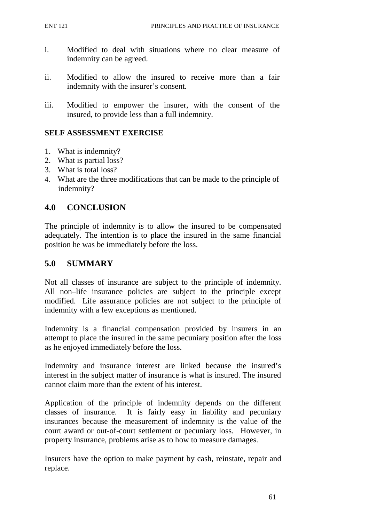- i. Modified to deal with situations where no clear measure of indemnity can be agreed.
- ii. Modified to allow the insured to receive more than a fair indemnity with the insurer's consent.
- iii. Modified to empower the insurer, with the consent of the insured, to provide less than a full indemnity.

### **SELF ASSESSMENT EXERCISE**

- 1. What is indemnity?
- 2. What is partial loss?
- 3. What is total loss?
- 4. What are the three modifications that can be made to the principle of indemnity?

### **4.0 CONCLUSION**

The principle of indemnity is to allow the insured to be compensated adequately. The intention is to place the insured in the same financial position he was be immediately before the loss.

#### **5.0 SUMMARY**

Not all classes of insurance are subject to the principle of indemnity. All non–life insurance policies are subject to the principle except modified. Life assurance policies are not subject to the principle of indemnity with a few exceptions as mentioned.

Indemnity is a financial compensation provided by insurers in an attempt to place the insured in the same pecuniary position after the loss as he enjoyed immediately before the loss.

Indemnity and insurance interest are linked because the insured's interest in the subject matter of insurance is what is insured. The insured cannot claim more than the extent of his interest.

Application of the principle of indemnity depends on the different classes of insurance. It is fairly easy in liability and pecuniary insurances because the measurement of indemnity is the value of the court award or out-of-court settlement or pecuniary loss. However, in property insurance, problems arise as to how to measure damages.

Insurers have the option to make payment by cash, reinstate, repair and replace.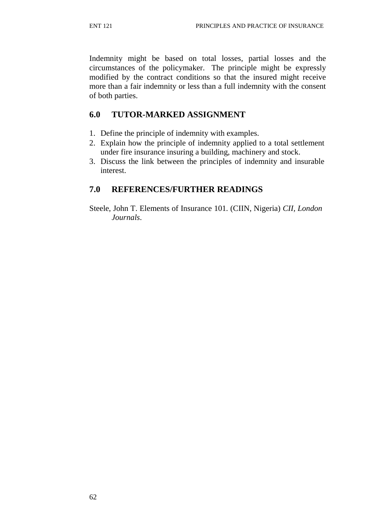Indemnity might be based on total losses, partial losses and the circumstances of the policymaker. The principle might be expressly modified by the contract conditions so that the insured might receive more than a fair indemnity or less than a full indemnity with the consent of both parties.

### **6.0 TUTOR-MARKED ASSIGNMENT**

- 1. Define the principle of indemnity with examples.
- 2. Explain how the principle of indemnity applied to a total settlement under fire insurance insuring a building, machinery and stock.
- 3. Discuss the link between the principles of indemnity and insurable interest.

## **7.0 REFERENCES/FURTHER READINGS**

Steele, John T. Elements of Insurance 101. (CIIN, Nigeria) *CII, London Journals*.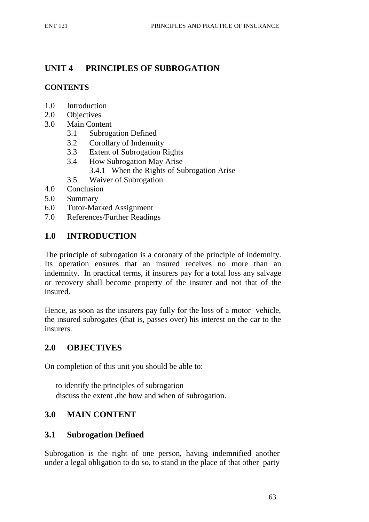# **UNIT 4 PRINCIPLES OF SUBROGATION**

## **CONTENTS**

- 1.0 Introduction
- 2.0 Objectives
- 3.0 Main Content
	- 3.1 Subrogation Defined
	- 3.2 Corollary of Indemnity
	- 3.3 Extent of Subrogation Rights
	- 3.4 How Subrogation May Arise
		- 3.4.1 When the Rights of Subrogation Arise
	- 3.5 Waiver of Subrogation
- 4.0 Conclusion
- 5.0 Summary
- 6.0 Tutor-Marked Assignment
- 7.0 References/Further Readings

### **1.0 INTRODUCTION**

The principle of subrogation is a coronary of the principle of indemnity. Its operation ensures that an insured receives no more than an indemnity. In practical terms, if insurers pay for a total loss any salvage or recovery shall become property of the insurer and not that of the insured.

Hence, as soon as the insurers pay fully for the loss of a motor vehicle, the insured subrogates (that is, passes over) his interest on the car to the insurers.

#### **2.0 OBJECTIVES**

On completion of this unit you should be able to:

to identify the principles of subrogation discuss the extent ,the how and when of subrogation.

## **3.0 MAIN CONTENT**

#### **3.1 Subrogation Defined**

Subrogation is the right of one person, having indemnified another under a legal obligation to do so, to stand in the place of that other party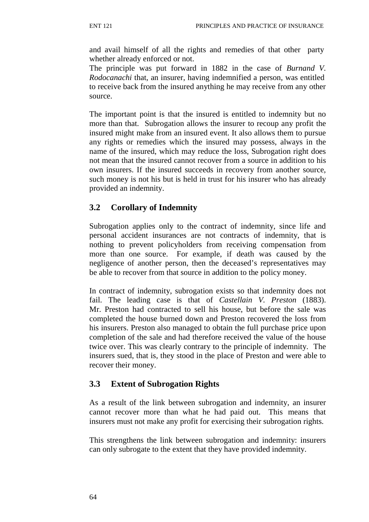and avail himself of all the rights and remedies of that other party whether already enforced or not.

The principle was put forward in 1882 in the case of *Burnand V. Rodocanachi* that, an insurer, having indemnified a person, was entitled to receive back from the insured anything he may receive from any other source.

The important point is that the insured is entitled to indemnity but no more than that. Subrogation allows the insurer to recoup any profit the insured might make from an insured event. It also allows them to pursue any rights or remedies which the insured may possess, always in the name of the insured, which may reduce the loss, Subrogation right does not mean that the insured cannot recover from a source in addition to his own insurers. If the insured succeeds in recovery from another source, such money is not his but is held in trust for his insurer who has already provided an indemnity.

# **3.2 Corollary of Indemnity**

Subrogation applies only to the contract of indemnity, since life and personal accident insurances are not contracts of indemnity, that is nothing to prevent policyholders from receiving compensation from more than one source. For example, if death was caused by the negligence of another person, then the deceased's representatives may be able to recover from that source in addition to the policy money.

In contract of indemnity, subrogation exists so that indemnity does not fail. The leading case is that of *Castellain V. Preston* (1883). Mr. Preston had contracted to sell his house, but before the sale was completed the house burned down and Preston recovered the loss from his insurers. Preston also managed to obtain the full purchase price upon completion of the sale and had therefore received the value of the house twice over. This was clearly contrary to the principle of indemnity. The insurers sued, that is, they stood in the place of Preston and were able to recover their money.

## **3.3 Extent of Subrogation Rights**

As a result of the link between subrogation and indemnity, an insurer cannot recover more than what he had paid out. This means that insurers must not make any profit for exercising their subrogation rights.

This strengthens the link between subrogation and indemnity: insurers can only subrogate to the extent that they have provided indemnity.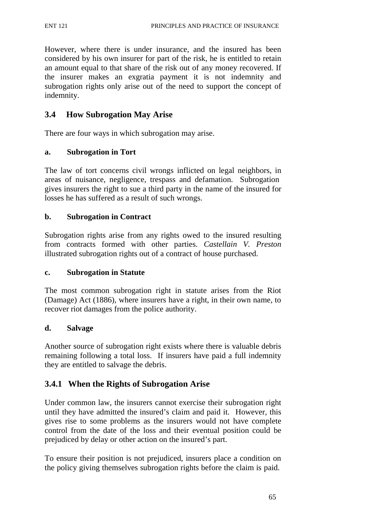However, where there is under insurance, and the insured has been considered by his own insurer for part of the risk, he is entitled to retain an amount equal to that share of the risk out of any money recovered. If the insurer makes an exgratia payment it is not indemnity and subrogation rights only arise out of the need to support the concept of indemnity.

## **3.4 How Subrogation May Arise**

There are four ways in which subrogation may arise.

#### **a. Subrogation in Tort**

The law of tort concerns civil wrongs inflicted on legal neighbors, in areas of nuisance, negligence, trespass and defamation. Subrogation gives insurers the right to sue a third party in the name of the insured for losses he has suffered as a result of such wrongs.

#### **b. Subrogation in Contract**

Subrogation rights arise from any rights owed to the insured resulting from contracts formed with other parties. *Castellain V. Preston*  illustrated subrogation rights out of a contract of house purchased.

#### **c. Subrogation in Statute**

The most common subrogation right in statute arises from the Riot (Damage) Act (1886), where insurers have a right, in their own name, to recover riot damages from the police authority.

#### **d. Salvage**

Another source of subrogation right exists where there is valuable debris remaining following a total loss. If insurers have paid a full indemnity they are entitled to salvage the debris.

#### **3.4.1 When the Rights of Subrogation Arise**

Under common law, the insurers cannot exercise their subrogation right until they have admitted the insured's claim and paid it. However, this gives rise to some problems as the insurers would not have complete control from the date of the loss and their eventual position could be prejudiced by delay or other action on the insured's part.

To ensure their position is not prejudiced, insurers place a condition on the policy giving themselves subrogation rights before the claim is paid.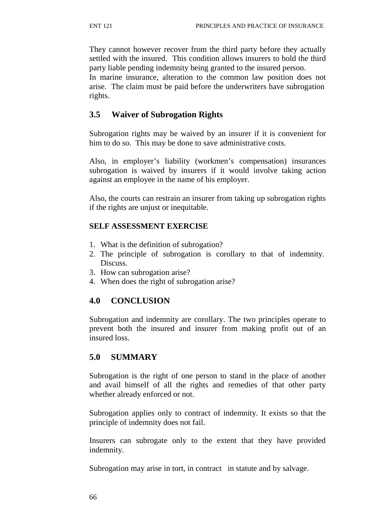They cannot however recover from the third party before they actually settled with the insured. This condition allows insurers to hold the third party liable pending indemnity being granted to the insured person.

In marine insurance, alteration to the common law position does not arise. The claim must be paid before the underwriters have subrogation rights.

# **3.5 Waiver of Subrogation Rights**

Subrogation rights may be waived by an insurer if it is convenient for him to do so. This may be done to save administrative costs.

Also, in employer's liability (workmen's compensation) insurances subrogation is waived by insurers if it would involve taking action against an employee in the name of his employer.

Also, the courts can restrain an insurer from taking up subrogation rights if the rights are unjust or inequitable.

### **SELF ASSESSMENT EXERCISE**

- 1. What is the definition of subrogation?
- 2. The principle of subrogation is corollary to that of indemnity. Discuss.
- 3. How can subrogation arise?
- 4. When does the right of subrogation arise?

# **4.0 CONCLUSION**

Subrogation and indemnity are corollary. The two principles operate to prevent both the insured and insurer from making profit out of an insured loss.

### **5.0 SUMMARY**

Subrogation is the right of one person to stand in the place of another and avail himself of all the rights and remedies of that other party whether already enforced or not.

Subrogation applies only to contract of indemnity. It exists so that the principle of indemnity does not fail.

Insurers can subrogate only to the extent that they have provided indemnity.

Subrogation may arise in tort, in contract in statute and by salvage.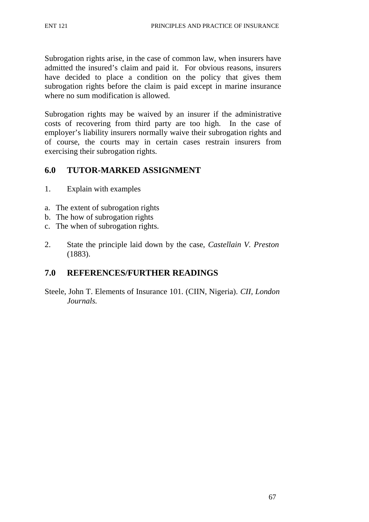Subrogation rights arise, in the case of common law, when insurers have admitted the insured's claim and paid it. For obvious reasons, insurers have decided to place a condition on the policy that gives them subrogation rights before the claim is paid except in marine insurance where no sum modification is allowed.

Subrogation rights may be waived by an insurer if the administrative costs of recovering from third party are too high. In the case of employer's liability insurers normally waive their subrogation rights and of course, the courts may in certain cases restrain insurers from exercising their subrogation rights.

### **6.0 TUTOR-MARKED ASSIGNMENT**

- 1. Explain with examples
- a. The extent of subrogation rights
- b. The how of subrogation rights
- c. The when of subrogation rights.
- 2. State the principle laid down by the case, *Castellain V. Preston* (1883).

# **7.0 REFERENCES/FURTHER READINGS**

Steele, John T. Elements of Insurance 101. (CIIN, Nigeria). *CII, London Journals.*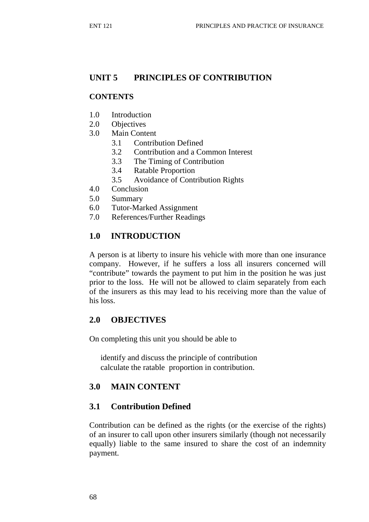# **UNIT 5 PRINCIPLES OF CONTRIBUTION**

#### **CONTENTS**

- 1.0 Introduction
- 2.0 Objectives
- 3.0 Main Content
	- 3.1 Contribution Defined
	- 3.2 Contribution and a Common Interest
	- 3.3 The Timing of Contribution
	- 3.4 Ratable Proportion
	- 3.5 Avoidance of Contribution Rights
- 4.0 Conclusion
- 5.0 Summary
- 6.0 Tutor-Marked Assignment
- 7.0 References/Further Readings

### **1.0 INTRODUCTION**

A person is at liberty to insure his vehicle with more than one insurance company. However, if he suffers a loss all insurers concerned will "contribute" towards the payment to put him in the position he was just prior to the loss. He will not be allowed to claim separately from each of the insurers as this may lead to his receiving more than the value of his loss.

### **2.0 OBJECTIVES**

On completing this unit you should be able to

identify and discuss the principle of contribution calculate the ratable proportion in contribution.

# **3.0 MAIN CONTENT**

### **3.1 Contribution Defined**

Contribution can be defined as the rights (or the exercise of the rights) of an insurer to call upon other insurers similarly (though not necessarily equally) liable to the same insured to share the cost of an indemnity payment.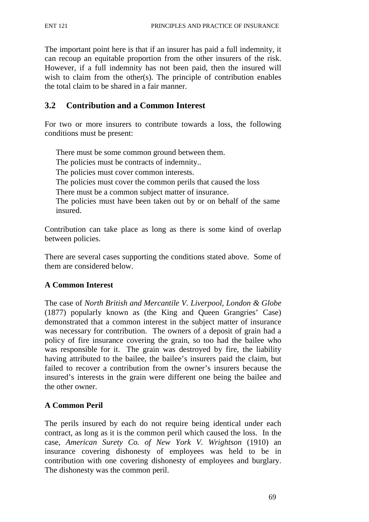The important point here is that if an insurer has paid a full indemnity, it can recoup an equitable proportion from the other insurers of the risk. However, if a full indemnity has not been paid, then the insured will wish to claim from the other(s). The principle of contribution enables the total claim to be shared in a fair manner.

# **3.2 Contribution and a Common Interest**

For two or more insurers to contribute towards a loss, the following conditions must be present:

There must be some common ground between them. The policies must be contracts of indemnity.. The policies must cover common interests. The policies must cover the common perils that caused the loss There must be a common subject matter of insurance. The policies must have been taken out by or on behalf of the same insured.

Contribution can take place as long as there is some kind of overlap between policies.

There are several cases supporting the conditions stated above. Some of them are considered below.

### **A Common Interest**

The case of *North British and Mercantile V. Liverpool, London & Globe*  (1877) popularly known as (the King and Queen Grangries' Case) demonstrated that a common interest in the subject matter of insurance was necessary for contribution. The owners of a deposit of grain had a policy of fire insurance covering the grain, so too had the bailee who was responsible for it. The grain was destroyed by fire, the liability having attributed to the bailee, the bailee's insurers paid the claim, but failed to recover a contribution from the owner's insurers because the insured's interests in the grain were different one being the bailee and the other owner.

### **A Common Peril**

The perils insured by each do not require being identical under each contract, as long as it is the common peril which caused the loss. In the case, *American Surety Co. of New York V. Wrightson* (1910) an insurance covering dishonesty of employees was held to be in contribution with one covering dishonesty of employees and burglary. The dishonesty was the common peril.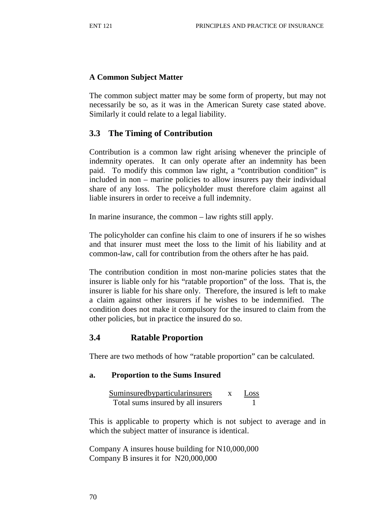# **A Common Subject Matter**

The common subject matter may be some form of property, but may not necessarily be so, as it was in the American Surety case stated above. Similarly it could relate to a legal liability.

# **3.3 The Timing of Contribution**

Contribution is a common law right arising whenever the principle of indemnity operates. It can only operate after an indemnity has been paid. To modify this common law right, a "contribution condition" is included in non – marine policies to allow insurers pay their individual share of any loss. The policyholder must therefore claim against all liable insurers in order to receive a full indemnity.

In marine insurance, the common – law rights still apply.

The policyholder can confine his claim to one of insurers if he so wishes and that insurer must meet the loss to the limit of his liability and at common-law, call for contribution from the others after he has paid.

The contribution condition in most non-marine policies states that the insurer is liable only for his "ratable proportion" of the loss. That is, the insurer is liable for his share only. Therefore, the insured is left to make a claim against other insurers if he wishes to be indemnified. The condition does not make it compulsory for the insured to claim from the other policies, but in practice the insured do so.

### **3.4 Ratable Proportion**

There are two methods of how "ratable proportion" can be calculated.

#### **a. Proportion to the Sums Insured**

Suminsured by particular insurers x Loss Total sums insured by all insurers 1

This is applicable to property which is not subject to average and in which the subject matter of insurance is identical.

Company A insures house building for N10,000,000 Company B insures it for N20,000,000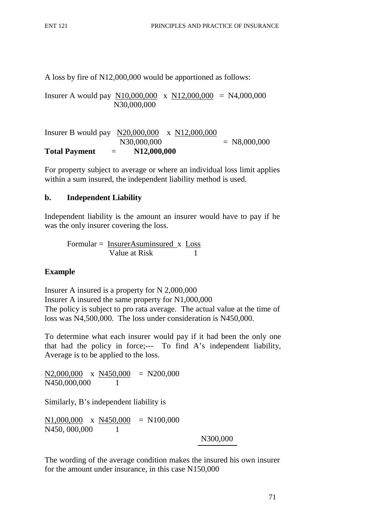A loss by fire of N12,000,000 would be apportioned as follows:

Insurer A would pay N10,000,000 x N12,000,000 = N4,000,000 N30,000,000

Insurer B would pay N20,000,000 x N12,000,000  $N30,000,000$  = N8,000,000 **Total Payment** = **N12,000,000**

For property subject to average or where an individual loss limit applies within a sum insured, the independent liability method is used.

### **b. Independent Liability**

Independent liability is the amount an insurer would have to pay if he was the only insurer covering the loss.

$$
Formular = \frac{InsertAsuminsured_x}{Value at Risk} \times \frac{Loss}{1}
$$

### **Example**

Insurer A insured is a property for N 2,000,000 Insurer A insured the same property for N1,000,000 The policy is subject to pro rata average. The actual value at the time of loss was N4,500,000. The loss under consideration is N450,000.

To determine what each insurer would pay if it had been the only one that had the policy in force;--- To find A's independent liability, Average is to be applied to the loss.

N2,000,000 x N450,000 = N200,000 N450,000,000 1

Similarly, B's independent liability is

N1,000,000 x N450,000 = N100,000 N450, 000,000 1

N300,000

The wording of the average condition makes the insured his own insurer for the amount under insurance, in this case N150,000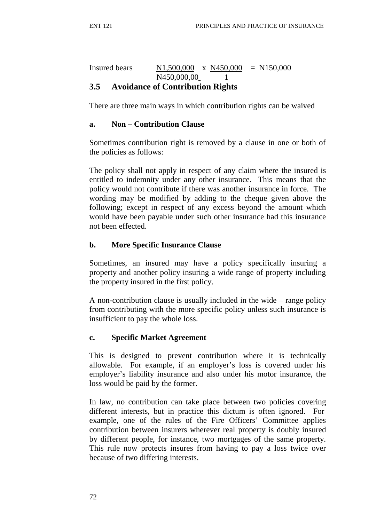### Insured bears N1,500,000 x N450,000 = N150,000 N450,000,00 1 **3.5 Avoidance of Contribution Rights**

There are three main ways in which contribution rights can be waived

#### **a. Non – Contribution Clause**

Sometimes contribution right is removed by a clause in one or both of the policies as follows:

The policy shall not apply in respect of any claim where the insured is entitled to indemnity under any other insurance. This means that the policy would not contribute if there was another insurance in force. The wording may be modified by adding to the cheque given above the following; except in respect of any excess beyond the amount which would have been payable under such other insurance had this insurance not been effected.

### **b. More Specific Insurance Clause**

Sometimes, an insured may have a policy specifically insuring a property and another policy insuring a wide range of property including the property insured in the first policy.

A non-contribution clause is usually included in the wide – range policy from contributing with the more specific policy unless such insurance is insufficient to pay the whole loss.

### **c. Specific Market Agreement**

This is designed to prevent contribution where it is technically allowable. For example, if an employer's loss is covered under his employer's liability insurance and also under his motor insurance, the loss would be paid by the former.

In law, no contribution can take place between two policies covering different interests, but in practice this dictum is often ignored. For example, one of the rules of the Fire Officers' Committee applies contribution between insurers wherever real property is doubly insured by different people, for instance, two mortgages of the same property. This rule now protects insures from having to pay a loss twice over because of two differing interests.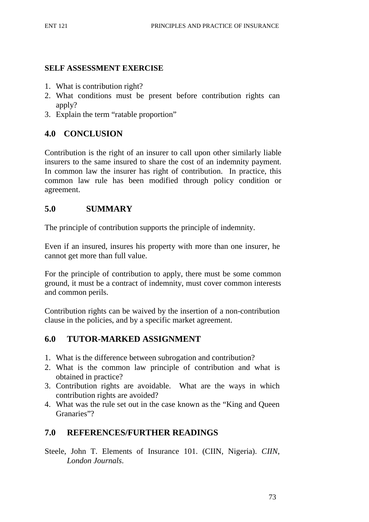#### **SELF ASSESSMENT EXERCISE**

- 1. What is contribution right?
- 2. What conditions must be present before contribution rights can apply?
- 3. Explain the term "ratable proportion"

# **4.0 CONCLUSION**

Contribution is the right of an insurer to call upon other similarly liable insurers to the same insured to share the cost of an indemnity payment. In common law the insurer has right of contribution. In practice, this common law rule has been modified through policy condition or agreement.

### **5.0 SUMMARY**

The principle of contribution supports the principle of indemnity.

Even if an insured, insures his property with more than one insurer, he cannot get more than full value.

For the principle of contribution to apply, there must be some common ground, it must be a contract of indemnity, must cover common interests and common perils.

Contribution rights can be waived by the insertion of a non-contribution clause in the policies, and by a specific market agreement.

# **6.0 TUTOR-MARKED ASSIGNMENT**

- 1. What is the difference between subrogation and contribution?
- 2. What is the common law principle of contribution and what is obtained in practice?
- 3. Contribution rights are avoidable. What are the ways in which contribution rights are avoided?
- 4. What was the rule set out in the case known as the "King and Queen Granaries"?

# **7.0 REFERENCES/FURTHER READINGS**

Steele, John T. Elements of Insurance 101. (CIIN, Nigeria). *CIIN*, *London Journals*.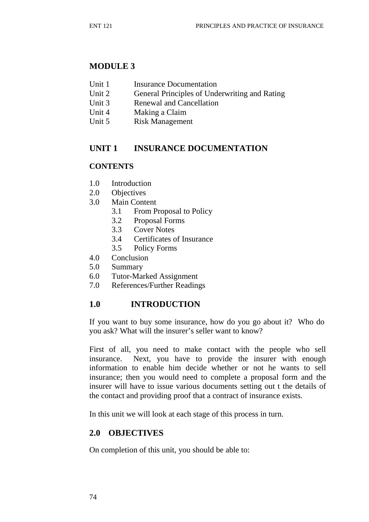### **MODULE 3**

- Unit 1 Insurance Documentation
- Unit 2 General Principles of Underwriting and Rating
- Unit 3 Renewal and Cancellation
- Unit 4 Making a Claim
- Unit 5 Risk Management

# **UNIT 1 INSURANCE DOCUMENTATION**

### **CONTENTS**

- 1.0 Introduction
- 2.0 Objectives
- 3.0 Main Content
	- 3.1 From Proposal to Policy
	- 3.2 Proposal Forms
	- 3.3 Cover Notes
	- 3.4 Certificates of Insurance
	- 3.5 Policy Forms
- 4.0 Conclusion
- 5.0 Summary
- 6.0 Tutor-Marked Assignment
- 7.0 References/Further Readings

# **1.0 INTRODUCTION**

If you want to buy some insurance, how do you go about it? Who do you ask? What will the insurer's seller want to know?

First of all, you need to make contact with the people who sell insurance. Next, you have to provide the insurer with enough information to enable him decide whether or not he wants to sell insurance; then you would need to complete a proposal form and the insurer will have to issue various documents setting out t the details of the contact and providing proof that a contract of insurance exists.

In this unit we will look at each stage of this process in turn.

# **2.0 OBJECTIVES**

On completion of this unit, you should be able to: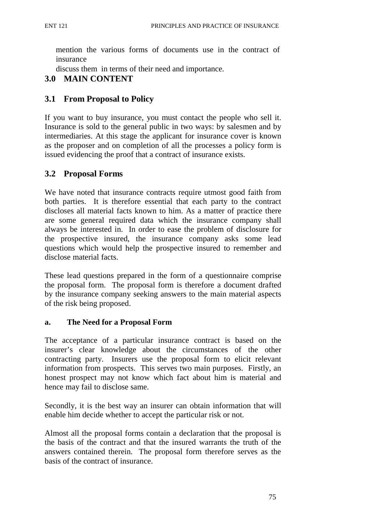mention the various forms of documents use in the contract of insurance

discuss them in terms of their need and importance.

# **3.0 MAIN CONTENT**

# **3.1 From Proposal to Policy**

If you want to buy insurance, you must contact the people who sell it. Insurance is sold to the general public in two ways: by salesmen and by intermediaries. At this stage the applicant for insurance cover is known as the proposer and on completion of all the processes a policy form is issued evidencing the proof that a contract of insurance exists.

# **3.2 Proposal Forms**

We have noted that insurance contracts require utmost good faith from both parties. It is therefore essential that each party to the contract discloses all material facts known to him. As a matter of practice there are some general required data which the insurance company shall always be interested in. In order to ease the problem of disclosure for the prospective insured, the insurance company asks some lead questions which would help the prospective insured to remember and disclose material facts.

These lead questions prepared in the form of a questionnaire comprise the proposal form. The proposal form is therefore a document drafted by the insurance company seeking answers to the main material aspects of the risk being proposed.

### **a. The Need for a Proposal Form**

The acceptance of a particular insurance contract is based on the insurer's clear knowledge about the circumstances of the other contracting party. Insurers use the proposal form to elicit relevant information from prospects. This serves two main purposes. Firstly, an honest prospect may not know which fact about him is material and hence may fail to disclose same.

Secondly, it is the best way an insurer can obtain information that will enable him decide whether to accept the particular risk or not.

Almost all the proposal forms contain a declaration that the proposal is the basis of the contract and that the insured warrants the truth of the answers contained therein. The proposal form therefore serves as the basis of the contract of insurance.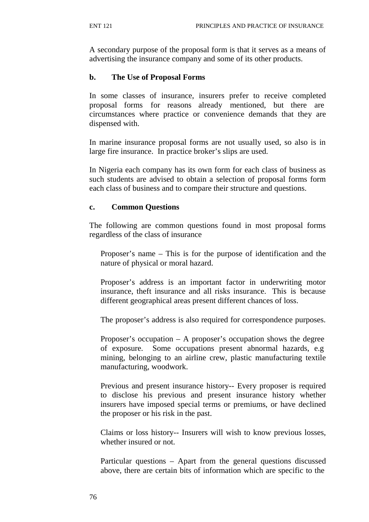A secondary purpose of the proposal form is that it serves as a means of advertising the insurance company and some of its other products.

#### **b. The Use of Proposal Forms**

In some classes of insurance, insurers prefer to receive completed proposal forms for reasons already mentioned, but there are circumstances where practice or convenience demands that they are dispensed with.

In marine insurance proposal forms are not usually used, so also is in large fire insurance. In practice broker's slips are used.

In Nigeria each company has its own form for each class of business as such students are advised to obtain a selection of proposal forms form each class of business and to compare their structure and questions.

#### **c. Common Questions**

The following are common questions found in most proposal forms regardless of the class of insurance

Proposer's name – This is for the purpose of identification and the nature of physical or moral hazard.

Proposer's address is an important factor in underwriting motor insurance, theft insurance and all risks insurance. This is because different geographical areas present different chances of loss.

The proposer's address is also required for correspondence purposes.

Proposer's occupation  $- A$  proposer's occupation shows the degree of exposure. Some occupations present abnormal hazards, e.g mining, belonging to an airline crew, plastic manufacturing textile manufacturing, woodwork.

Previous and present insurance history-- Every proposer is required to disclose his previous and present insurance history whether insurers have imposed special terms or premiums, or have declined the proposer or his risk in the past.

Claims or loss history-- Insurers will wish to know previous losses, whether insured or not.

Particular questions – Apart from the general questions discussed above, there are certain bits of information which are specific to the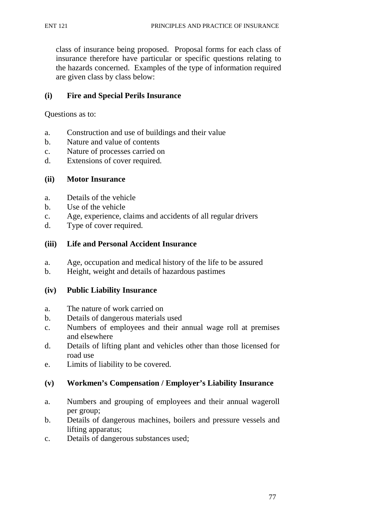class of insurance being proposed. Proposal forms for each class of insurance therefore have particular or specific questions relating to the hazards concerned. Examples of the type of information required are given class by class below:

#### **(i) Fire and Special Perils Insurance**

Questions as to:

- a. Construction and use of buildings and their value
- b. Nature and value of contents
- c. Nature of processes carried on
- d. Extensions of cover required.

#### **(ii) Motor Insurance**

- a. Details of the vehicle
- b. Use of the vehicle
- c. Age, experience, claims and accidents of all regular drivers
- d. Type of cover required.

#### **(iii) Life and Personal Accident Insurance**

- a. Age, occupation and medical history of the life to be assured
- b. Height, weight and details of hazardous pastimes

#### **(iv) Public Liability Insurance**

- a. The nature of work carried on
- b. Details of dangerous materials used
- c. Numbers of employees and their annual wage roll at premises and elsewhere
- d. Details of lifting plant and vehicles other than those licensed for road use
- e. Limits of liability to be covered.

### **(v) Workmen's Compensation / Employer's Liability Insurance**

- a. Numbers and grouping of employees and their annual wageroll per group;
- b. Details of dangerous machines, boilers and pressure vessels and lifting apparatus;
- c. Details of dangerous substances used;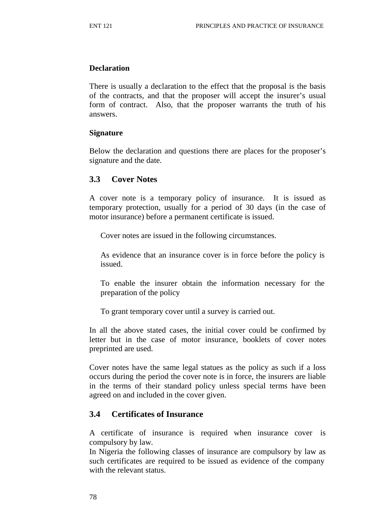#### **Declaration**

There is usually a declaration to the effect that the proposal is the basis of the contracts, and that the proposer will accept the insurer's usual form of contract. Also, that the proposer warrants the truth of his answers.

#### **Signature**

Below the declaration and questions there are places for the proposer's signature and the date.

#### **3.3 Cover Notes**

A cover note is a temporary policy of insurance. It is issued as temporary protection, usually for a period of 30 days (in the case of motor insurance) before a permanent certificate is issued.

Cover notes are issued in the following circumstances.

As evidence that an insurance cover is in force before the policy is issued.

To enable the insurer obtain the information necessary for the preparation of the policy

To grant temporary cover until a survey is carried out.

In all the above stated cases, the initial cover could be confirmed by letter but in the case of motor insurance, booklets of cover notes preprinted are used.

Cover notes have the same legal statues as the policy as such if a loss occurs during the period the cover note is in force, the insurers are liable in the terms of their standard policy unless special terms have been agreed on and included in the cover given.

### **3.4 Certificates of Insurance**

A certificate of insurance is required when insurance cover is compulsory by law.

In Nigeria the following classes of insurance are compulsory by law as such certificates are required to be issued as evidence of the company with the relevant status.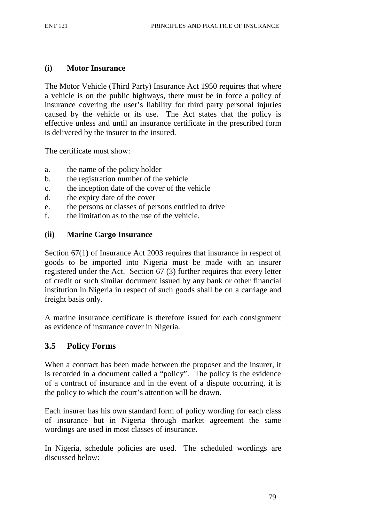#### **(i) Motor Insurance**

The Motor Vehicle (Third Party) Insurance Act 1950 requires that where a vehicle is on the public highways, there must be in force a policy of insurance covering the user's liability for third party personal injuries caused by the vehicle or its use. The Act states that the policy is effective unless and until an insurance certificate in the prescribed form is delivered by the insurer to the insured.

The certificate must show:

- a. the name of the policy holder
- b. the registration number of the vehicle
- c. the inception date of the cover of the vehicle
- d. the expiry date of the cover
- e. the persons or classes of persons entitled to drive
- f. the limitation as to the use of the vehicle.

#### **(ii) Marine Cargo Insurance**

Section 67(1) of Insurance Act 2003 requires that insurance in respect of goods to be imported into Nigeria must be made with an insurer registered under the Act. Section 67 (3) further requires that every letter of credit or such similar document issued by any bank or other financial institution in Nigeria in respect of such goods shall be on a carriage and freight basis only.

A marine insurance certificate is therefore issued for each consignment as evidence of insurance cover in Nigeria.

### **3.5 Policy Forms**

When a contract has been made between the proposer and the insurer, it is recorded in a document called a "policy". The policy is the evidence of a contract of insurance and in the event of a dispute occurring, it is the policy to which the court's attention will be drawn.

Each insurer has his own standard form of policy wording for each class of insurance but in Nigeria through market agreement the same wordings are used in most classes of insurance.

In Nigeria, schedule policies are used. The scheduled wordings are discussed below: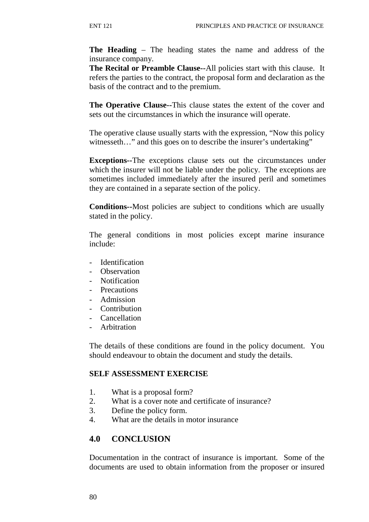**The Heading** – The heading states the name and address of the insurance company.

**The Recital or Preamble Clause--**All policies start with this clause. It refers the parties to the contract, the proposal form and declaration as the basis of the contract and to the premium.

**The Operative Clause--**This clause states the extent of the cover and sets out the circumstances in which the insurance will operate.

The operative clause usually starts with the expression, "Now this policy witnesseth..." and this goes on to describe the insurer's undertaking"

**Exceptions--**The exceptions clause sets out the circumstances under which the insurer will not be liable under the policy. The exceptions are sometimes included immediately after the insured peril and sometimes they are contained in a separate section of the policy.

**Conditions--**Most policies are subject to conditions which are usually stated in the policy.

The general conditions in most policies except marine insurance include:

- Identification
- Observation
- Notification
- Precautions
- Admission
- Contribution
- Cancellation
- Arbitration

The details of these conditions are found in the policy document. You should endeavour to obtain the document and study the details.

#### **SELF ASSESSMENT EXERCISE**

- 1. What is a proposal form?
- 2. What is a cover note and certificate of insurance?
- 3. Define the policy form.
- 4. What are the details in motor insurance

### **4.0 CONCLUSION**

Documentation in the contract of insurance is important. Some of the documents are used to obtain information from the proposer or insured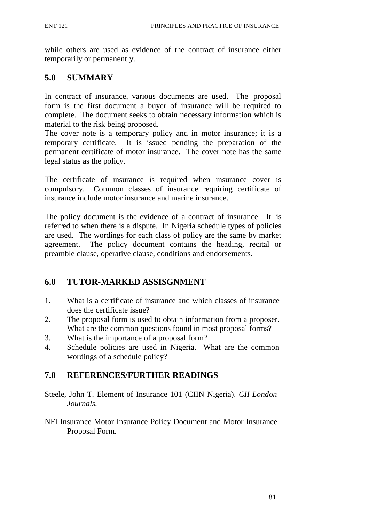while others are used as evidence of the contract of insurance either temporarily or permanently.

# **5.0 SUMMARY**

In contract of insurance, various documents are used. The proposal form is the first document a buyer of insurance will be required to complete. The document seeks to obtain necessary information which is material to the risk being proposed.

The cover note is a temporary policy and in motor insurance; it is a temporary certificate. It is issued pending the preparation of the permanent certificate of motor insurance. The cover note has the same legal status as the policy.

The certificate of insurance is required when insurance cover is compulsory. Common classes of insurance requiring certificate of insurance include motor insurance and marine insurance.

The policy document is the evidence of a contract of insurance. It is referred to when there is a dispute. In Nigeria schedule types of policies are used. The wordings for each class of policy are the same by market agreement. The policy document contains the heading, recital or preamble clause, operative clause, conditions and endorsements.

# **6.0 TUTOR-MARKED ASSISGNMENT**

- 1. What is a certificate of insurance and which classes of insurance does the certificate issue?
- 2. The proposal form is used to obtain information from a proposer. What are the common questions found in most proposal forms?
- 3. What is the importance of a proposal form?
- 4. Schedule policies are used in Nigeria. What are the common wordings of a schedule policy?

# **7.0 REFERENCES/FURTHER READINGS**

- Steele, John T. Element of Insurance 101 (CIIN Nigeria). *CII London Journals.*
- NFI Insurance Motor Insurance Policy Document and Motor Insurance Proposal Form.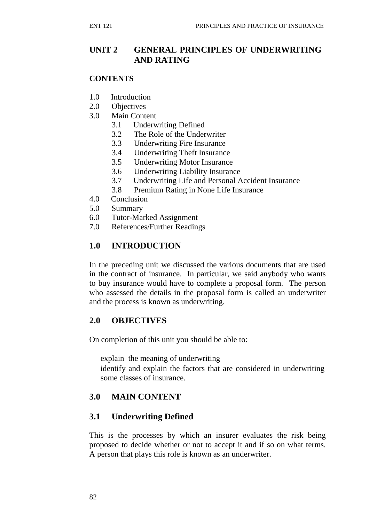# **UNIT 2 GENERAL PRINCIPLES OF UNDERWRITING AND RATING**

#### **CONTENTS**

- 1.0 Introduction
- 2.0 Objectives
- 3.0 Main Content
	- 3.1 Underwriting Defined
	- 3.2 The Role of the Underwriter
	- 3.3 Underwriting Fire Insurance
	- 3.4 Underwriting Theft Insurance
	- 3.5 Underwriting Motor Insurance
	- 3.6 Underwriting Liability Insurance
	- 3.7 Underwriting Life and Personal Accident Insurance
	- 3.8 Premium Rating in None Life Insurance
- 4.0 Conclusion
- 5.0 Summary
- 6.0 Tutor-Marked Assignment
- 7.0 References/Further Readings

### **1.0 INTRODUCTION**

In the preceding unit we discussed the various documents that are used in the contract of insurance. In particular, we said anybody who wants to buy insurance would have to complete a proposal form. The person who assessed the details in the proposal form is called an underwriter and the process is known as underwriting.

### **2.0 OBJECTIVES**

On completion of this unit you should be able to:

explain the meaning of underwriting identify and explain the factors that are considered in underwriting some classes of insurance.

# **3.0 MAIN CONTENT**

### **3.1 Underwriting Defined**

This is the processes by which an insurer evaluates the risk being proposed to decide whether or not to accept it and if so on what terms. A person that plays this role is known as an underwriter.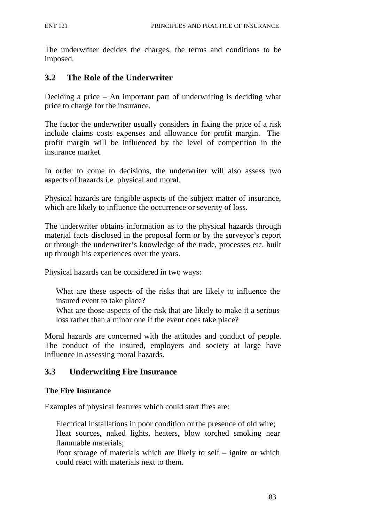The underwriter decides the charges, the terms and conditions to be imposed.

# **3.2 The Role of the Underwriter**

Deciding a price – An important part of underwriting is deciding what price to charge for the insurance.

The factor the underwriter usually considers in fixing the price of a risk include claims costs expenses and allowance for profit margin. The profit margin will be influenced by the level of competition in the insurance market.

In order to come to decisions, the underwriter will also assess two aspects of hazards i.e. physical and moral.

Physical hazards are tangible aspects of the subject matter of insurance, which are likely to influence the occurrence or severity of loss.

The underwriter obtains information as to the physical hazards through material facts disclosed in the proposal form or by the surveyor's report or through the underwriter's knowledge of the trade, processes etc. built up through his experiences over the years.

Physical hazards can be considered in two ways:

What are these aspects of the risks that are likely to influence the insured event to take place?

What are those aspects of the risk that are likely to make it a serious loss rather than a minor one if the event does take place?

Moral hazards are concerned with the attitudes and conduct of people. The conduct of the insured, employers and society at large have influence in assessing moral hazards.

# **3.3 Underwriting Fire Insurance**

### **The Fire Insurance**

Examples of physical features which could start fires are:

Electrical installations in poor condition or the presence of old wire; Heat sources, naked lights, heaters, blow torched smoking near flammable materials;

Poor storage of materials which are likely to self – ignite or which could react with materials next to them.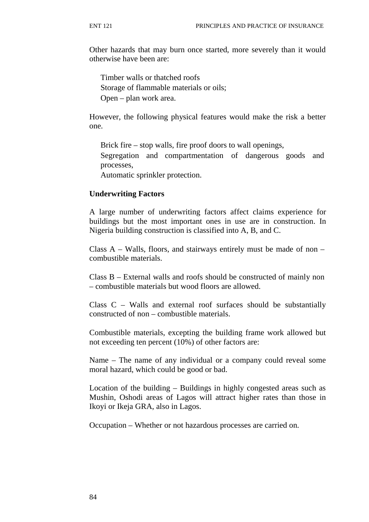Other hazards that may burn once started, more severely than it would otherwise have been are:

Timber walls or thatched roofs Storage of flammable materials or oils; Open – plan work area.

However, the following physical features would make the risk a better one.

Brick fire – stop walls, fire proof doors to wall openings,

Segregation and compartmentation of dangerous goods and processes,

Automatic sprinkler protection.

#### **Underwriting Factors**

A large number of underwriting factors affect claims experience for buildings but the most important ones in use are in construction. In Nigeria building construction is classified into A, B, and C.

Class A – Walls, floors, and stairways entirely must be made of non – combustible materials.

Class B – External walls and roofs should be constructed of mainly non – combustible materials but wood floors are allowed.

Class C – Walls and external roof surfaces should be substantially constructed of non – combustible materials.

Combustible materials, excepting the building frame work allowed but not exceeding ten percent (10%) of other factors are:

Name – The name of any individual or a company could reveal some moral hazard, which could be good or bad.

Location of the building – Buildings in highly congested areas such as Mushin, Oshodi areas of Lagos will attract higher rates than those in Ikoyi or Ikeja GRA, also in Lagos.

Occupation – Whether or not hazardous processes are carried on.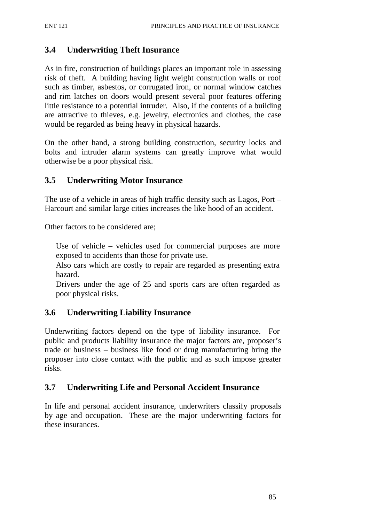### **3.4 Underwriting Theft Insurance**

As in fire, construction of buildings places an important role in assessing risk of theft. A building having light weight construction walls or roof such as timber, asbestos, or corrugated iron, or normal window catches and rim latches on doors would present several poor features offering little resistance to a potential intruder. Also, if the contents of a building are attractive to thieves, e.g. jewelry, electronics and clothes, the case would be regarded as being heavy in physical hazards.

On the other hand, a strong building construction, security locks and bolts and intruder alarm systems can greatly improve what would otherwise be a poor physical risk.

### **3.5 Underwriting Motor Insurance**

The use of a vehicle in areas of high traffic density such as Lagos, Port – Harcourt and similar large cities increases the like hood of an accident.

Other factors to be considered are;

Use of vehicle – vehicles used for commercial purposes are more exposed to accidents than those for private use.

Also cars which are costly to repair are regarded as presenting extra hazard.

Drivers under the age of 25 and sports cars are often regarded as poor physical risks.

### **3.6 Underwriting Liability Insurance**

Underwriting factors depend on the type of liability insurance. For public and products liability insurance the major factors are, proposer's trade or business – business like food or drug manufacturing bring the proposer into close contact with the public and as such impose greater risks.

### **3.7 Underwriting Life and Personal Accident Insurance**

In life and personal accident insurance, underwriters classify proposals by age and occupation. These are the major underwriting factors for these insurances.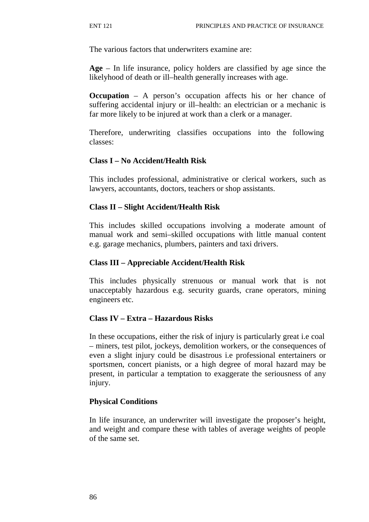The various factors that underwriters examine are:

**Age** – In life insurance, policy holders are classified by age since the likelyhood of death or ill–health generally increases with age.

**Occupation** – A person's occupation affects his or her chance of suffering accidental injury or ill–health: an electrician or a mechanic is far more likely to be injured at work than a clerk or a manager.

Therefore, underwriting classifies occupations into the following classes:

#### **Class I – No Accident/Health Risk**

This includes professional, administrative or clerical workers, such as lawyers, accountants, doctors, teachers or shop assistants.

#### **Class II – Slight Accident/Health Risk**

This includes skilled occupations involving a moderate amount of manual work and semi–skilled occupations with little manual content e.g. garage mechanics, plumbers, painters and taxi drivers.

#### **Class III – Appreciable Accident/Health Risk**

This includes physically strenuous or manual work that is not unacceptably hazardous e.g. security guards, crane operators, mining engineers etc.

#### **Class IV – Extra – Hazardous Risks**

In these occupations, either the risk of injury is particularly great i.e coal – miners, test pilot, jockeys, demolition workers, or the consequences of even a slight injury could be disastrous i.e professional entertainers or sportsmen, concert pianists, or a high degree of moral hazard may be present, in particular a temptation to exaggerate the seriousness of any injury.

### **Physical Conditions**

In life insurance, an underwriter will investigate the proposer's height, and weight and compare these with tables of average weights of people of the same set.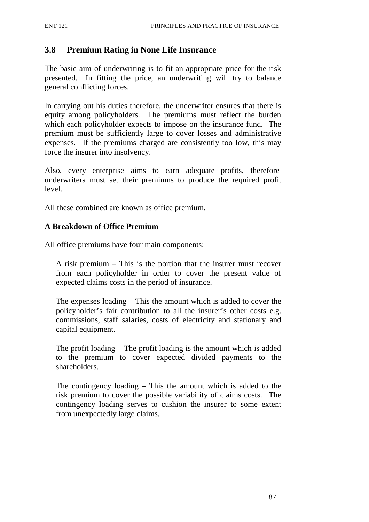### **3.8 Premium Rating in None Life Insurance**

The basic aim of underwriting is to fit an appropriate price for the risk presented. In fitting the price, an underwriting will try to balance general conflicting forces.

In carrying out his duties therefore, the underwriter ensures that there is equity among policyholders. The premiums must reflect the burden which each policyholder expects to impose on the insurance fund. The premium must be sufficiently large to cover losses and administrative expenses. If the premiums charged are consistently too low, this may force the insurer into insolvency.

Also, every enterprise aims to earn adequate profits, therefore underwriters must set their premiums to produce the required profit level.

All these combined are known as office premium.

#### **A Breakdown of Office Premium**

All office premiums have four main components:

A risk premium – This is the portion that the insurer must recover from each policyholder in order to cover the present value of expected claims costs in the period of insurance.

The expenses loading – This the amount which is added to cover the policyholder's fair contribution to all the insurer's other costs e.g. commissions, staff salaries, costs of electricity and stationary and capital equipment.

The profit loading – The profit loading is the amount which is added to the premium to cover expected divided payments to the shareholders.

The contingency loading – This the amount which is added to the risk premium to cover the possible variability of claims costs. The contingency loading serves to cushion the insurer to some extent from unexpectedly large claims.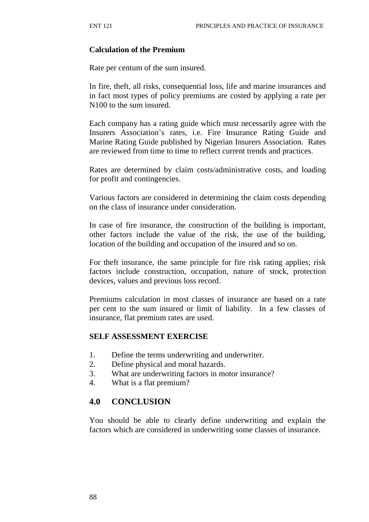#### **Calculation of the Premium**

Rate per centum of the sum insured.

In fire, theft, all risks, consequential loss, life and marine insurances and in fact most types of policy premiums are costed by applying a rate per N100 to the sum insured.

Each company has a rating guide which must necessarily agree with the Insurers Association's rates, i.e. Fire Insurance Rating Guide and Marine Rating Guide published by Nigerian Insurers Association. Rates are reviewed from time to time to reflect current trends and practices.

Rates are determined by claim costs/administrative costs, and loading for profit and contingencies.

Various factors are considered in determining the claim costs depending on the class of insurance under consideration.

In case of fire insurance, the construction of the building is important, other factors include the value of the risk, the use of the building, location of the building and occupation of the insured and so on.

For theft insurance, the same principle for fire risk rating applies; risk factors include construction, occupation, nature of stock, protection devices, values and previous loss record.

Premiums calculation in most classes of insurance are based on a rate per cent to the sum insured or limit of liability. In a few classes of insurance, flat premium rates are used.

#### **SELF ASSESSMENT EXERCISE**

- 1. Define the terms underwriting and underwriter.
- 2. Define physical and moral hazards.
- 3. What are underwriting factors in motor insurance?
- 4. What is a flat premium?

### **4.0 CONCLUSION**

You should be able to clearly define underwriting and explain the factors which are considered in underwriting some classes of insurance.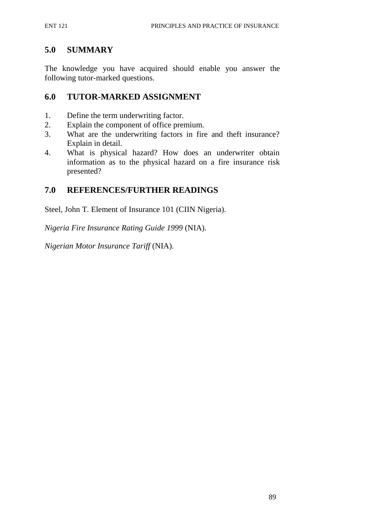### **5.0 SUMMARY**

The knowledge you have acquired should enable you answer the following tutor-marked questions.

### **6.0 TUTOR-MARKED ASSIGNMENT**

- 1. Define the term underwriting factor.
- 2. Explain the component of office premium.
- 3. What are the underwriting factors in fire and theft insurance? Explain in detail.
- 4. What is physical hazard? How does an underwriter obtain information as to the physical hazard on a fire insurance risk presented?

### **7.0 REFERENCES/FURTHER READINGS**

Steel, John T. Element of Insurance 101 (CIIN Nigeria).

*Nigeria Fire Insurance Rating Guide 1999* (NIA).

*Nigerian Motor Insurance Tariff* (NIA).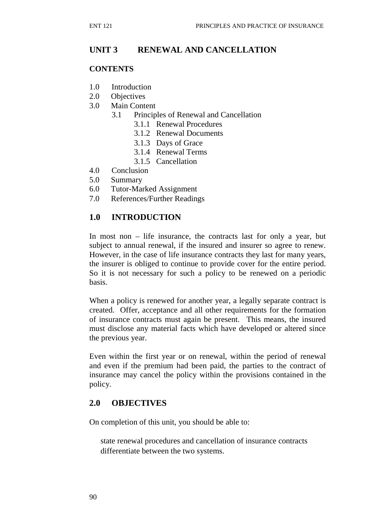# **UNIT 3 RENEWAL AND CANCELLATION**

#### **CONTENTS**

- 1.0 Introduction
- 2.0 Objectives
- 3.0 Main Content
	- 3.1 Principles of Renewal and Cancellation
		- 3.1.1 Renewal Procedures
		- 3.1.2 Renewal Documents
		- 3.1.3 Days of Grace
		- 3.1.4 Renewal Terms
		- 3.1.5 Cancellation
- 4.0 Conclusion
- 5.0 Summary
- 6.0 Tutor-Marked Assignment
- 7.0 References/Further Readings

### **1.0 INTRODUCTION**

In most non – life insurance, the contracts last for only a year, but subject to annual renewal, if the insured and insurer so agree to renew. However, in the case of life insurance contracts they last for many years, the insurer is obliged to continue to provide cover for the entire period. So it is not necessary for such a policy to be renewed on a periodic basis.

When a policy is renewed for another year, a legally separate contract is created. Offer, acceptance and all other requirements for the formation of insurance contracts must again be present. This means, the insured must disclose any material facts which have developed or altered since the previous year.

Even within the first year or on renewal, within the period of renewal and even if the premium had been paid, the parties to the contract of insurance may cancel the policy within the provisions contained in the policy.

### **2.0 OBJECTIVES**

On completion of this unit, you should be able to:

state renewal procedures and cancellation of insurance contracts differentiate between the two systems.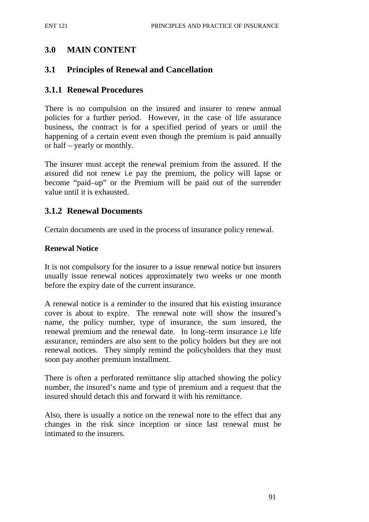# **3.0 MAIN CONTENT**

### **3.1 Principles of Renewal and Cancellation**

### **3.1.1 Renewal Procedures**

There is no compulsion on the insured and insurer to renew annual policies for a further period. However, in the case of life assurance business, the contract is for a specified period of years or until the happening of a certain event even though the premium is paid annually or half – yearly or monthly.

The insurer must accept the renewal premium from the assured. If the assured did not renew i.e pay the premium, the policy will lapse or become "paid–up" or the Premium will be paid out of the surrender value until it is exhausted.

### **3.1.2 Renewal Documents**

Certain documents are used in the process of insurance policy renewal.

#### **Renewal Notice**

It is not compulsory for the insurer to a issue renewal notice but insurers usually issue renewal notices approximately two weeks or one month before the expiry date of the current insurance.

A renewal notice is a reminder to the insured that his existing insurance cover is about to expire. The renewal note will show the insured's name, the policy number, type of insurance, the sum insured, the renewal premium and the renewal date. In long–term insurance i.e life assurance, reminders are also sent to the policy holders but they are not renewal notices. They simply remind the policyholders that they must soon pay another premium installment.

There is often a perforated remittance slip attached showing the policy number, the insured's name and type of premium and a request that the insured should detach this and forward it with his remittance.

Also, there is usually a notice on the renewal note to the effect that any changes in the risk since inception or since last renewal must be intimated to the insurers.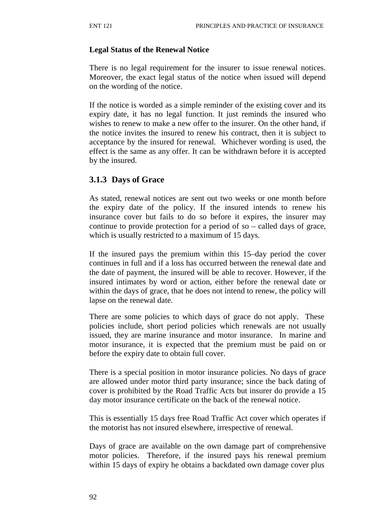#### **Legal Status of the Renewal Notice**

There is no legal requirement for the insurer to issue renewal notices. Moreover, the exact legal status of the notice when issued will depend on the wording of the notice.

If the notice is worded as a simple reminder of the existing cover and its expiry date, it has no legal function. It just reminds the insured who wishes to renew to make a new offer to the insurer. On the other hand, if the notice invites the insured to renew his contract, then it is subject to acceptance by the insured for renewal. Whichever wording is used, the effect is the same as any offer. It can be withdrawn before it is accepted by the insured.

# **3.1.3 Days of Grace**

As stated, renewal notices are sent out two weeks or one month before the expiry date of the policy. If the insured intends to renew his insurance cover but fails to do so before it expires, the insurer may continue to provide protection for a period of so – called days of grace, which is usually restricted to a maximum of 15 days.

If the insured pays the premium within this 15–day period the cover continues in full and if a loss has occurred between the renewal date and the date of payment, the insured will be able to recover. However, if the insured intimates by word or action, either before the renewal date or within the days of grace, that he does not intend to renew, the policy will lapse on the renewal date.

There are some policies to which days of grace do not apply. These policies include, short period policies which renewals are not usually issued, they are marine insurance and motor insurance. In marine and motor insurance, it is expected that the premium must be paid on or before the expiry date to obtain full cover.

There is a special position in motor insurance policies. No days of grace are allowed under motor third party insurance; since the back dating of cover is prohibited by the Road Traffic Acts but insurer do provide a 15 day motor insurance certificate on the back of the renewal notice.

This is essentially 15 days free Road Traffic Act cover which operates if the motorist has not insured elsewhere, irrespective of renewal.

Days of grace are available on the own damage part of comprehensive motor policies. Therefore, if the insured pays his renewal premium within 15 days of expiry he obtains a backdated own damage cover plus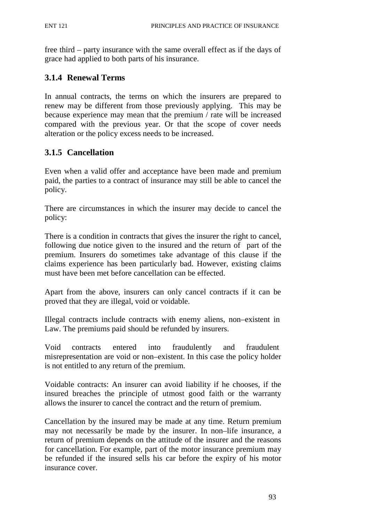free third – party insurance with the same overall effect as if the days of grace had applied to both parts of his insurance.

# **3.1.4 Renewal Terms**

In annual contracts, the terms on which the insurers are prepared to renew may be different from those previously applying. This may be because experience may mean that the premium / rate will be increased compared with the previous year. Or that the scope of cover needs alteration or the policy excess needs to be increased.

# **3.1.5 Cancellation**

Even when a valid offer and acceptance have been made and premium paid, the parties to a contract of insurance may still be able to cancel the policy.

There are circumstances in which the insurer may decide to cancel the policy:

There is a condition in contracts that gives the insurer the right to cancel, following due notice given to the insured and the return of part of the premium. Insurers do sometimes take advantage of this clause if the claims experience has been particularly bad. However, existing claims must have been met before cancellation can be effected.

Apart from the above, insurers can only cancel contracts if it can be proved that they are illegal, void or voidable.

Illegal contracts include contracts with enemy aliens, non–existent in Law. The premiums paid should be refunded by insurers.

Void contracts entered into fraudulently and fraudulent misrepresentation are void or non–existent. In this case the policy holder is not entitled to any return of the premium.

Voidable contracts: An insurer can avoid liability if he chooses, if the insured breaches the principle of utmost good faith or the warranty allows the insurer to cancel the contract and the return of premium.

Cancellation by the insured may be made at any time. Return premium may not necessarily be made by the insurer. In non–life insurance, a return of premium depends on the attitude of the insurer and the reasons for cancellation. For example, part of the motor insurance premium may be refunded if the insured sells his car before the expiry of his motor insurance cover.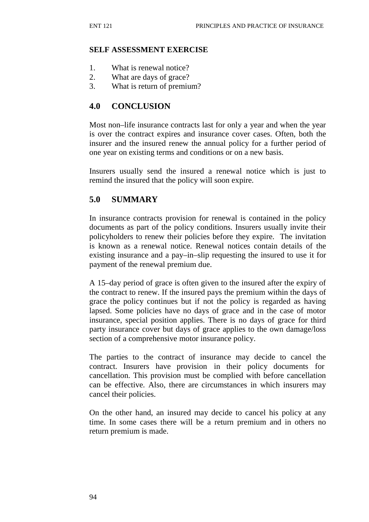#### **SELF ASSESSMENT EXERCISE**

- 1. What is renewal notice?
- 2. What are days of grace?
- 3. What is return of premium?

#### **4.0 CONCLUSION**

Most non–life insurance contracts last for only a year and when the year is over the contract expires and insurance cover cases. Often, both the insurer and the insured renew the annual policy for a further period of one year on existing terms and conditions or on a new basis.

Insurers usually send the insured a renewal notice which is just to remind the insured that the policy will soon expire.

#### **5.0 SUMMARY**

In insurance contracts provision for renewal is contained in the policy documents as part of the policy conditions. Insurers usually invite their policyholders to renew their policies before they expire. The invitation is known as a renewal notice. Renewal notices contain details of the existing insurance and a pay–in–slip requesting the insured to use it for payment of the renewal premium due.

A 15–day period of grace is often given to the insured after the expiry of the contract to renew. If the insured pays the premium within the days of grace the policy continues but if not the policy is regarded as having lapsed. Some policies have no days of grace and in the case of motor insurance, special position applies. There is no days of grace for third party insurance cover but days of grace applies to the own damage/loss section of a comprehensive motor insurance policy.

The parties to the contract of insurance may decide to cancel the contract. Insurers have provision in their policy documents for cancellation. This provision must be complied with before cancellation can be effective. Also, there are circumstances in which insurers may cancel their policies.

On the other hand, an insured may decide to cancel his policy at any time. In some cases there will be a return premium and in others no return premium is made.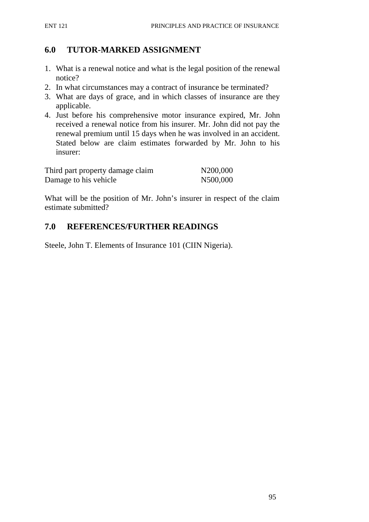# **6.0 TUTOR-MARKED ASSIGNMENT**

- 1. What is a renewal notice and what is the legal position of the renewal notice?
- 2. In what circumstances may a contract of insurance be terminated?
- 3. What are days of grace, and in which classes of insurance are they applicable.
- 4. Just before his comprehensive motor insurance expired, Mr. John received a renewal notice from his insurer. Mr. John did not pay the renewal premium until 15 days when he was involved in an accident. Stated below are claim estimates forwarded by Mr. John to his insurer:

| Third part property damage claim | N200,000 |
|----------------------------------|----------|
| Damage to his vehicle            | N500,000 |

What will be the position of Mr. John's insurer in respect of the claim estimate submitted?

# **7.0 REFERENCES/FURTHER READINGS**

Steele, John T. Elements of Insurance 101 (CIIN Nigeria).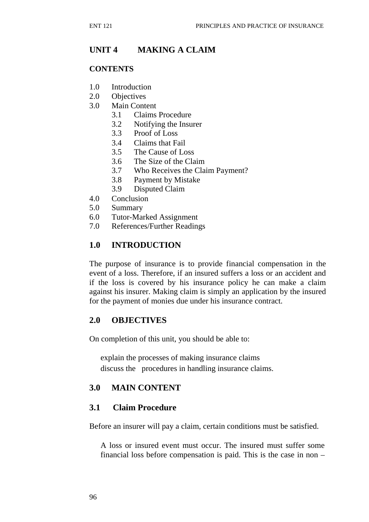# **UNIT 4 MAKING A CLAIM**

#### **CONTENTS**

- 1.0 Introduction
- 2.0 Objectives
- 3.0 Main Content
	- 3.1 Claims Procedure
	- 3.2 Notifying the Insurer
	- 3.3 Proof of Loss
	- 3.4 Claims that Fail
	- 3.5 The Cause of Loss
	- 3.6 The Size of the Claim
	- 3.7 Who Receives the Claim Payment?
	- 3.8 Payment by Mistake
	- 3.9 Disputed Claim
- 4.0 Conclusion
- 5.0 Summary
- 6.0 Tutor-Marked Assignment
- 7.0 References/Further Readings

### **1.0 INTRODUCTION**

The purpose of insurance is to provide financial compensation in the event of a loss. Therefore, if an insured suffers a loss or an accident and if the loss is covered by his insurance policy he can make a claim against his insurer. Making claim is simply an application by the insured for the payment of monies due under his insurance contract.

### **2.0 OBJECTIVES**

On completion of this unit, you should be able to:

explain the processes of making insurance claims discuss the procedures in handling insurance claims.

### **3.0 MAIN CONTENT**

### **3.1 Claim Procedure**

Before an insurer will pay a claim, certain conditions must be satisfied.

A loss or insured event must occur. The insured must suffer some financial loss before compensation is paid. This is the case in non –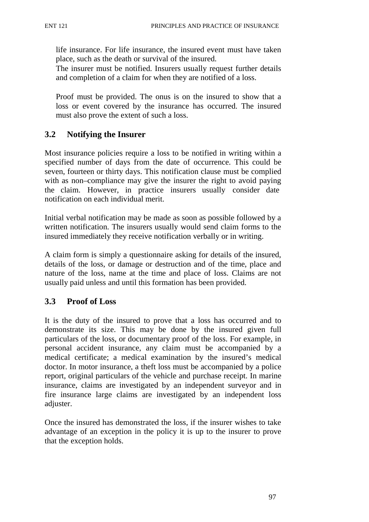life insurance. For life insurance, the insured event must have taken place, such as the death or survival of the insured.

The insurer must be notified. Insurers usually request further details and completion of a claim for when they are notified of a loss.

Proof must be provided. The onus is on the insured to show that a loss or event covered by the insurance has occurred. The insured must also prove the extent of such a loss.

### **3.2 Notifying the Insurer**

Most insurance policies require a loss to be notified in writing within a specified number of days from the date of occurrence. This could be seven, fourteen or thirty days. This notification clause must be complied with as non–compliance may give the insurer the right to avoid paying the claim. However, in practice insurers usually consider date notification on each individual merit.

Initial verbal notification may be made as soon as possible followed by a written notification. The insurers usually would send claim forms to the insured immediately they receive notification verbally or in writing.

A claim form is simply a questionnaire asking for details of the insured, details of the loss, or damage or destruction and of the time, place and nature of the loss, name at the time and place of loss. Claims are not usually paid unless and until this formation has been provided.

### **3.3 Proof of Loss**

It is the duty of the insured to prove that a loss has occurred and to demonstrate its size. This may be done by the insured given full particulars of the loss, or documentary proof of the loss. For example, in personal accident insurance, any claim must be accompanied by a medical certificate; a medical examination by the insured's medical doctor. In motor insurance, a theft loss must be accompanied by a police report, original particulars of the vehicle and purchase receipt. In marine insurance, claims are investigated by an independent surveyor and in fire insurance large claims are investigated by an independent loss adjuster.

Once the insured has demonstrated the loss, if the insurer wishes to take advantage of an exception in the policy it is up to the insurer to prove that the exception holds.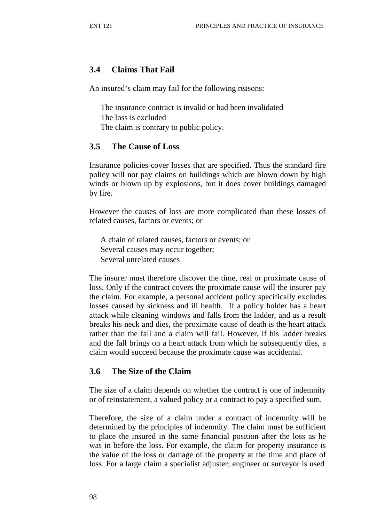#### **3.4 Claims That Fail**

An insured's claim may fail for the following reasons:

The insurance contract is invalid or had been invalidated The loss is excluded The claim is contrary to public policy.

#### **3.5 The Cause of Loss**

Insurance policies cover losses that are specified. Thus the standard fire policy will not pay claims on buildings which are blown down by high winds or blown up by explosions, but it does cover buildings damaged by fire.

However the causes of loss are more complicated than these losses of related causes, factors or events; or

A chain of related causes, factors or events; or Several causes may occur together; Several unrelated causes

The insurer must therefore discover the time, real or proximate cause of loss. Only if the contract covers the proximate cause will the insurer pay the claim. For example, a personal accident policy specifically excludes losses caused by sickness and ill health. If a policy holder has a heart attack while cleaning windows and falls from the ladder, and as a result breaks his neck and dies, the proximate cause of death is the heart attack rather than the fall and a claim will fail. However, if his ladder breaks and the fall brings on a heart attack from which he subsequently dies, a claim would succeed because the proximate cause was accidental.

#### **3.6 The Size of the Claim**

The size of a claim depends on whether the contract is one of indemnity or of reinstatement, a valued policy or a contract to pay a specified sum.

Therefore, the size of a claim under a contract of indemnity will be determined by the principles of indemnity. The claim must be sufficient to place the insured in the same financial position after the loss as he was in before the loss. For example, the claim for property insurance is the value of the loss or damage of the property at the time and place of loss. For a large claim a specialist adjuster; engineer or surveyor is used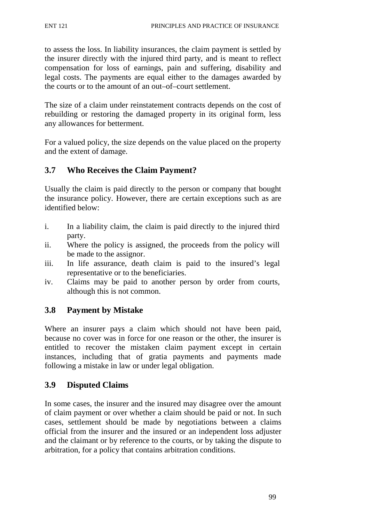to assess the loss. In liability insurances, the claim payment is settled by the insurer directly with the injured third party, and is meant to reflect compensation for loss of earnings, pain and suffering, disability and legal costs. The payments are equal either to the damages awarded by the courts or to the amount of an out–of–court settlement.

The size of a claim under reinstatement contracts depends on the cost of rebuilding or restoring the damaged property in its original form, less any allowances for betterment.

For a valued policy, the size depends on the value placed on the property and the extent of damage.

# **3.7 Who Receives the Claim Payment?**

Usually the claim is paid directly to the person or company that bought the insurance policy. However, there are certain exceptions such as are identified below:

- i. In a liability claim, the claim is paid directly to the injured third party.
- ii. Where the policy is assigned, the proceeds from the policy will be made to the assignor.
- iii. In life assurance, death claim is paid to the insured's legal representative or to the beneficiaries.
- iv. Claims may be paid to another person by order from courts, although this is not common.

# **3.8 Payment by Mistake**

Where an insurer pays a claim which should not have been paid, because no cover was in force for one reason or the other, the insurer is entitled to recover the mistaken claim payment except in certain instances, including that of gratia payments and payments made following a mistake in law or under legal obligation.

# **3.9 Disputed Claims**

In some cases, the insurer and the insured may disagree over the amount of claim payment or over whether a claim should be paid or not. In such cases, settlement should be made by negotiations between a claims official from the insurer and the insured or an independent loss adjuster and the claimant or by reference to the courts, or by taking the dispute to arbitration, for a policy that contains arbitration conditions.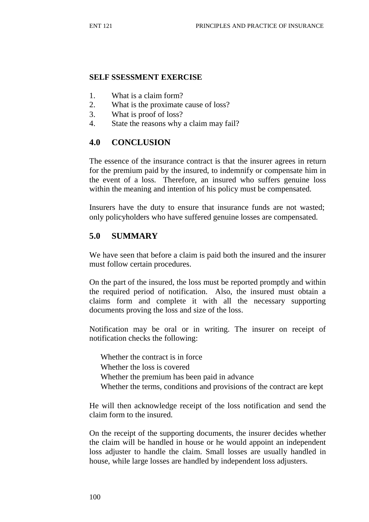#### **SELF SSESSMENT EXERCISE**

- 1. What is a claim form?
- 2. What is the proximate cause of loss?
- 3. What is proof of loss?
- 4. State the reasons why a claim may fail?

### **4.0 CONCLUSION**

The essence of the insurance contract is that the insurer agrees in return for the premium paid by the insured, to indemnify or compensate him in the event of a loss. Therefore, an insured who suffers genuine loss within the meaning and intention of his policy must be compensated.

Insurers have the duty to ensure that insurance funds are not wasted; only policyholders who have suffered genuine losses are compensated.

### **5.0 SUMMARY**

We have seen that before a claim is paid both the insured and the insurer must follow certain procedures.

On the part of the insured, the loss must be reported promptly and within the required period of notification. Also, the insured must obtain a claims form and complete it with all the necessary supporting documents proving the loss and size of the loss.

Notification may be oral or in writing. The insurer on receipt of notification checks the following:

Whether the contract is in force

Whether the loss is covered

- Whether the premium has been paid in advance
- Whether the terms, conditions and provisions of the contract are kept

He will then acknowledge receipt of the loss notification and send the claim form to the insured.

On the receipt of the supporting documents, the insurer decides whether the claim will be handled in house or he would appoint an independent loss adjuster to handle the claim. Small losses are usually handled in house, while large losses are handled by independent loss adjusters.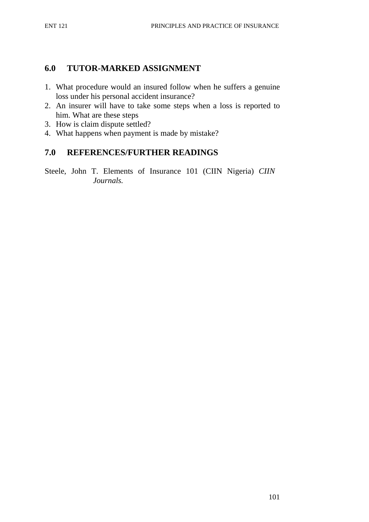# **6.0 TUTOR-MARKED ASSIGNMENT**

- 1. What procedure would an insured follow when he suffers a genuine loss under his personal accident insurance?
- 2. An insurer will have to take some steps when a loss is reported to him. What are these steps
- 3. How is claim dispute settled?
- 4. What happens when payment is made by mistake?

# **7.0 REFERENCES/FURTHER READINGS**

Steele, John T. Elements of Insurance 101 (CIIN Nigeria) *CIIN Journals.*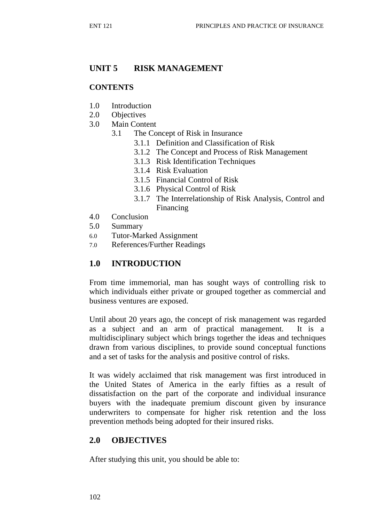# **UNIT 5 RISK MANAGEMENT**

#### **CONTENTS**

- 1.0 Introduction
- 2.0 Objectives
- 3.0 Main Content
	- 3.1 The Concept of Risk in Insurance
		- 3.1.1 Definition and Classification of Risk
		- 3.1.2 The Concept and Process of Risk Management
		- 3.1.3 Risk Identification Techniques
		- 3.1.4 Risk Evaluation
		- 3.1.5 Financial Control of Risk
		- 3.1.6 Physical Control of Risk
		- 3.1.7 The Interrelationship of Risk Analysis, Control and Financing
- 4.0 Conclusion
- 5.0 Summary
- 6.0 Tutor-Marked Assignment
- 7.0 References/Further Readings

### **1.0 INTRODUCTION**

From time immemorial, man has sought ways of controlling risk to which individuals either private or grouped together as commercial and business ventures are exposed.

Until about 20 years ago, the concept of risk management was regarded as a subject and an arm of practical management. It is a multidisciplinary subject which brings together the ideas and techniques drawn from various disciplines, to provide sound conceptual functions and a set of tasks for the analysis and positive control of risks.

It was widely acclaimed that risk management was first introduced in the United States of America in the early fifties as a result of dissatisfaction on the part of the corporate and individual insurance buyers with the inadequate premium discount given by insurance underwriters to compensate for higher risk retention and the loss prevention methods being adopted for their insured risks.

## **2.0 OBJECTIVES**

After studying this unit, you should be able to: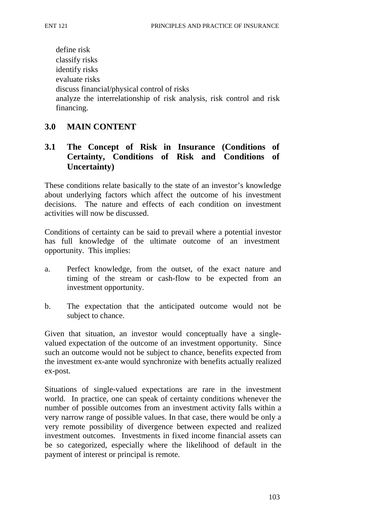define risk classify risks identify risks evaluate risks discuss financial/physical control of risks analyze the interrelationship of risk analysis, risk control and risk financing.

### **3.0 MAIN CONTENT**

# **3.1 The Concept of Risk in Insurance (Conditions of Certainty, Conditions of Risk and Conditions of Uncertainty)**

These conditions relate basically to the state of an investor's knowledge about underlying factors which affect the outcome of his investment decisions. The nature and effects of each condition on investment activities will now be discussed.

Conditions of certainty can be said to prevail where a potential investor has full knowledge of the ultimate outcome of an investment opportunity. This implies:

- a. Perfect knowledge, from the outset, of the exact nature and timing of the stream or cash-flow to be expected from an investment opportunity.
- b. The expectation that the anticipated outcome would not be subject to chance.

Given that situation, an investor would conceptually have a singlevalued expectation of the outcome of an investment opportunity. Since such an outcome would not be subject to chance, benefits expected from the investment ex-ante would synchronize with benefits actually realized ex-post.

Situations of single-valued expectations are rare in the investment world. In practice, one can speak of certainty conditions whenever the number of possible outcomes from an investment activity falls within a very narrow range of possible values. In that case, there would be only a very remote possibility of divergence between expected and realized investment outcomes. Investments in fixed income financial assets can be so categorized, especially where the likelihood of default in the payment of interest or principal is remote.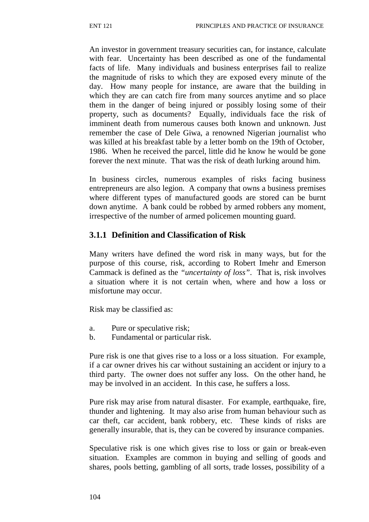An investor in government treasury securities can, for instance, calculate with fear. Uncertainty has been described as one of the fundamental facts of life. Many individuals and business enterprises fail to realize the magnitude of risks to which they are exposed every minute of the day. How many people for instance, are aware that the building in which they are can catch fire from many sources anytime and so place them in the danger of being injured or possibly losing some of their property, such as documents? Equally, individuals face the risk of imminent death from numerous causes both known and unknown. Just remember the case of Dele Giwa, a renowned Nigerian journalist who was killed at his breakfast table by a letter bomb on the 19th of October, 1986. When he received the parcel, little did he know he would be gone forever the next minute. That was the risk of death lurking around him.

In business circles, numerous examples of risks facing business entrepreneurs are also legion. A company that owns a business premises where different types of manufactured goods are stored can be burnt down anytime. A bank could be robbed by armed robbers any moment, irrespective of the number of armed policemen mounting guard.

#### **3.1.1 Definition and Classification of Risk**

Many writers have defined the word risk in many ways, but for the purpose of this course, risk, according to Robert Imehr and Emerson Cammack is defined as the *"uncertainty of loss"*. That is, risk involves a situation where it is not certain when, where and how a loss or misfortune may occur.

Risk may be classified as:

- a. Pure or speculative risk;
- b. Fundamental or particular risk.

Pure risk is one that gives rise to a loss or a loss situation. For example, if a car owner drives his car without sustaining an accident or injury to a third party. The owner does not suffer any loss. On the other hand, he may be involved in an accident. In this case, he suffers a loss.

Pure risk may arise from natural disaster. For example, earthquake, fire, thunder and lightening. It may also arise from human behaviour such as car theft, car accident, bank robbery, etc. These kinds of risks are generally insurable, that is, they can be covered by insurance companies.

Speculative risk is one which gives rise to loss or gain or break-even situation. Examples are common in buying and selling of goods and shares, pools betting, gambling of all sorts, trade losses, possibility of a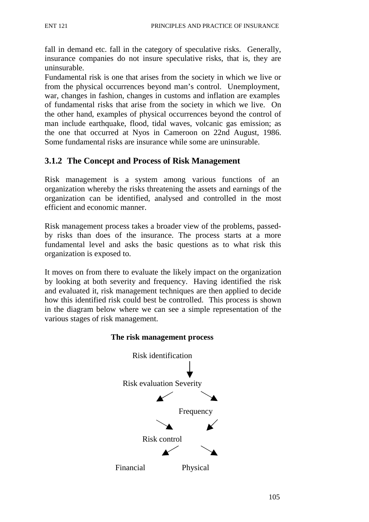fall in demand etc. fall in the category of speculative risks. Generally, insurance companies do not insure speculative risks, that is, they are uninsurable.

Fundamental risk is one that arises from the society in which we live or from the physical occurrences beyond man's control. Unemployment, war, changes in fashion, changes in customs and inflation are examples of fundamental risks that arise from the society in which we live. On the other hand, examples of physical occurrences beyond the control of man include earthquake, flood, tidal waves, volcanic gas emission; as the one that occurred at Nyos in Cameroon on 22nd August, 1986. Some fundamental risks are insurance while some are uninsurable.

### **3.1.2 The Concept and Process of Risk Management**

Risk management is a system among various functions of an organization whereby the risks threatening the assets and earnings of the organization can be identified, analysed and controlled in the most efficient and economic manner.

Risk management process takes a broader view of the problems, passedby risks than does of the insurance. The process starts at a more fundamental level and asks the basic questions as to what risk this organization is exposed to.

It moves on from there to evaluate the likely impact on the organization by looking at both severity and frequency. Having identified the risk and evaluated it, risk management techniques are then applied to decide how this identified risk could best be controlled. This process is shown in the diagram below where we can see a simple representation of the various stages of risk management.



#### **The risk management process**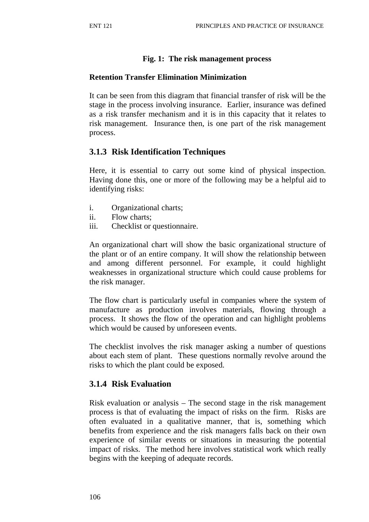### **Fig. 1: The risk management process**

### **Retention Transfer Elimination Minimization**

It can be seen from this diagram that financial transfer of risk will be the stage in the process involving insurance. Earlier, insurance was defined as a risk transfer mechanism and it is in this capacity that it relates to risk management. Insurance then, is one part of the risk management process.

# **3.1.3 Risk Identification Techniques**

Here, it is essential to carry out some kind of physical inspection. Having done this, one or more of the following may be a helpful aid to identifying risks:

- i. Organizational charts;
- ii. Flow charts;
- iii. Checklist or questionnaire.

An organizational chart will show the basic organizational structure of the plant or of an entire company. It will show the relationship between and among different personnel. For example, it could highlight weaknesses in organizational structure which could cause problems for the risk manager.

The flow chart is particularly useful in companies where the system of manufacture as production involves materials, flowing through a process. It shows the flow of the operation and can highlight problems which would be caused by unforeseen events.

The checklist involves the risk manager asking a number of questions about each stem of plant. These questions normally revolve around the risks to which the plant could be exposed.

## **3.1.4 Risk Evaluation**

Risk evaluation or analysis – The second stage in the risk management process is that of evaluating the impact of risks on the firm. Risks are often evaluated in a qualitative manner, that is, something which benefits from experience and the risk managers falls back on their own experience of similar events or situations in measuring the potential impact of risks. The method here involves statistical work which really begins with the keeping of adequate records.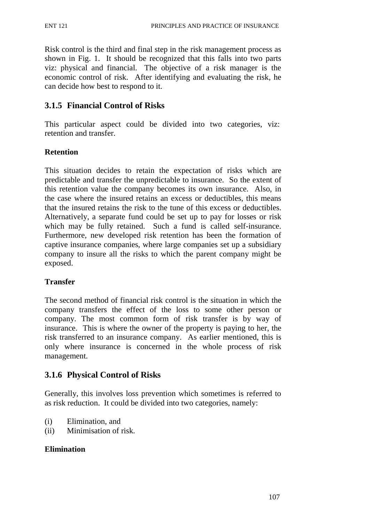Risk control is the third and final step in the risk management process as shown in Fig. 1. It should be recognized that this falls into two parts viz: physical and financial. The objective of a risk manager is the economic control of risk. After identifying and evaluating the risk, he can decide how best to respond to it.

### **3.1.5 Financial Control of Risks**

This particular aspect could be divided into two categories, viz: retention and transfer.

### **Retention**

This situation decides to retain the expectation of risks which are predictable and transfer the unpredictable to insurance. So the extent of this retention value the company becomes its own insurance. Also, in the case where the insured retains an excess or deductibles, this means that the insured retains the risk to the tune of this excess or deductibles. Alternatively, a separate fund could be set up to pay for losses or risk which may be fully retained. Such a fund is called self-insurance. Furthermore, new developed risk retention has been the formation of captive insurance companies, where large companies set up a subsidiary company to insure all the risks to which the parent company might be exposed.

### **Transfer**

The second method of financial risk control is the situation in which the company transfers the effect of the loss to some other person or company. The most common form of risk transfer is by way of insurance. This is where the owner of the property is paying to her, the risk transferred to an insurance company. As earlier mentioned, this is only where insurance is concerned in the whole process of risk management.

### **3.1.6 Physical Control of Risks**

Generally, this involves loss prevention which sometimes is referred to as risk reduction. It could be divided into two categories, namely:

- (i) Elimination, and
- (ii) Minimisation of risk.

#### **Elimination**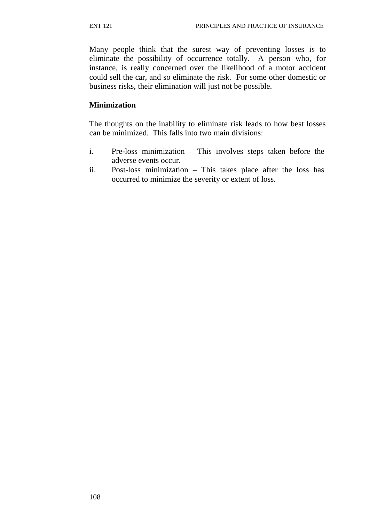Many people think that the surest way of preventing losses is to eliminate the possibility of occurrence totally. A person who, for instance, is really concerned over the likelihood of a motor accident could sell the car, and so eliminate the risk. For some other domestic or business risks, their elimination will just not be possible.

#### **Minimization**

The thoughts on the inability to eliminate risk leads to how best losses can be minimized. This falls into two main divisions:

- i. Pre-loss minimization This involves steps taken before the adverse events occur.
- ii. Post-loss minimization This takes place after the loss has occurred to minimize the severity or extent of loss.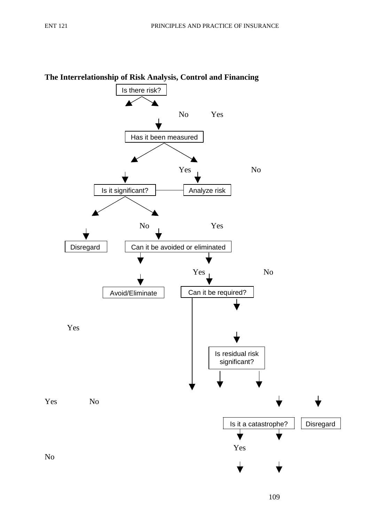

# **The Interrelationship of Risk Analysis, Control and Financing**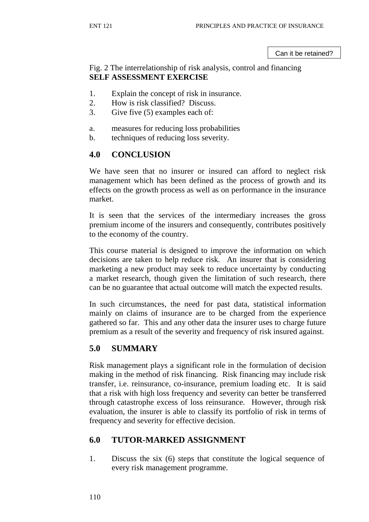Can it be retained?

### Fig. 2 The interrelationship of risk analysis, control and financing **SELF ASSESSMENT EXERCISE**

- 1. Explain the concept of risk in insurance.
- 2. How is risk classified? Discuss.
- 3. Give five (5) examples each of:
- a. measures for reducing loss probabilities
- b. techniques of reducing loss severity.

### **4.0 CONCLUSION**

We have seen that no insurer or insured can afford to neglect risk management which has been defined as the process of growth and its effects on the growth process as well as on performance in the insurance market.

It is seen that the services of the intermediary increases the gross premium income of the insurers and consequently, contributes positively to the economy of the country.

This course material is designed to improve the information on which decisions are taken to help reduce risk. An insurer that is considering marketing a new product may seek to reduce uncertainty by conducting a market research, though given the limitation of such research, there can be no guarantee that actual outcome will match the expected results.

In such circumstances, the need for past data, statistical information mainly on claims of insurance are to be charged from the experience gathered so far. This and any other data the insurer uses to charge future premium as a result of the severity and frequency of risk insured against.

## **5.0 SUMMARY**

Risk management plays a significant role in the formulation of decision making in the method of risk financing. Risk financing may include risk transfer, i.e. reinsurance, co-insurance, premium loading etc. It is said that a risk with high loss frequency and severity can better be transferred through catastrophe excess of loss reinsurance. However, through risk evaluation, the insurer is able to classify its portfolio of risk in terms of frequency and severity for effective decision.

## **6.0 TUTOR-MARKED ASSIGNMENT**

1. Discuss the six (6) steps that constitute the logical sequence of every risk management programme.